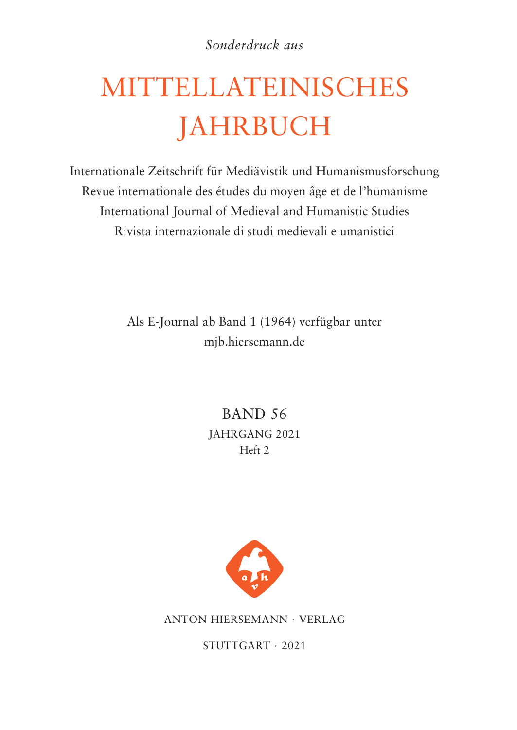*Sonderdruck aus*

# MITTELLATEINISCHES JAHRBUCH

Internationale Zeitschrift für Mediävistik und Humanismusforschung Revue internationale des études du moyen âge et de l'humanisme International Journal of Medieval and Humanistic Studies Rivista internazionale di studi medievali e umanistici

> Als E-Journal ab Band 1 (1964) verfügbar unter mjb.hiersemann.de

> > BAND 56 JAHRGANG 2021 Heft 2



ANTON HIERSEMANN · VERLAG

STUTTGART · 2021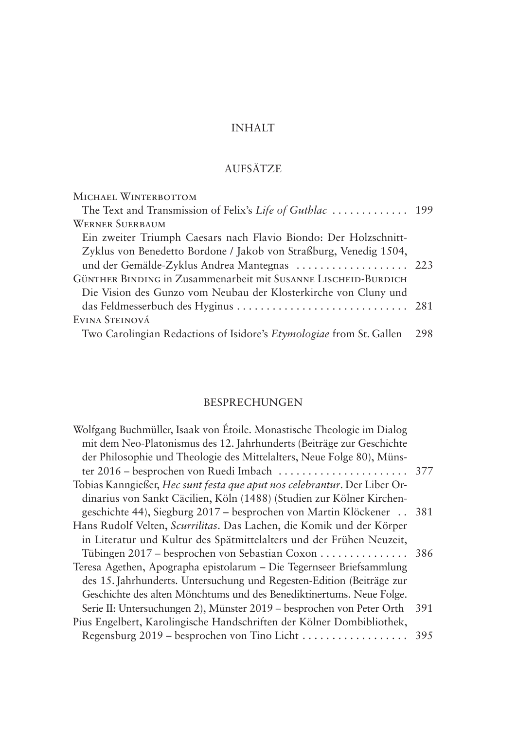# INHALT

# AUFSÄTZE

| MICHAEL WINTERBOTTOM                                                |     |
|---------------------------------------------------------------------|-----|
| The Text and Transmission of Felix's Life of Guthlac  199           |     |
| <b>WERNER SUERBAUM</b>                                              |     |
| Ein zweiter Triumph Caesars nach Flavio Biondo: Der Holzschnitt-    |     |
| Zyklus von Benedetto Bordone / Jakob von Straßburg, Venedig 1504,   |     |
| und der Gemälde-Zyklus Andrea Mantegnas  223                        |     |
| GÜNTHER BINDING in Zusammenarbeit mit SUSANNE LISCHEID-BURDICH      |     |
| Die Vision des Gunzo vom Neubau der Klosterkirche von Cluny und     |     |
|                                                                     |     |
| EVINA STEINOVÁ                                                      |     |
| Two Carolingian Redactions of Isidore's Etymologiae from St. Gallen | 298 |
|                                                                     |     |

# BESPRECHUNGEN

| Wolfgang Buchmüller, Isaak von Étoile. Monastische Theologie im Dialog    |     |
|---------------------------------------------------------------------------|-----|
| mit dem Neo-Platonismus des 12. Jahrhunderts (Beiträge zur Geschichte     |     |
| der Philosophie und Theologie des Mittelalters, Neue Folge 80), Müns-     |     |
|                                                                           |     |
| Tobias Kanngießer, Hec sunt festa que aput nos celebrantur. Der Liber Or- |     |
| dinarius von Sankt Cäcilien, Köln (1488) (Studien zur Kölner Kirchen-     |     |
| geschichte 44), Siegburg 2017 – besprochen von Martin Klöckener 381       |     |
| Hans Rudolf Velten, Scurrilitas. Das Lachen, die Komik und der Körper     |     |
| in Literatur und Kultur des Spätmittelalters und der Frühen Neuzeit,      |     |
| Tübingen 2017 – besprochen von Sebastian Coxon 386                        |     |
| Teresa Agethen, Apographa epistolarum – Die Tegernseer Briefsammlung      |     |
| des 15. Jahrhunderts. Untersuchung und Regesten-Edition (Beiträge zur     |     |
| Geschichte des alten Mönchtums und des Benediktinertums. Neue Folge.      |     |
| Serie II: Untersuchungen 2), Münster 2019 – besprochen von Peter Orth     | 391 |
| Pius Engelbert, Karolingische Handschriften der Kölner Dombibliothek,     |     |
| Regensburg 2019 – besprochen von Tino Licht                               | 395 |
|                                                                           |     |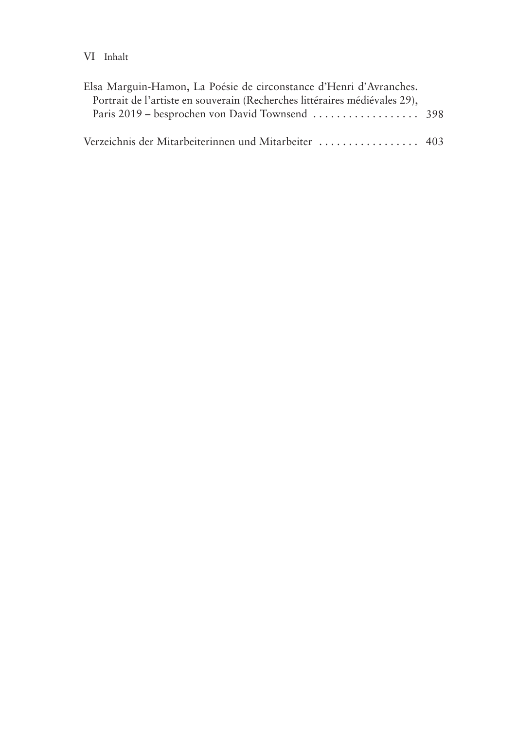## VI Inhalt

| Elsa Marguin-Hamon, La Poésie de circonstance d'Henri d'Avranches.         |  |
|----------------------------------------------------------------------------|--|
| Portrait de l'artiste en souverain (Recherches littéraires médiévales 29), |  |
|                                                                            |  |
| Verzeichnis der Mitarbeiterinnen und Mitarbeiter  403                      |  |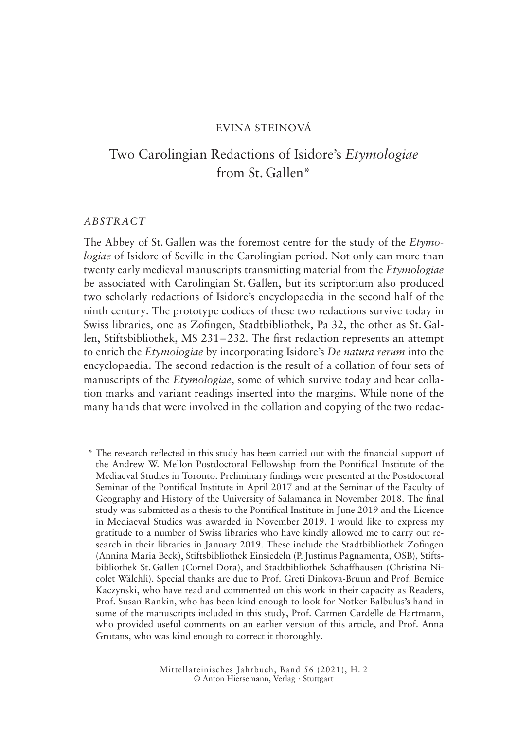#### EVINA STEINOVÁ

# Two Carolingian Redactions of Isidore's *Etymologiae* from St. Gallen\*

#### *ABSTRACT*

The Abbey of St. Gallen was the foremost centre for the study of the *Etymologiae* of Isidore of Seville in the Carolingian period. Not only can more than twenty early medieval manuscripts transmitting material from the *Etymologiae* be associated with Carolingian St. Gallen, but its scriptorium also produced two scholarly redactions of Isidore's encyclopaedia in the second half of the ninth century. The prototype codices of these two redactions survive today in Swiss libraries, one as Zofingen, Stadtbibliothek, Pa 32, the other as St. Gallen, Stiftsbibliothek, MS 231–232. The first redaction represents an attempt to enrich the *Etymologiae* by incorporating Isidore's *De natura rerum* into the encyclopaedia. The second redaction is the result of a collation of four sets of manuscripts of the *Etymologiae*, some of which survive today and bear collation marks and variant readings inserted into the margins. While none of the many hands that were involved in the collation and copying of the two redac-

<sup>\*</sup> The research reflected in this study has been carried out with the financial support of the Andrew W. Mellon Postdoctoral Fellowship from the Pontifical Institute of the Mediaeval Studies in Toronto. Preliminary findings were presented at the Postdoctoral Seminar of the Pontifical Institute in April 2017 and at the Seminar of the Faculty of Geography and History of the University of Salamanca in November 2018. The final study was submitted as a thesis to the Pontifical Institute in June 2019 and the Licence in Mediaeval Studies was awarded in November 2019. I would like to express my gratitude to a number of Swiss libraries who have kindly allowed me to carry out research in their libraries in January 2019. These include the Stadtbibliothek Zofingen (Annina Maria Beck), Stiftsbibliothek Einsiedeln (P.Justinus Pagnamenta, OSB), Stiftsbibliothek St. Gallen (Cornel Dora), and Stadtbibliothek Schaffhausen (Christina Nicolet Wälchli). Special thanks are due to Prof. Greti Dinkova-Bruun and Prof. Bernice Kaczynski, who have read and commented on this work in their capacity as Readers, Prof. Susan Rankin, who has been kind enough to look for Notker Balbulus's hand in some of the manuscripts included in this study, Prof. Carmen Cardelle de Hartmann, who provided useful comments on an earlier version of this article, and Prof. Anna Grotans, who was kind enough to correct it thoroughly.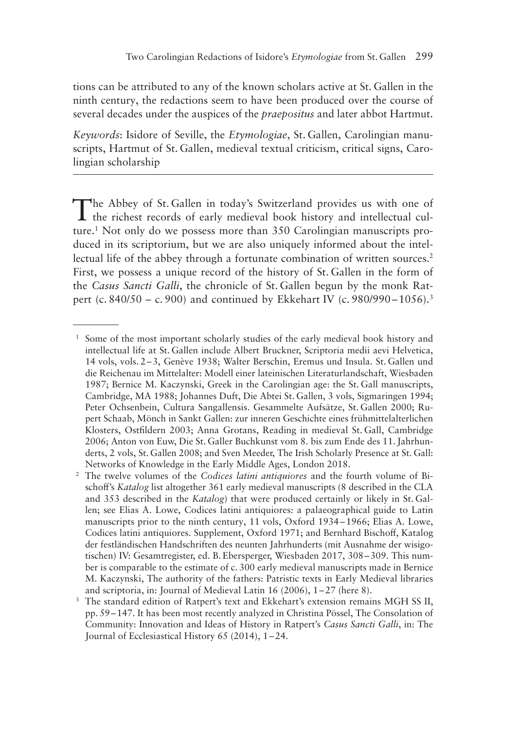tions can be attributed to any of the known scholars active at St. Gallen in the ninth century, the redactions seem to have been produced over the course of several decades under the auspices of the *praepositus* and later abbot Hartmut.

*Keywords*: Isidore of Seville, the *Etymologiae*, St. Gallen, Carolingian manuscripts, Hartmut of St. Gallen, medieval textual criticism, critical signs, Carolingian scholarship

The Abbey of St. Gallen in today's Switzerland provides us with one of the richest records of early medieval book history and intellectual culture.<sup>1</sup> Not only do we possess more than 350 Carolingian manuscripts produced in its scriptorium, but we are also uniquely informed about the intellectual life of the abbey through a fortunate combination of written sources.<sup>2</sup> First, we possess a unique record of the history of St. Gallen in the form of the *Casus Sancti Galli*, the chronicle of St. Gallen begun by the monk Ratpert (c. 840/50 – c. 900) and continued by Ekkehart IV (c. 980/990–1056).<sup>3</sup>

<sup>&</sup>lt;sup>1</sup> Some of the most important scholarly studies of the early medieval book history and intellectual life at St. Gallen include Albert Bruckner, Scriptoria medii aevi Helvetica, 14 vols, vols. 2–3, Genève 1938; Walter Berschin, Eremus und Insula. St. Gallen und die Reichenau im Mittelalter: Modell einer lateinischen Literaturlandschaft, Wiesbaden 1987; Bernice M. Kaczynski, Greek in the Carolingian age: the St. Gall manuscripts, Cambridge, MA 1988; Johannes Duft, Die Abtei St. Gallen, 3 vols, Sigmaringen 1994; Peter Ochsenbein, Cultura Sangallensis. Gesammelte Aufsätze, St. Gallen 2000; Rupert Schaab, Mönch in Sankt Gallen: zur inneren Geschichte eines frühmittelalterlichen Klosters, Ostfildern 2003; Anna Grotans, Reading in medieval St. Gall, Cambridge 2006; Anton von Euw, Die St. Galler Buchkunst vom 8. bis zum Ende des 11.Jahrhunderts, 2 vols, St. Gallen 2008; and Sven Meeder, The Irish Scholarly Presence at St. Gall: Networks of Knowledge in the Early Middle Ages, London 2018.

<sup>2</sup> The twelve volumes of the *Codices latini antiquiores* and the fourth volume of Bischoff's *Katalog* list altogether 361 early medieval manuscripts (8 described in the CLA and 353 described in the *Katalog*) that were produced certainly or likely in St. Gallen; see Elias A. Lowe, Codices latini antiquiores: a palaeographical guide to Latin manuscripts prior to the ninth century, 11 vols, Oxford 1934–1966; Elias A. Lowe, Codices latini antiquiores. Supplement, Oxford 1971; and Bernhard Bischoff, Katalog der festländischen Handschriften des neunten Jahrhunderts (mit Ausnahme der wisigotischen) IV: Gesamtregister, ed. B. Ebersperger, Wiesbaden 2017, 308–309. This number is comparable to the estimate of c. 300 early medieval manuscripts made in Bernice M. Kaczynski, The authority of the fathers: Patristic texts in Early Medieval libraries and scriptoria, in: Journal of Medieval Latin 16 (2006), 1–27 (here 8).

<sup>&</sup>lt;sup>3</sup> The standard edition of Ratpert's text and Ekkehart's extension remains MGH SS II, pp. 59–147. It has been most recently analyzed in Christina Pössel, The Consolation of Community: Innovation and Ideas of History in Ratpert's *Casus Sancti Galli*, in: The Journal of Ecclesiastical History 65 (2014), 1–24.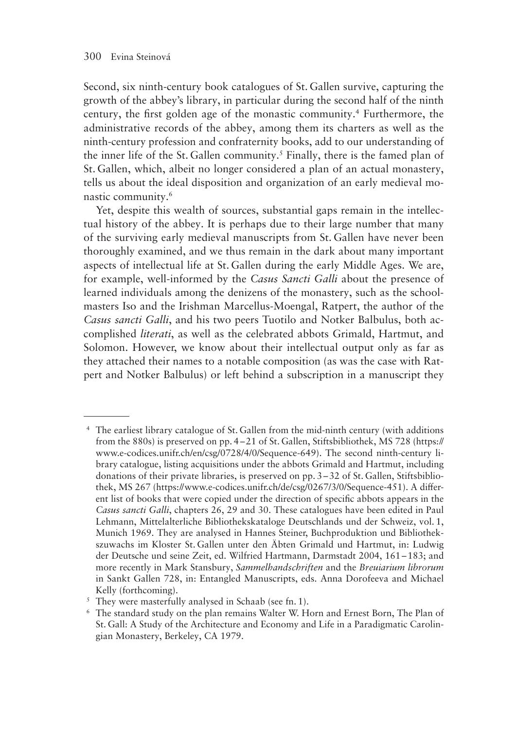Second, six ninth-century book catalogues of St. Gallen survive, capturing the growth of the abbey's library, in particular during the second half of the ninth century, the first golden age of the monastic community.4 Furthermore, the administrative records of the abbey, among them its charters as well as the ninth-century profession and confraternity books, add to our understanding of the inner life of the St. Gallen community.<sup>5</sup> Finally, there is the famed plan of St. Gallen, which, albeit no longer considered a plan of an actual monastery, tells us about the ideal disposition and organization of an early medieval monastic community.6

Yet, despite this wealth of sources, substantial gaps remain in the intellectual history of the abbey. It is perhaps due to their large number that many of the surviving early medieval manuscripts from St. Gallen have never been thoroughly examined, and we thus remain in the dark about many important aspects of intellectual life at St. Gallen during the early Middle Ages. We are, for example, well-informed by the *Casus Sancti Galli* about the presence of learned individuals among the denizens of the monastery, such as the schoolmasters Iso and the Irishman Marcellus-Moengal, Ratpert, the author of the *Casus sancti Galli*, and his two peers Tuotilo and Notker Balbulus, both accomplished *literati*, as well as the celebrated abbots Grimald, Hartmut, and Solomon. However, we know about their intellectual output only as far as they attached their names to a notable composition (as was the case with Ratpert and Notker Balbulus) or left behind a subscription in a manuscript they

<sup>4</sup> The earliest library catalogue of St. Gallen from the mid-ninth century (with additions from the 880s) is preserved on pp. 4–21 of St. Gallen, Stiftsbibliothek, MS 728 (https:// www.e-codices.unifr.ch/en/csg/0728/4/0/Sequence-649). The second ninth-century library catalogue, listing acquisitions under the abbots Grimald and Hartmut, including donations of their private libraries, is preserved on pp. 3–32 of St. Gallen, Stiftsbibliothek, MS 267 (https://www.e-codices.unifr.ch/de/csg/0267/3/0/Sequence-451). A different list of books that were copied under the direction of specific abbots appears in the *Casus sancti Galli*, chapters 26, 29 and 30. These catalogues have been edited in Paul Lehmann, Mittelalterliche Bibliothekskataloge Deutschlands und der Schweiz, vol. 1, Munich 1969. They are analysed in Hannes Steiner, Buchproduktion und Bibliothekszuwachs im Kloster St. Gallen unter den Äbten Grimald und Hartmut, in: Ludwig der Deutsche und seine Zeit, ed. Wilfried Hartmann, Darmstadt 2004, 161–183; and more recently in Mark Stansbury, *Sammelhandschriften* and the *Breuiarium librorum* in Sankt Gallen 728, in: Entangled Manuscripts, eds. Anna Dorofeeva and Michael Kelly (forthcoming).

 $5$  They were masterfully analysed in Schaab (see fn. 1).

<sup>6</sup> The standard study on the plan remains Walter W. Horn and Ernest Born, The Plan of St. Gall: A Study of the Architecture and Economy and Life in a Paradigmatic Carolingian Monastery, Berkeley, CA 1979.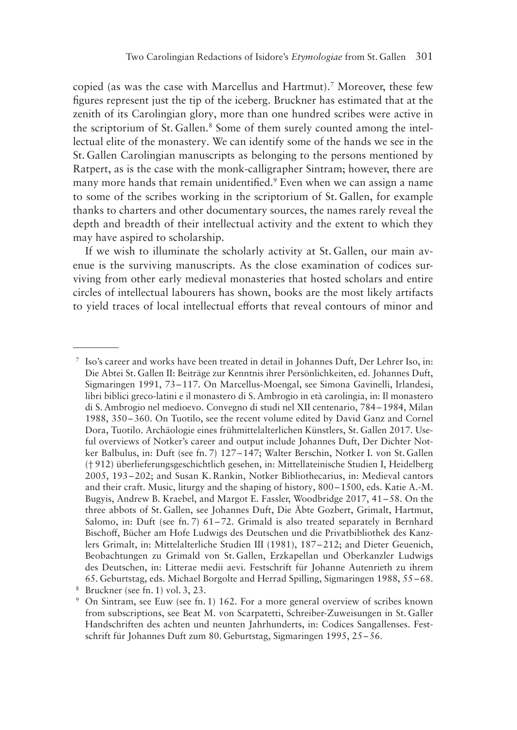copied (as was the case with Marcellus and Hartmut).7 Moreover, these few figures represent just the tip of the iceberg. Bruckner has estimated that at the zenith of its Carolingian glory, more than one hundred scribes were active in the scriptorium of St. Gallen.<sup>8</sup> Some of them surely counted among the intellectual elite of the monastery. We can identify some of the hands we see in the St. Gallen Carolingian manuscripts as belonging to the persons mentioned by Ratpert, as is the case with the monk-calligrapher Sintram; however, there are many more hands that remain unidentified.<sup>9</sup> Even when we can assign a name to some of the scribes working in the scriptorium of St. Gallen, for example thanks to charters and other documentary sources, the names rarely reveal the depth and breadth of their intellectual activity and the extent to which they may have aspired to scholarship.

If we wish to illuminate the scholarly activity at St. Gallen, our main avenue is the surviving manuscripts. As the close examination of codices surviving from other early medieval monasteries that hosted scholars and entire circles of intellectual labourers has shown, books are the most likely artifacts to yield traces of local intellectual efforts that reveal contours of minor and

<sup>7</sup> Iso's career and works have been treated in detail in Johannes Duft, Der Lehrer Iso, in: Die Abtei St. Gallen II: Beiträge zur Kenntnis ihrer Persönlichkeiten, ed. Johannes Duft, Sigmaringen 1991, 73–117. On Marcellus-Moengal, see Simona Gavinelli, Irlandesi, libri biblici greco-latini e il monastero di S. Ambrogio in età carolingia, in: Il monastero di S. Ambrogio nel medioevo. Convegno di studi nel XII centenario, 784–1984, Milan 1988, 350–360. On Tuotilo, see the recent volume edited by David Ganz and Cornel Dora, Tuotilo. Archäologie eines frühmittelalterlichen Künstlers, St. Gallen 2017. Useful overviews of Notker's career and output include Johannes Duft, Der Dichter Notker Balbulus, in: Duft (see fn. 7) 127–147; Walter Berschin, Notker I. von St. Gallen († 912) überlieferungsgeschichtlich gesehen, in: Mittellateinische Studien I, Heidelberg 2005, 193–202; and Susan K. Rankin, Notker Bibliothecarius, in: Medieval cantors and their craft. Music, liturgy and the shaping of history, 800–1500, eds. Katie A.-M. Bugyis, Andrew B. Kraebel, and Margot E. Fassler, Woodbridge 2017, 41–58. On the three abbots of St. Gallen, see Johannes Duft, Die Äbte Gozbert, Grimalt, Hartmut, Salomo, in: Duft (see fn. 7) 61–72. Grimald is also treated separately in Bernhard Bischoff, Bücher am Hofe Ludwigs des Deutschen und die Privatbibliothek des Kanzlers Grimalt, in: Mittelalterliche Studien III (1981), 187–212; and Dieter Geuenich, Beobachtungen zu Grimald von St. Gallen, Erzkapellan und Oberkanzler Ludwigs des Deutschen, in: Litterae medii aevi. Festschrift für Johanne Autenrieth zu ihrem 65. Geburtstag, eds. Michael Borgolte and Herrad Spilling, Sigmaringen 1988, 55–68. <sup>8</sup> Bruckner (see fn. 1) vol. 3, 23.

<sup>9</sup> On Sintram, see Euw (see fn. 1) 162. For a more general overview of scribes known from subscriptions, see Beat M. von Scarpatetti, Schreiber-Zuweisungen in St. Galler Handschriften des achten und neunten Jahrhunderts, in: Codices Sangallenses. Festschrift für Johannes Duft zum 80. Geburtstag, Sigmaringen 1995, 25–56.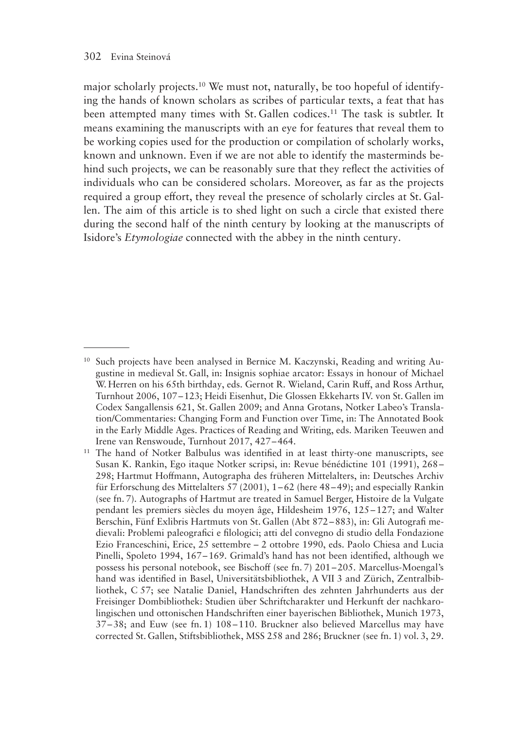major scholarly projects.10 We must not, naturally, be too hopeful of identifying the hands of known scholars as scribes of particular texts, a feat that has been attempted many times with St. Gallen codices.<sup>11</sup> The task is subtler. It means examining the manuscripts with an eye for features that reveal them to be working copies used for the production or compilation of scholarly works, known and unknown. Even if we are not able to identify the masterminds behind such projects, we can be reasonably sure that they reflect the activities of individuals who can be considered scholars. Moreover, as far as the projects required a group effort, they reveal the presence of scholarly circles at St. Gallen. The aim of this article is to shed light on such a circle that existed there during the second half of the ninth century by looking at the manuscripts of Isidore's *Etymologiae* connected with the abbey in the ninth century.

<sup>&</sup>lt;sup>10</sup> Such projects have been analysed in Bernice M. Kaczynski, Reading and writing Augustine in medieval St. Gall, in: Insignis sophiae arcator: Essays in honour of Michael W. Herren on his 65th birthday, eds. Gernot R. Wieland, Carin Ruff, and Ross Arthur, Turnhout 2006, 107–123; Heidi Eisenhut, Die Glossen Ekkeharts IV. von St. Gallen im Codex Sangallensis 621, St. Gallen 2009; and Anna Grotans, Notker Labeo's Translation/Commentaries: Changing Form and Function over Time, in: The Annotated Book in the Early Middle Ages. Practices of Reading and Writing, eds. Mariken Teeuwen and Irene van Renswoude, Turnhout 2017, 427–464.

<sup>&</sup>lt;sup>11</sup> The hand of Notker Balbulus was identified in at least thirty-one manuscripts, see Susan K. Rankin, Ego itaque Notker scripsi, in: Revue bénédictine 101 (1991), 268– 298; Hartmut Hoffmann, Autographa des früheren Mittelalters, in: Deutsches Archiv für Erforschung des Mittelalters 57 (2001), 1–62 (here 48–49); and especially Rankin (see fn. 7). Autographs of Hartmut are treated in Samuel Berger, Histoire de la Vulgate pendant les premiers siècles du moyen âge, Hildesheim 1976, 125–127; and Walter Berschin, Fünf Exlibris Hartmuts von St. Gallen (Abt 872–883), in: Gli Autografi medievali: Problemi paleografici e filologici; atti del convegno di studio della Fondazione Ezio Franceschini, Erice, 25 settembre – 2 ottobre 1990, eds. Paolo Chiesa and Lucia Pinelli, Spoleto 1994, 167–169. Grimald's hand has not been identified, although we possess his personal notebook, see Bischoff (see fn. 7) 201–205. Marcellus-Moengal's hand was identified in Basel, Universitätsbibliothek, A VII 3 and Zürich, Zentralbibliothek, C 57; see Natalie Daniel, Handschriften des zehnten Jahrhunderts aus der Freisinger Dombibliothek: Studien über Schriftcharakter und Herkunft der nachkarolingischen und ottonischen Handschriften einer bayerischen Bibliothek, Munich 1973, 37–38; and Euw (see fn. 1) 108–110. Bruckner also believed Marcellus may have corrected St. Gallen, Stiftsbibliothek, MSS 258 and 286; Bruckner (see fn. 1) vol. 3, 29.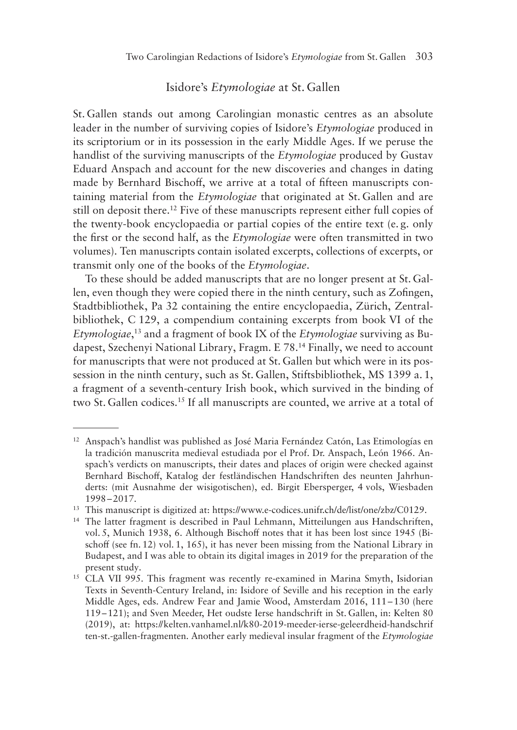#### Isidore's *Etymologiae* at St. Gallen

St. Gallen stands out among Carolingian monastic centres as an absolute leader in the number of surviving copies of Isidore's *Etymologiae* produced in its scriptorium or in its possession in the early Middle Ages. If we peruse the handlist of the surviving manuscripts of the *Etymologiae* produced by Gustav Eduard Anspach and account for the new discoveries and changes in dating made by Bernhard Bischoff, we arrive at a total of fifteen manuscripts containing material from the *Etymologiae* that originated at St. Gallen and are still on deposit there.12 Five of these manuscripts represent either full copies of the twenty-book encyclopaedia or partial copies of the entire text (e. g. only the first or the second half, as the *Etymologiae* were often transmitted in two volumes). Ten manuscripts contain isolated excerpts, collections of excerpts, or transmit only one of the books of the *Etymologiae*.

To these should be added manuscripts that are no longer present at St. Gallen, even though they were copied there in the ninth century, such as Zofingen, Stadtbibliothek, Pa 32 containing the entire encyclopaedia, Zürich, Zentralbibliothek, C 129, a compendium containing excerpts from book VI of the *Etymologiae*, 13 and a fragment of book IX of the *Etymologiae* surviving as Budapest, Szechenyi National Library, Fragm. E 78. 14 Finally, we need to account for manuscripts that were not produced at St. Gallen but which were in its possession in the ninth century, such as St. Gallen, Stiftsbibliothek, MS 1399 a. 1, a fragment of a seventh-century Irish book, which survived in the binding of two St. Gallen codices.15 If all manuscripts are counted, we arrive at a total of

<sup>12</sup> Anspach's handlist was published as José Maria Fernández Catón, Las Etimologías en la tradición manuscrita medieval estudiada por el Prof. Dr. Anspach, León 1966. Anspach's verdicts on manuscripts, their dates and places of origin were checked against Bernhard Bischoff, Katalog der festländischen Handschriften des neunten Jahrhunderts: (mit Ausnahme der wisigotischen), ed. Birgit Ebersperger, 4 vols, Wiesbaden 1998–2017.

<sup>13</sup> This manuscript is digitized at: https://www.e-codices.unifr.ch/de/list/one/zbz/C0129.

<sup>14</sup> The latter fragment is described in Paul Lehmann, Mitteilungen aus Handschriften, vol. 5, Munich 1938, 6. Although Bischoff notes that it has been lost since 1945 (Bischoff (see fn. 12) vol. 1, 165), it has never been missing from the National Library in Budapest, and I was able to obtain its digital images in 2019 for the preparation of the present study.

<sup>&</sup>lt;sup>15</sup> CLA VII 995. This fragment was recently re-examined in Marina Smyth, Isidorian Texts in Seventh-Century Ireland, in: Isidore of Seville and his reception in the early Middle Ages, eds. Andrew Fear and Jamie Wood, Amsterdam 2016, 111–130 (here 119–121); and Sven Meeder, Het oudste Ierse handschrift in St. Gallen, in: Kelten 80 (2019), at: https://kelten.vanhamel.nl/k80-2019-meeder-ierse-geleerdheid-handschrif ten-st.-gallen-fragmenten. Another early medieval insular fragment of the *Etymologiae*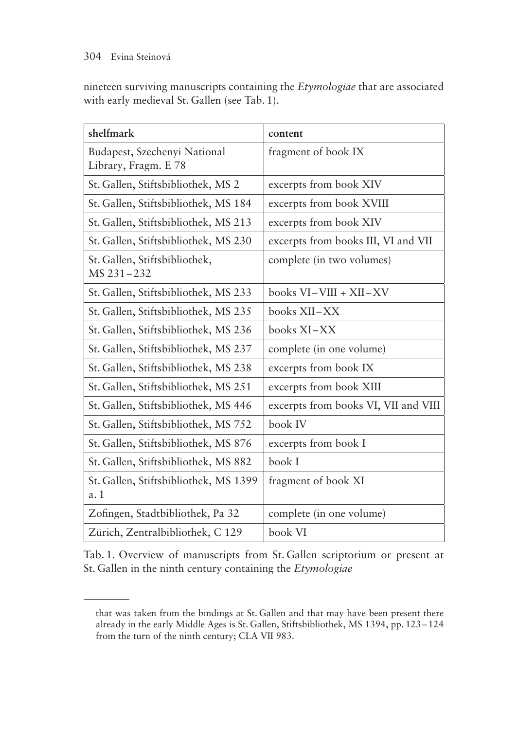#### 304 Evina Steinová

nineteen surviving manuscripts containing the *Etymologiae* that are associated with early medieval St. Gallen (see Tab. 1).

| shelfmark                                            | content                              |
|------------------------------------------------------|--------------------------------------|
| Budapest, Szechenyi National<br>Library, Fragm. E 78 | fragment of book IX                  |
| St. Gallen, Stiftsbibliothek, MS 2                   | excerpts from book XIV               |
| St. Gallen, Stiftsbibliothek, MS 184                 | excerpts from book XVIII             |
| St. Gallen, Stiftsbibliothek, MS 213                 | excerpts from book XIV               |
| St. Gallen, Stiftsbibliothek, MS 230                 | excerpts from books III, VI and VII  |
| St. Gallen, Stiftsbibliothek,<br>MS 231-232          | complete (in two volumes)            |
| St. Gallen, Stiftsbibliothek, MS 233                 | books $VI-VIII + XII-XY$             |
| St. Gallen, Stiftsbibliothek, MS 235                 | books XII–XX                         |
| St. Gallen, Stiftsbibliothek, MS 236                 | books XI-XX                          |
| St. Gallen, Stiftsbibliothek, MS 237                 | complete (in one volume)             |
| St. Gallen, Stiftsbibliothek, MS 238                 | excerpts from book IX                |
| St. Gallen, Stiftsbibliothek, MS 251                 | excerpts from book XIII              |
| St. Gallen, Stiftsbibliothek, MS 446                 | excerpts from books VI, VII and VIII |
| St. Gallen, Stiftsbibliothek, MS 752                 | book IV                              |
| St. Gallen, Stiftsbibliothek, MS 876                 | excerpts from book I                 |
| St. Gallen, Stiftsbibliothek, MS 882                 | book I                               |
| St. Gallen, Stiftsbibliothek, MS 1399<br>a. 1        | fragment of book XI                  |
| Zofingen, Stadtbibliothek, Pa 32                     | complete (in one volume)             |
| Zürich, Zentralbibliothek, C 129                     | book VI                              |

Tab. 1. Overview of manuscripts from St. Gallen scriptorium or present at St. Gallen in the ninth century containing the *Etymologiae*

that was taken from the bindings at St. Gallen and that may have been present there already in the early Middle Ages is St. Gallen, Stiftsbibliothek, MS 1394, pp. 123–124 from the turn of the ninth century; CLA VII 983.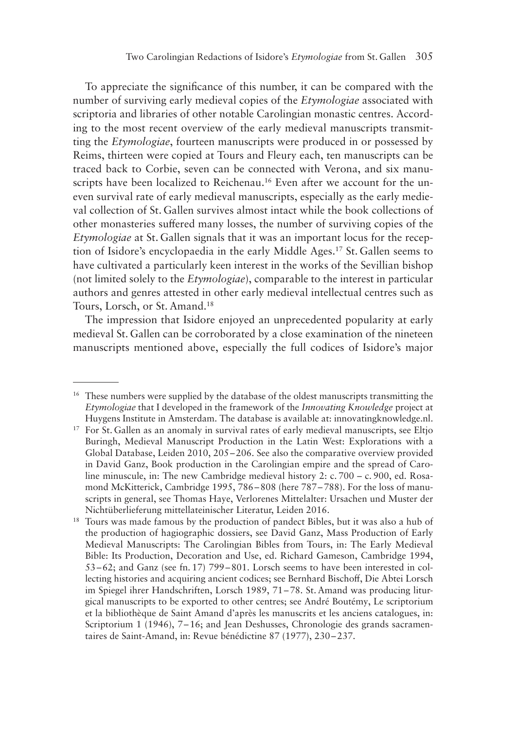To appreciate the significance of this number, it can be compared with the number of surviving early medieval copies of the *Etymologiae* associated with scriptoria and libraries of other notable Carolingian monastic centres. According to the most recent overview of the early medieval manuscripts transmitting the *Etymologiae*, fourteen manuscripts were produced in or possessed by Reims, thirteen were copied at Tours and Fleury each, ten manuscripts can be traced back to Corbie, seven can be connected with Verona, and six manuscripts have been localized to Reichenau.<sup>16</sup> Even after we account for the uneven survival rate of early medieval manuscripts, especially as the early medieval collection of St. Gallen survives almost intact while the book collections of other monasteries suffered many losses, the number of surviving copies of the *Etymologiae* at St. Gallen signals that it was an important locus for the reception of Isidore's encyclopaedia in the early Middle Ages.17 St. Gallen seems to have cultivated a particularly keen interest in the works of the Sevillian bishop (not limited solely to the *Etymologiae*), comparable to the interest in particular authors and genres attested in other early medieval intellectual centres such as Tours, Lorsch, or St. Amand.18

The impression that Isidore enjoyed an unprecedented popularity at early medieval St. Gallen can be corroborated by a close examination of the nineteen manuscripts mentioned above, especially the full codices of Isidore's major

<sup>&</sup>lt;sup>16</sup> These numbers were supplied by the database of the oldest manuscripts transmitting the *Etymologiae* that I developed in the framework of the *Innovating Knowledge* project at Huygens Institute in Amsterdam. The database is available at: innovatingknowledge.nl.

<sup>&</sup>lt;sup>17</sup> For St. Gallen as an anomaly in survival rates of early medieval manuscripts, see Eltjo Buringh, Medieval Manuscript Production in the Latin West: Explorations with a Global Database, Leiden 2010, 205–206. See also the comparative overview provided in David Ganz, Book production in the Carolingian empire and the spread of Caroline minuscule, in: The new Cambridge medieval history 2: c. 700 – c. 900, ed. Rosamond McKitterick, Cambridge 1995, 786–808 (here 787–788). For the loss of manuscripts in general, see Thomas Haye, Verlorenes Mittelalter: Ursachen und Muster der Nichtüberlieferung mittellateinischer Literatur, Leiden 2016.

<sup>&</sup>lt;sup>18</sup> Tours was made famous by the production of pandect Bibles, but it was also a hub of the production of hagiographic dossiers, see David Ganz, Mass Production of Early Medieval Manuscripts: The Carolingian Bibles from Tours, in: The Early Medieval Bible: Its Production, Decoration and Use, ed. Richard Gameson, Cambridge 1994, 53–62; and Ganz (see fn. 17) 799–801. Lorsch seems to have been interested in collecting histories and acquiring ancient codices; see Bernhard Bischoff, Die Abtei Lorsch im Spiegel ihrer Handschriften, Lorsch 1989, 71–78. St. Amand was producing liturgical manuscripts to be exported to other centres; see André Boutémy, Le scriptorium et la bibliothèque de Saint Amand d'après les manuscrits et les anciens catalogues, in: Scriptorium 1 (1946), 7–16; and Jean Deshusses, Chronologie des grands sacramentaires de Saint-Amand, in: Revue bénédictine 87 (1977), 230–237.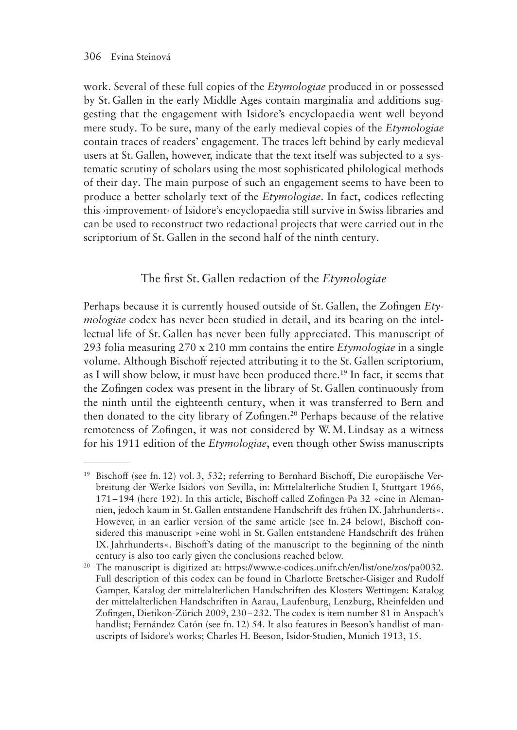work. Several of these full copies of the *Etymologiae* produced in or possessed by St. Gallen in the early Middle Ages contain marginalia and additions suggesting that the engagement with Isidore's encyclopaedia went well beyond mere study. To be sure, many of the early medieval copies of the *Etymologiae* contain traces of readers' engagement. The traces left behind by early medieval users at St. Gallen, however, indicate that the text itself was subjected to a systematic scrutiny of scholars using the most sophisticated philological methods of their day. The main purpose of such an engagement seems to have been to produce a better scholarly text of the *Etymologiae*. In fact, codices reflecting this ›improvement‹ of Isidore's encyclopaedia still survive in Swiss libraries and can be used to reconstruct two redactional projects that were carried out in the scriptorium of St. Gallen in the second half of the ninth century.

## The first St. Gallen redaction of the *Etymologiae*

Perhaps because it is currently housed outside of St. Gallen, the Zofingen *Etymologiae* codex has never been studied in detail, and its bearing on the intellectual life of St. Gallen has never been fully appreciated. This manuscript of 293 folia measuring 270 x 210 mm contains the entire *Etymologiae* in a single volume. Although Bischoff rejected attributing it to the St. Gallen scriptorium, as I will show below, it must have been produced there.19 In fact, it seems that the Zofingen codex was present in the library of St. Gallen continuously from the ninth until the eighteenth century, when it was transferred to Bern and then donated to the city library of Zofingen.20 Perhaps because of the relative remoteness of Zofingen, it was not considered by W.M. Lindsay as a witness for his 1911 edition of the *Etymologiae*, even though other Swiss manuscripts

<sup>19</sup> Bischoff (see fn. 12) vol. 3, 532; referring to Bernhard Bischoff, Die europäische Verbreitung der Werke Isidors von Sevilla, in: Mittelalterliche Studien I, Stuttgart 1966, 171–194 (here 192). In this article, Bischoff called Zofingen Pa 32 »eine in Alemannien, jedoch kaum in St. Gallen entstandene Handschrift des frühen IX. Jahrhunderts«. However, in an earlier version of the same article (see fn. 24 below), Bischoff considered this manuscript »eine wohl in St. Gallen entstandene Handschrift des frühen IX.Jahrhunderts«. Bischoff's dating of the manuscript to the beginning of the ninth century is also too early given the conclusions reached below.

<sup>&</sup>lt;sup>20</sup> The manuscript is digitized at: https://www.e-codices.unifr.ch/en/list/one/zos/pa0032. Full description of this codex can be found in Charlotte Bretscher-Gisiger and Rudolf Gamper, Katalog der mittelalterlichen Handschriften des Klosters Wettingen: Katalog der mittelalterlichen Handschriften in Aarau, Laufenburg, Lenzburg, Rheinfelden und Zofingen, Dietikon-Zürich 2009, 230–232. The codex is item number 81 in Anspach's handlist; Fernández Catón (see fn. 12) 54. It also features in Beeson's handlist of manuscripts of Isidore's works; Charles H. Beeson, Isidor-Studien, Munich 1913, 15.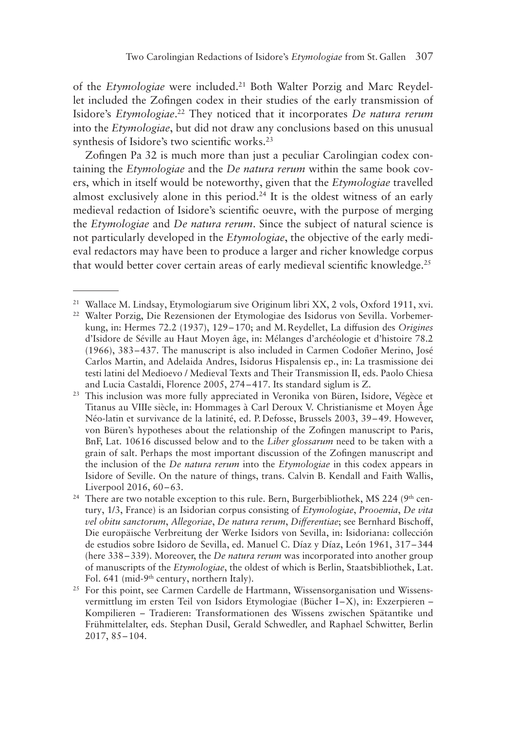of the *Etymologiae* were included.21 Both Walter Porzig and Marc Reydellet included the Zofingen codex in their studies of the early transmission of Isidore's *Etymologiae*. 22 They noticed that it incorporates *De natura rerum* into the *Etymologiae*, but did not draw any conclusions based on this unusual synthesis of Isidore's two scientific works.<sup>23</sup>

Zofingen Pa 32 is much more than just a peculiar Carolingian codex containing the *Etymologiae* and the *De natura rerum* within the same book covers, which in itself would be noteworthy, given that the *Etymologiae* travelled almost exclusively alone in this period.<sup>24</sup> It is the oldest witness of an early medieval redaction of Isidore's scientific oeuvre, with the purpose of merging the *Etymologiae* and *De natura rerum*. Since the subject of natural science is not particularly developed in the *Etymologiae*, the objective of the early medieval redactors may have been to produce a larger and richer knowledge corpus that would better cover certain areas of early medieval scientific knowledge.<sup>25</sup>

<sup>21</sup> Wallace M. Lindsay, Etymologiarum sive Originum libri XX, 2 vols, Oxford 1911, xvi.

<sup>22</sup> Walter Porzig, Die Rezensionen der Etymologiae des Isidorus von Sevilla. Vorbemerkung, in: Hermes 72.2 (1937), 129–170; and M. Reydellet, La diffusion des *Origines* d'Isidore de Séville au Haut Moyen âge, in: Mélanges d'archéologie et d'histoire 78.2 (1966), 383–437. The manuscript is also included in Carmen Codoñer Merino, José Carlos Martin, and Adelaida Andres, Isidorus Hispalensis ep., in: La trasmissione dei testi latini del Medioevo / Medieval Texts and Their Transmission II, eds. Paolo Chiesa and Lucia Castaldi, Florence 2005, 274–417. Its standard siglum is Z.

<sup>23</sup> This inclusion was more fully appreciated in Veronika von Büren, Isidore, Végèce et Titanus au VIIIe siècle, in: Hommages à Carl Deroux V. Christianisme et Moyen Âge Néo-latin et survivance de la latinité, ed. P. Defosse, Brussels 2003, 39–49. However, von Büren's hypotheses about the relationship of the Zofingen manuscript to Paris, BnF, Lat. 10616 discussed below and to the *Liber glossarum* need to be taken with a grain of salt. Perhaps the most important discussion of the Zofingen manuscript and the inclusion of the *De natura rerum* into the *Etymologiae* in this codex appears in Isidore of Seville. On the nature of things, trans. Calvin B. Kendall and Faith Wallis, Liverpool 2016, 60–63.

<sup>&</sup>lt;sup>24</sup> There are two notable exception to this rule. Bern, Burgerbibliothek, MS 224 ( $9<sup>th</sup>$  century, 1/3, France) is an Isidorian corpus consisting of *Etymologiae*, *Prooemia*, *De vita vel obitu sanctorum*, *Allegoriae*, *De natura rerum*, *Differentiae*; see Bernhard Bischoff, Die europäische Verbreitung der Werke Isidors von Sevilla, in: Isidoriana: collección de estudios sobre Isidoro de Sevilla, ed. Manuel C. Díaz y Díaz, León 1961, 317–344 (here 338–339). Moreover, the *De natura rerum* was incorporated into another group of manuscripts of the *Etymologiae*, the oldest of which is Berlin, Staatsbibliothek, Lat. Fol. 641 (mid-9<sup>th</sup> century, northern Italy).

<sup>&</sup>lt;sup>25</sup> For this point, see Carmen Cardelle de Hartmann, Wissensorganisation und Wissensvermittlung im ersten Teil von Isidors Etymologiae (Bücher I–X), in: Exzerpieren – Kompilieren – Tradieren: Transformationen des Wissens zwischen Spätantike und Frühmittelalter, eds. Stephan Dusil, Gerald Schwedler, and Raphael Schwitter, Berlin 2017, 85–104.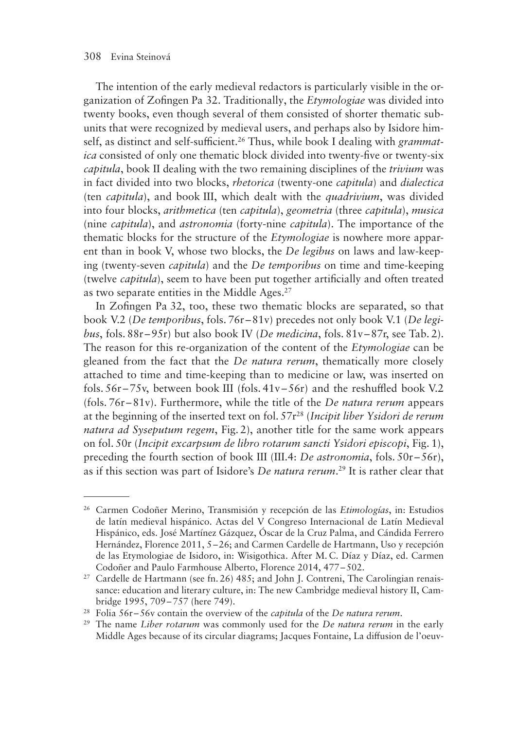The intention of the early medieval redactors is particularly visible in the organization of Zofingen Pa 32. Traditionally, the *Etymologiae* was divided into twenty books, even though several of them consisted of shorter thematic subunits that were recognized by medieval users, and perhaps also by Isidore himself, as distinct and self-sufficient.26 Thus, while book I dealing with *grammatica* consisted of only one thematic block divided into twenty-five or twenty-six *capitula*, book II dealing with the two remaining disciplines of the *trivium* was in fact divided into two blocks, *rhetorica* (twenty-one *capitula*) and *dialectica* (ten *capitula*), and book III, which dealt with the *quadrivium*, was divided into four blocks, *arithmetica* (ten *capitula*), *geometria* (three *capitula*), *musica* (nine *capitula*), and *astronomia* (forty-nine *capitula*). The importance of the thematic blocks for the structure of the *Etymologiae* is nowhere more apparent than in book V, whose two blocks, the *De legibus* on laws and law-keeping (twenty-seven *capitula*) and the *De temporibus* on time and time-keeping (twelve *capitula*), seem to have been put together artificially and often treated as two separate entities in the Middle Ages.<sup>27</sup>

In Zofingen Pa 32, too, these two thematic blocks are separated, so that book V.2 (*De temporibus*, fols. 76r–81v) precedes not only book V.1 (*De legibus*, fols. 88r–95r) but also book IV (*De medicina*, fols. 81v –87r, see Tab. 2). The reason for this re-organization of the content of the *Etymologiae* can be gleaned from the fact that the *De natura rerum*, thematically more closely attached to time and time-keeping than to medicine or law, was inserted on fols.  $56r - 75v$ , between book III (fols.  $41v - 56r$ ) and the reshuffled book V.2 (fols. 76r–81v). Furthermore, while the title of the *De natura rerum* appears at the beginning of the inserted text on fol. 57r28 (*Incipit liber Ysidori de rerum natura ad Syseputum regem*, Fig. 2), another title for the same work appears on fol. 50r (*Incipit excarpsum de libro rotarum sancti Ysidori episcopi*, Fig. 1), preceding the fourth section of book III (III.4: *De astronomia*, fols. 50r–56r), as if this section was part of Isidore's *De natura rerum*. 29 It is rather clear that

<sup>26</sup> Carmen Codoñer Merino, Transmisión y recepción de las *Etimologías*, in: Estudios de latín medieval hispánico. Actas del V Congreso Internacional de Latín Medieval Hispánico, eds. José Martínez Gázquez, Óscar de la Cruz Palma, and Cándida Ferrero Hernández, Florence 2011, 5–26; and Carmen Cardelle de Hartmann, Uso y recepción de las Etymologiae de Isidoro, in: Wisigothica. After M. C. Díaz y Díaz, ed. Carmen Codoñer and Paulo Farmhouse Alberto, Florence 2014, 477–502.

 $27$  Cardelle de Hartmann (see fn. 26) 485; and John J. Contreni, The Carolingian renaissance: education and literary culture, in: The new Cambridge medieval history II, Cambridge 1995, 709–757 (here 749).

<sup>28</sup> Folia 56r –56v contain the overview of the *capitula* of the *De natura rerum*.

<sup>29</sup> The name *Liber rotarum* was commonly used for the *De natura rerum* in the early Middle Ages because of its circular diagrams; Jacques Fontaine, La diffusion de l'oeuv-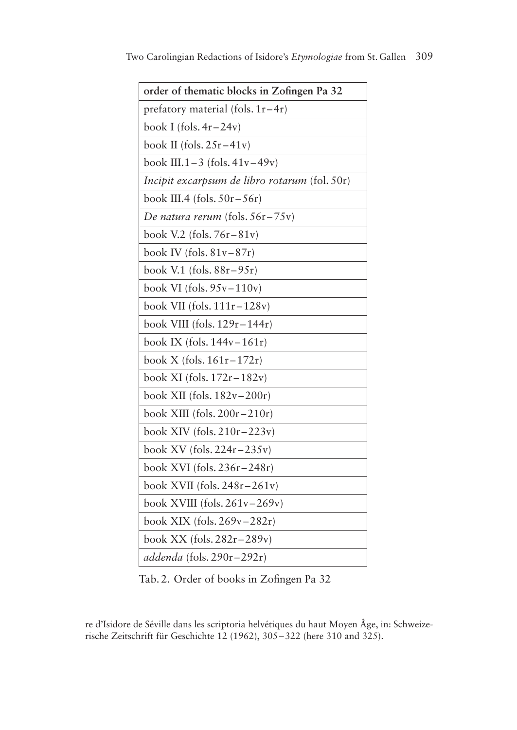| order of thematic blocks in Zofingen Pa 32    |
|-----------------------------------------------|
| prefatory material (fols. $1r-4r$ )           |
| book I (fols. $4r-24v$ )                      |
| book II (fols. $25r-41v$ )                    |
| book III.1-3 (fols. $41v-49v$ )               |
| Incipit excarpsum de libro rotarum (fol. 50r) |
| book III.4 (fols. $50r - 56r$ )               |
| De natura rerum (fols. 56r-75v)               |
| book V.2 (fols. $76r - 81v$ )                 |
| book IV (fols. $81v-87r$ )                    |
| book V.1 (fols. $88r - 95r$ )                 |
| book VI (fols. $95v-110v$ )                   |
| book VII (fols. $111r - 128v$ )               |
| book VIII (fols. $129r - 144r$ )              |
| book IX (fols. $144v-161r$ )                  |
| book X (fols. 161r-172r)                      |
| book XI (fols. $172r - 182v$ )                |
| book XII (fols. $182v-200r$ )                 |
| book XIII (fols. $200r - 210r$ )              |
| book XIV (fols. $210r - 223v$ )               |
| book XV (fols. $224r - 235v$ )                |
| book XVI (fols. 236r-248r)                    |
| book XVII (fols. $248r - 261v$ )              |
| book XVIII (fols. $261v - 269v$ )             |
| book XIX (fols. $269v - 282r$ )               |
| book XX (fols. $282r - 289v$ )                |
| addenda (fols. $290r - 292r$ )                |

Tab. 2. Order of books in Zofingen Pa 32

re d'Isidore de Séville dans les scriptoria helvétiques du haut Moyen Âge, in: Schweizerische Zeitschrift für Geschichte 12 (1962), 305–322 (here 310 and 325).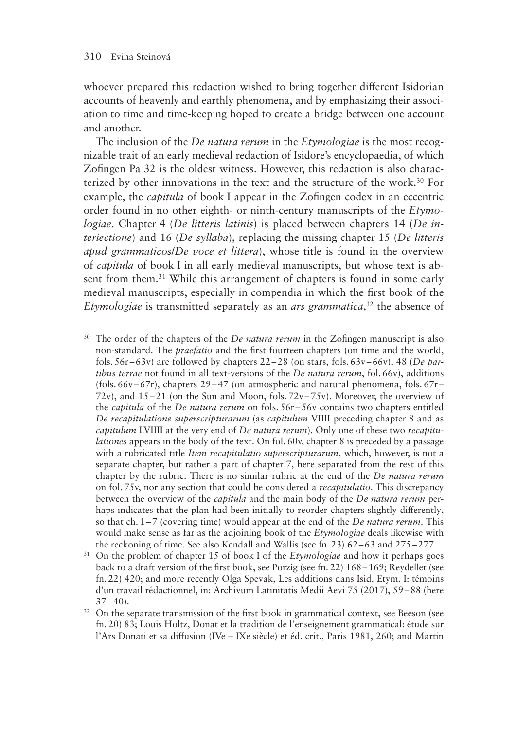whoever prepared this redaction wished to bring together different Isidorian accounts of heavenly and earthly phenomena, and by emphasizing their association to time and time-keeping hoped to create a bridge between one account and another.

The inclusion of the *De natura rerum* in the *Etymologiae* is the most recognizable trait of an early medieval redaction of Isidore's encyclopaedia, of which Zofingen Pa 32 is the oldest witness. However, this redaction is also characterized by other innovations in the text and the structure of the work.30 For example, the *capitula* of book I appear in the Zofingen codex in an eccentric order found in no other eighth- or ninth-century manuscripts of the *Etymologiae*. Chapter 4 (*De litteris latinis*) is placed between chapters 14 (*De interiectione*) and 16 (*De syllaba*), replacing the missing chapter 15 (*De litteris apud grammaticos*/*De voce et littera*), whose title is found in the overview of *capitula* of book I in all early medieval manuscripts, but whose text is absent from them.<sup>31</sup> While this arrangement of chapters is found in some early medieval manuscripts, especially in compendia in which the first book of the *Etymologiae* is transmitted separately as an *ars grammatica*, 32 the absence of

<sup>&</sup>lt;sup>30</sup> The order of the chapters of the *De natura rerum* in the Zofingen manuscript is also non-standard. The *praefatio* and the first fourteen chapters (on time and the world, fols. 56r–63v) are followed by chapters 22–28 (on stars, fols. 63v –66v), 48 (*De partibus terrae* not found in all text-versions of the *De natura rerum*, fol. 66v), additions (fols.  $66v-67r$ ), chapters  $29-47$  (on atmospheric and natural phenomena, fols.  $67r-$ 72v), and  $15-21$  (on the Sun and Moon, fols. 72v-75v). Moreover, the overview of the *capitula* of the *De natura rerum* on fols. 56r–56v contains two chapters entitled *De recapitulatione superscripturarum* (as *capitulum* VIIII preceding chapter 8 and as *capitulum* LVIIII at the very end of *De natura rerum*). Only one of these two *recapitulationes* appears in the body of the text. On fol. 60v, chapter 8 is preceded by a passage with a rubricated title *Item recapitulatio superscripturarum*, which, however, is not a separate chapter, but rather a part of chapter 7, here separated from the rest of this chapter by the rubric. There is no similar rubric at the end of the *De natura rerum* on fol. 75v, nor any section that could be considered a *recapitulatio*. This discrepancy between the overview of the *capitula* and the main body of the *De natura rerum* perhaps indicates that the plan had been initially to reorder chapters slightly differently, so that ch. 1–7 (covering time) would appear at the end of the *De natura rerum*. This would make sense as far as the adjoining book of the *Etymologiae* deals likewise with the reckoning of time. See also Kendall and Wallis (see fn. 23) 62–63 and 275–277.

<sup>31</sup> On the problem of chapter 15 of book I of the *Etymologiae* and how it perhaps goes back to a draft version of the first book, see Porzig (see fn. 22) 168–169; Reydellet (see fn. 22) 420; and more recently Olga Spevak, Les additions dans Isid. Etym. I: témoins d'un travail rédactionnel, in: Archivum Latinitatis Medii Aevi 75 (2017), 59–88 (here  $37-40$ ).

<sup>&</sup>lt;sup>32</sup> On the separate transmission of the first book in grammatical context, see Beeson (see fn. 20) 83; Louis Holtz, Donat et la tradition de l'enseignement grammatical: étude sur l'Ars Donati et sa diffusion (IVe – IXe siècle) et éd. crit., Paris 1981, 260; and Martin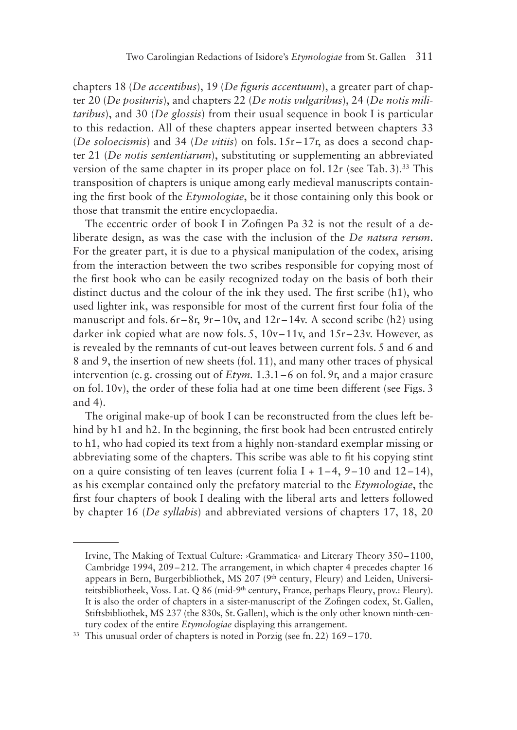chapters 18 (*De accentibus*), 19 (*De figuris accentuum*), a greater part of chapter 20 (*De posituris*), and chapters 22 (*De notis vulgaribus*), 24 (*De notis militaribus*), and 30 (*De glossis*) from their usual sequence in book I is particular to this redaction. All of these chapters appear inserted between chapters 33 (*De soloecismis*) and 34 (*De vitiis*) on fols. 15r–17r, as does a second chapter 21 (*De notis sententiarum*), substituting or supplementing an abbreviated version of the same chapter in its proper place on fol.  $12r$  (see Tab. 3).<sup>33</sup> This transposition of chapters is unique among early medieval manuscripts containing the first book of the *Etymologiae*, be it those containing only this book or those that transmit the entire encyclopaedia.

The eccentric order of book I in Zofingen Pa 32 is not the result of a deliberate design, as was the case with the inclusion of the *De natura rerum*. For the greater part, it is due to a physical manipulation of the codex, arising from the interaction between the two scribes responsible for copying most of the first book who can be easily recognized today on the basis of both their distinct ductus and the colour of the ink they used. The first scribe (h1), who used lighter ink, was responsible for most of the current first four folia of the manuscript and fols.  $6r-8r$ ,  $9r-10v$ , and  $12r-14v$ . A second scribe (h2) using darker ink copied what are now fols. 5, 10v–11v, and 15r–23v. However, as is revealed by the remnants of cut-out leaves between current fols. 5 and 6 and 8 and 9, the insertion of new sheets (fol. 11), and many other traces of physical intervention (e. g. crossing out of *Etym.* 1.3.1–6 on fol. 9r, and a major erasure on fol. 10v), the order of these folia had at one time been different (see Figs. 3 and 4).

The original make-up of book I can be reconstructed from the clues left behind by h1 and h2. In the beginning, the first book had been entrusted entirely to h1, who had copied its text from a highly non-standard exemplar missing or abbreviating some of the chapters. This scribe was able to fit his copying stint on a quire consisting of ten leaves (current folia  $I + 1-4$ ,  $9-10$  and  $12-14$ ), as his exemplar contained only the prefatory material to the *Etymologiae*, the first four chapters of book I dealing with the liberal arts and letters followed by chapter 16 (*De syllabis*) and abbreviated versions of chapters 17, 18, 20

Irvine, The Making of Textual Culture: ›Grammatica‹ and Literary Theory 350–1100, Cambridge 1994, 209–212. The arrangement, in which chapter 4 precedes chapter 16 appears in Bern, Burgerbibliothek, MS 207 (9th century, Fleury) and Leiden, Universiteitsbibliotheek, Voss. Lat. Q 86 (mid-9<sup>th</sup> century, France, perhaps Fleury, prov.: Fleury). It is also the order of chapters in a sister-manuscript of the Zofingen codex, St.Gallen, Stiftsbibliothek, MS 237 (the 830s, St. Gallen), which is the only other known ninth-century codex of the entire *Etymologiae* displaying this arrangement.

<sup>33</sup> This unusual order of chapters is noted in Porzig (see fn. 22) 169–170.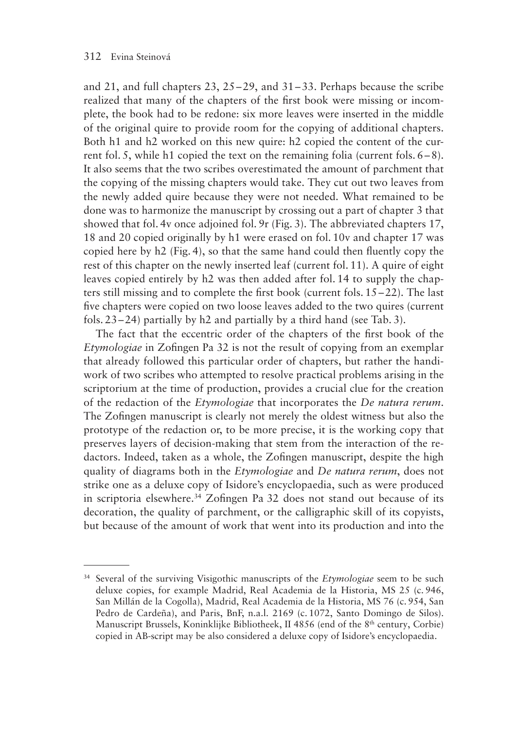and 21, and full chapters 23, 25–29, and 31–33. Perhaps because the scribe realized that many of the chapters of the first book were missing or incomplete, the book had to be redone: six more leaves were inserted in the middle of the original quire to provide room for the copying of additional chapters. Both h1 and h2 worked on this new quire: h2 copied the content of the current fol. 5, while h1 copied the text on the remaining folia (current fols. 6–8). It also seems that the two scribes overestimated the amount of parchment that the copying of the missing chapters would take. They cut out two leaves from the newly added quire because they were not needed. What remained to be done was to harmonize the manuscript by crossing out a part of chapter 3 that showed that fol. 4v once adjoined fol. 9r (Fig. 3). The abbreviated chapters 17, 18 and 20 copied originally by h1 were erased on fol. 10v and chapter 17 was copied here by h2 (Fig. 4), so that the same hand could then fluently copy the rest of this chapter on the newly inserted leaf (current fol. 11). A quire of eight leaves copied entirely by h2 was then added after fol. 14 to supply the chapters still missing and to complete the first book (current fols. 15–22). The last five chapters were copied on two loose leaves added to the two quires (current fols. 23–24) partially by h2 and partially by a third hand (see Tab. 3).

The fact that the eccentric order of the chapters of the first book of the *Etymologiae* in Zofingen Pa 32 is not the result of copying from an exemplar that already followed this particular order of chapters, but rather the handiwork of two scribes who attempted to resolve practical problems arising in the scriptorium at the time of production, provides a crucial clue for the creation of the redaction of the *Etymologiae* that incorporates the *De natura rerum*. The Zofingen manuscript is clearly not merely the oldest witness but also the prototype of the redaction or, to be more precise, it is the working copy that preserves layers of decision-making that stem from the interaction of the redactors. Indeed, taken as a whole, the Zofingen manuscript, despite the high quality of diagrams both in the *Etymologiae* and *De natura rerum*, does not strike one as a deluxe copy of Isidore's encyclopaedia, such as were produced in scriptoria elsewhere.<sup>34</sup> Zofingen Pa 32 does not stand out because of its decoration, the quality of parchment, or the calligraphic skill of its copyists, but because of the amount of work that went into its production and into the

<sup>34</sup> Several of the surviving Visigothic manuscripts of the *Etymologiae* seem to be such deluxe copies, for example Madrid, Real Academia de la Historia, MS 25 (c. 946, San Millán de la Cogolla), Madrid, Real Academia de la Historia, MS 76 (c. 954, San Pedro de Cardeña), and Paris, BnF, n.a.l. 2169 (c. 1072, Santo Domingo de Silos). Manuscript Brussels, Koninklijke Bibliotheek, II 4856 (end of the 8th century, Corbie) copied in AB-script may be also considered a deluxe copy of Isidore's encyclopaedia.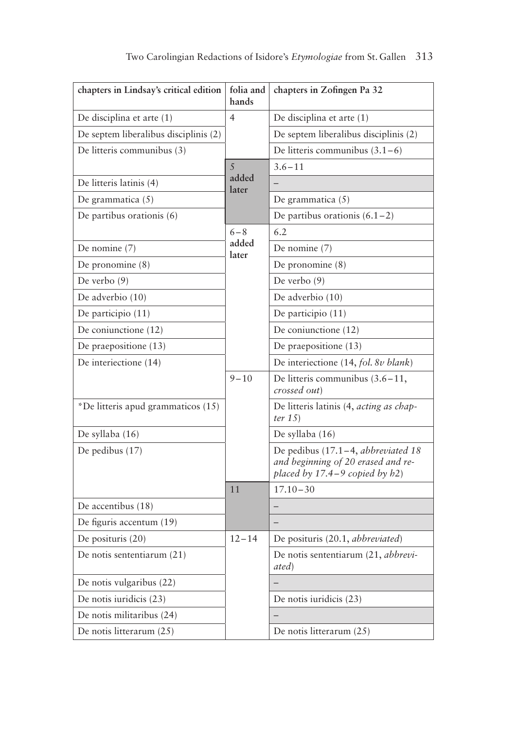| chapters in Lindsay's critical edition | folia and<br>hands | chapters in Zofingen Pa 32                                                                                      |  |  |  |
|----------------------------------------|--------------------|-----------------------------------------------------------------------------------------------------------------|--|--|--|
| De disciplina et arte (1)              | $\overline{4}$     | De disciplina et arte (1)                                                                                       |  |  |  |
| De septem liberalibus disciplinis (2)  |                    | De septem liberalibus disciplinis (2)                                                                           |  |  |  |
| De litteris communibus (3)             |                    | De litteris communibus $(3.1-6)$                                                                                |  |  |  |
|                                        | 5                  | $3.6 - 11$                                                                                                      |  |  |  |
| De litteris latinis (4)                | added<br>later     |                                                                                                                 |  |  |  |
| De grammatica (5)                      |                    | De grammatica (5)                                                                                               |  |  |  |
| De partibus orationis (6)              |                    | De partibus orationis $(6.1-2)$                                                                                 |  |  |  |
|                                        | $6 - 8$            | 6.2                                                                                                             |  |  |  |
| De nomine $(7)$                        | added<br>later     | De nomine (7)                                                                                                   |  |  |  |
| De pronomine $(8)$                     |                    | De pronomine (8)                                                                                                |  |  |  |
| De verbo (9)                           |                    | De verbo (9)                                                                                                    |  |  |  |
| De adverbio (10)                       |                    | De adverbio (10)                                                                                                |  |  |  |
| De participio (11)                     |                    | De participio (11)                                                                                              |  |  |  |
| De coniunctione (12)                   |                    | De coniunctione (12)                                                                                            |  |  |  |
| De praepositione (13)                  |                    | De praepositione (13)                                                                                           |  |  |  |
| De interiectione (14)                  |                    | De interiectione (14, fol. 8v blank)                                                                            |  |  |  |
|                                        | $9 - 10$           | De litteris communibus $(3.6-11,$<br>crossed out)                                                               |  |  |  |
| *De litteris apud grammaticos (15)     |                    | De litteris latinis (4, <i>acting as chap-</i><br>ter $15)$                                                     |  |  |  |
| De syllaba (16)                        |                    | De syllaba (16)                                                                                                 |  |  |  |
| De pedibus $(17)$                      |                    | De pedibus (17.1-4, abbreviated 18<br>and beginning of 20 erased and re-<br>placed by $17.4-9$ copied by $h2$ ) |  |  |  |
|                                        | 11                 | $17.10 - 30$                                                                                                    |  |  |  |
| De accentibus (18)                     |                    |                                                                                                                 |  |  |  |
| De figuris accentum (19)               |                    |                                                                                                                 |  |  |  |
| De posituris (20)                      | $12 - 14$          | De posituris (20.1, abbreviated)                                                                                |  |  |  |
| De notis sententiarum (21)             |                    | De notis sententiarum (21, <i>abbrevi-</i><br>ated)                                                             |  |  |  |
| De notis vulgaribus (22)               |                    |                                                                                                                 |  |  |  |
| De notis iuridicis (23)                |                    | De notis iuridicis (23)                                                                                         |  |  |  |
| De notis militaribus (24)              |                    |                                                                                                                 |  |  |  |
| De notis litterarum (25)               |                    | De notis litterarum (25)                                                                                        |  |  |  |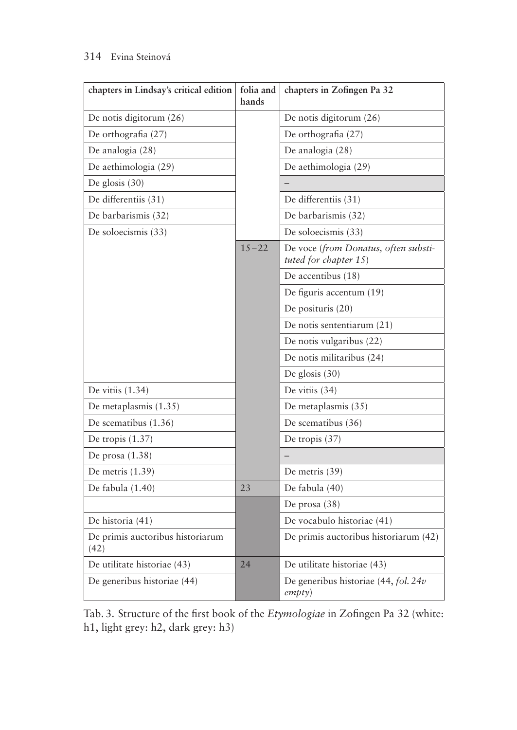## 314 Evina Steinová

| chapters in Lindsay's critical edition   | folia and<br>hands | chapters in Zofingen Pa 32                                    |  |
|------------------------------------------|--------------------|---------------------------------------------------------------|--|
| De notis digitorum (26)                  |                    | De notis digitorum (26)                                       |  |
| De orthografia (27)                      |                    | De orthografia (27)                                           |  |
| De analogia (28)                         |                    | De analogia (28)                                              |  |
| De aethimologia (29)                     |                    | De aethimologia (29)                                          |  |
| De glosis (30)                           |                    |                                                               |  |
| De differentiis (31)                     |                    | De differentiis (31)                                          |  |
| De barbarismis (32)                      |                    | De barbarismis (32)                                           |  |
| De soloecismis (33)                      |                    | De soloecismis (33)                                           |  |
|                                          | $15 - 22$          | De voce (from Donatus, often substi-<br>tuted for chapter 15) |  |
|                                          |                    | De accentibus (18)                                            |  |
|                                          |                    | De figuris accentum (19)                                      |  |
|                                          |                    | De posituris (20)                                             |  |
|                                          |                    | De notis sententiarum (21)                                    |  |
|                                          |                    | De notis vulgaribus (22)                                      |  |
|                                          |                    | De notis militaribus (24)                                     |  |
|                                          |                    | De glosis $(30)$                                              |  |
| De vitiis $(1.34)$                       |                    | De vitiis (34)                                                |  |
| De metaplasmis (1.35)                    |                    | De metaplasmis (35)                                           |  |
| De scematibus (1.36)                     |                    | De scematibus (36)                                            |  |
| De tropis (1.37)                         |                    | De tropis (37)                                                |  |
| De prosa (1.38)                          |                    |                                                               |  |
| De metris $(1.39)$                       |                    | De metris (39)                                                |  |
| De fabula (1.40)                         | 23                 | De fabula (40)                                                |  |
|                                          |                    | De prosa $(38)$                                               |  |
| De historia (41)                         |                    | De vocabulo historiae (41)                                    |  |
| De primis auctoribus historiarum<br>(42) |                    | De primis auctoribus historiarum (42)                         |  |
| De utilitate historiae (43)              | 24                 | De utilitate historiae (43)                                   |  |
| De generibus historiae (44)              |                    | De generibus historiae (44, fol. 24v<br>empty)                |  |

Tab. 3. Structure of the first book of the *Etymologiae* in Zofingen Pa 32 (white: h1, light grey: h2, dark grey: h3)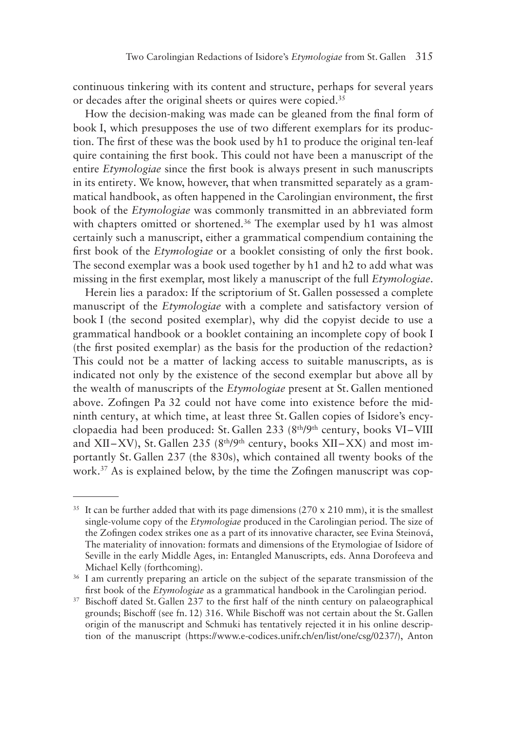continuous tinkering with its content and structure, perhaps for several years or decades after the original sheets or quires were copied.<sup>35</sup>

How the decision-making was made can be gleaned from the final form of book I, which presupposes the use of two different exemplars for its production. The first of these was the book used by h1 to produce the original ten-leaf quire containing the first book. This could not have been a manuscript of the entire *Etymologiae* since the first book is always present in such manuscripts in its entirety. We know, however, that when transmitted separately as a grammatical handbook, as often happened in the Carolingian environment, the first book of the *Etymologiae* was commonly transmitted in an abbreviated form with chapters omitted or shortened.<sup>36</sup> The exemplar used by h1 was almost certainly such a manuscript, either a grammatical compendium containing the first book of the *Etymologiae* or a booklet consisting of only the first book. The second exemplar was a book used together by h1 and h2 to add what was missing in the first exemplar, most likely a manuscript of the full *Etymologiae*.

Herein lies a paradox: If the scriptorium of St. Gallen possessed a complete manuscript of the *Etymologiae* with a complete and satisfactory version of book I (the second posited exemplar), why did the copyist decide to use a grammatical handbook or a booklet containing an incomplete copy of book I (the first posited exemplar) as the basis for the production of the redaction? This could not be a matter of lacking access to suitable manuscripts, as is indicated not only by the existence of the second exemplar but above all by the wealth of manuscripts of the *Etymologiae* present at St. Gallen mentioned above. Zofingen Pa 32 could not have come into existence before the midninth century, at which time, at least three St. Gallen copies of Isidore's encyclopaedia had been produced: St. Gallen 233 (8<sup>th</sup>/9<sup>th</sup> century, books VI–VIII and XII–XV), St. Gallen 235 ( $8<sup>th</sup>/9<sup>th</sup>$  century, books XII–XX) and most importantly St. Gallen 237 (the 830s), which contained all twenty books of the work.37 As is explained below, by the time the Zofingen manuscript was cop-

 $35$  It can be further added that with its page dimensions (270 x 210 mm), it is the smallest single-volume copy of the *Etymologiae* produced in the Carolingian period. The size of the Zofingen codex strikes one as a part of its innovative character, see Evina Steinová, The materiality of innovation: formats and dimensions of the Etymologiae of Isidore of Seville in the early Middle Ages, in: Entangled Manuscripts, eds. Anna Dorofeeva and Michael Kelly (forthcoming).

<sup>&</sup>lt;sup>36</sup> I am currently preparing an article on the subject of the separate transmission of the first book of the *Etymologiae* as a grammatical handbook in the Carolingian period.

<sup>&</sup>lt;sup>37</sup> Bischoff dated St. Gallen 237 to the first half of the ninth century on palaeographical grounds; Bischoff (see fn. 12) 316. While Bischoff was not certain about the St. Gallen origin of the manuscript and Schmuki has tentatively rejected it in his online description of the manuscript (https://www.e-codices.unifr.ch/en/list/one/csg/0237/), Anton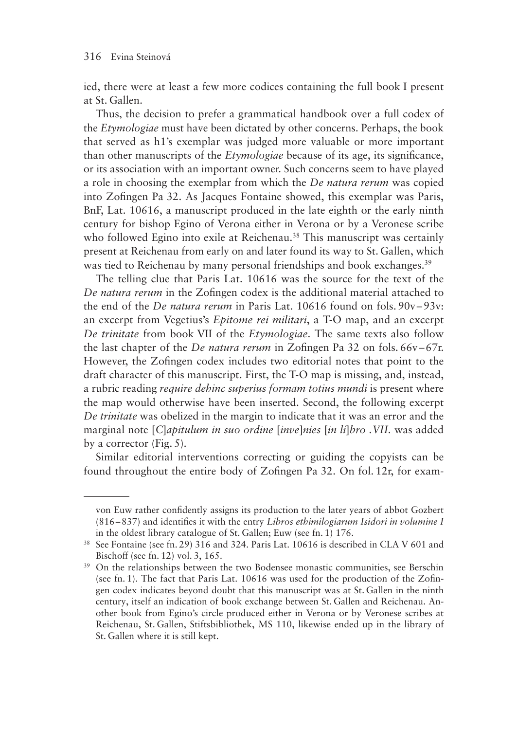ied, there were at least a few more codices containing the full book I present at St. Gallen.

Thus, the decision to prefer a grammatical handbook over a full codex of the *Etymologiae* must have been dictated by other concerns. Perhaps, the book that served as h1's exemplar was judged more valuable or more important than other manuscripts of the *Etymologiae* because of its age, its significance, or its association with an important owner. Such concerns seem to have played a role in choosing the exemplar from which the *De natura rerum* was copied into Zofingen Pa 32. As Jacques Fontaine showed, this exemplar was Paris, BnF, Lat. 10616, a manuscript produced in the late eighth or the early ninth century for bishop Egino of Verona either in Verona or by a Veronese scribe who followed Egino into exile at Reichenau.<sup>38</sup> This manuscript was certainly present at Reichenau from early on and later found its way to St. Gallen, which was tied to Reichenau by many personal friendships and book exchanges.<sup>39</sup>

The telling clue that Paris Lat. 10616 was the source for the text of the *De natura rerum* in the Zofingen codex is the additional material attached to the end of the *De natura rerum* in Paris Lat. 10616 found on fols. 90v–93v: an excerpt from Vegetius's *Epitome rei militari*, a T-O map, and an excerpt *De trinitate* from book VII of the *Etymologiae*. The same texts also follow the last chapter of the *De natura rerum* in Zofingen Pa 32 on fols. 66v–67r. However, the Zofingen codex includes two editorial notes that point to the draft character of this manuscript. First, the T-O map is missing, and, instead, a rubric reading *require dehinc superius formam totius mundi* is present where the map would otherwise have been inserted. Second, the following excerpt *De trinitate* was obelized in the margin to indicate that it was an error and the marginal note [*C*]*apitulum in suo ordine* [*inve*]*nies* [*in li*]*bro .VII.* was added by a corrector (Fig. 5).

Similar editorial interventions correcting or guiding the copyists can be found throughout the entire body of Zofingen Pa 32. On fol. 12r, for exam-

von Euw rather confidently assigns its production to the later years of abbot Gozbert (816–837) and identifies it with the entry *Libros ethimilogiarum Isidori in volumine I* in the oldest library catalogue of St. Gallen; Euw (see fn. 1) 176.

<sup>&</sup>lt;sup>38</sup> See Fontaine (see fn. 29) 316 and 324. Paris Lat. 10616 is described in CLA V 601 and Bischoff (see fn. 12) vol. 3, 165.

<sup>&</sup>lt;sup>39</sup> On the relationships between the two Bodensee monastic communities, see Berschin (see fn. 1). The fact that Paris Lat. 10616 was used for the production of the Zofingen codex indicates beyond doubt that this manuscript was at St. Gallen in the ninth century, itself an indication of book exchange between St. Gallen and Reichenau. Another book from Egino's circle produced either in Verona or by Veronese scribes at Reichenau, St. Gallen, Stiftsbibliothek, MS 110, likewise ended up in the library of St. Gallen where it is still kept.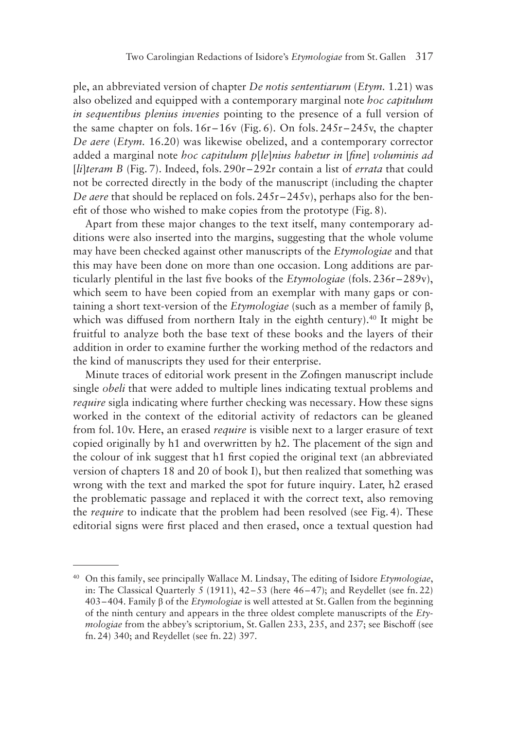ple, an abbreviated version of chapter *De notis sententiarum* (*Etym.* 1.21) was also obelized and equipped with a contemporary marginal note *hoc capitulum in sequentibus plenius invenies* pointing to the presence of a full version of the same chapter on fols.  $16r-16y$  (Fig. 6). On fols.  $245r-245y$ , the chapter *De aere* (*Etym.* 16.20) was likewise obelized, and a contemporary corrector added a marginal note *hoc capitulum p*[*le*]*nius habetur in* [*fine*] *voluminis ad*  [*li*]*teram B* (Fig. 7). Indeed, fols. 290r –292r contain a list of *errata* that could not be corrected directly in the body of the manuscript (including the chapter *De aere* that should be replaced on fols. 245r –245v), perhaps also for the benefit of those who wished to make copies from the prototype (Fig. 8).

Apart from these major changes to the text itself, many contemporary additions were also inserted into the margins, suggesting that the whole volume may have been checked against other manuscripts of the *Etymologiae* and that this may have been done on more than one occasion. Long additions are particularly plentiful in the last five books of the *Etymologiae* (fols. 236r–289v), which seem to have been copied from an exemplar with many gaps or containing a short text-version of the *Etymologiae* (such as a member of family β, which was diffused from northern Italy in the eighth century).<sup>40</sup> It might be fruitful to analyze both the base text of these books and the layers of their addition in order to examine further the working method of the redactors and the kind of manuscripts they used for their enterprise.

Minute traces of editorial work present in the Zofingen manuscript include single *obeli* that were added to multiple lines indicating textual problems and *require* sigla indicating where further checking was necessary. How these signs worked in the context of the editorial activity of redactors can be gleaned from fol. 10v. Here, an erased *require* is visible next to a larger erasure of text copied originally by h1 and overwritten by h2. The placement of the sign and the colour of ink suggest that h1 first copied the original text (an abbreviated version of chapters 18 and 20 of book I), but then realized that something was wrong with the text and marked the spot for future inquiry. Later, h2 erased the problematic passage and replaced it with the correct text, also removing the *require* to indicate that the problem had been resolved (see Fig. 4). These editorial signs were first placed and then erased, once a textual question had

<sup>40</sup> On this family, see principally Wallace M. Lindsay, The editing of Isidore *Etymologiae*, in: The Classical Quarterly 5 (1911), 42–53 (here 46–47); and Reydellet (see fn. 22) 403–404. Family β of the *Etymologiae* is well attested at St. Gallen from the beginning of the ninth century and appears in the three oldest complete manuscripts of the *Etymologiae* from the abbey's scriptorium, St. Gallen 233, 235, and 237; see Bischoff (see fn. 24) 340; and Reydellet (see fn. 22) 397.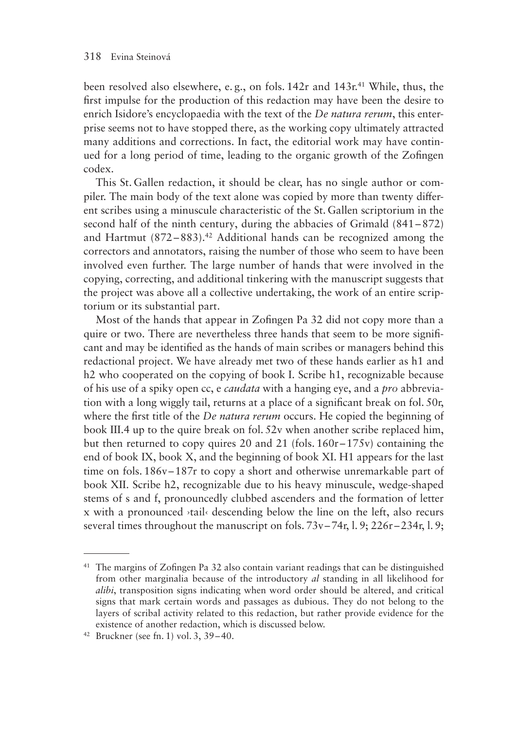been resolved also elsewhere, e. g., on fols. 142r and 143r. 41 While, thus, the first impulse for the production of this redaction may have been the desire to enrich Isidore's encyclopaedia with the text of the *De natura rerum*, this enterprise seems not to have stopped there, as the working copy ultimately attracted many additions and corrections. In fact, the editorial work may have continued for a long period of time, leading to the organic growth of the Zofingen codex.

This St. Gallen redaction, it should be clear, has no single author or compiler. The main body of the text alone was copied by more than twenty different scribes using a minuscule characteristic of the St. Gallen scriptorium in the second half of the ninth century, during the abbacies of Grimald (841–872) and Hartmut  $(872-883)$ .<sup>42</sup> Additional hands can be recognized among the correctors and annotators, raising the number of those who seem to have been involved even further. The large number of hands that were involved in the copying, correcting, and additional tinkering with the manuscript suggests that the project was above all a collective undertaking, the work of an entire scriptorium or its substantial part.

Most of the hands that appear in Zofingen Pa 32 did not copy more than a quire or two. There are nevertheless three hands that seem to be more significant and may be identified as the hands of main scribes or managers behind this redactional project. We have already met two of these hands earlier as h1 and h<sub>2</sub> who cooperated on the copying of book I. Scribe h<sub>1</sub>, recognizable because of his use of a spiky open cc, e *caudata* with a hanging eye, and a *pro* abbreviation with a long wiggly tail, returns at a place of a significant break on fol. 50r, where the first title of the *De natura rerum* occurs. He copied the beginning of book III.4 up to the quire break on fol. 52v when another scribe replaced him, but then returned to copy quires 20 and 21 (fols.  $160r-175v$ ) containing the end of book IX, book X, and the beginning of book XI. H1 appears for the last time on fols. 186v–187r to copy a short and otherwise unremarkable part of book XII. Scribe h2, recognizable due to his heavy minuscule, wedge-shaped stems of s and f, pronouncedly clubbed ascenders and the formation of letter x with a pronounced ›tail‹ descending below the line on the left, also recurs several times throughout the manuscript on fols. 73v–74r, l. 9; 226r–234r, l. 9;

<sup>41</sup> The margins of Zofingen Pa 32 also contain variant readings that can be distinguished from other marginalia because of the introductory *al* standing in all likelihood for *alibi*, transposition signs indicating when word order should be altered, and critical signs that mark certain words and passages as dubious. They do not belong to the layers of scribal activity related to this redaction, but rather provide evidence for the existence of another redaction, which is discussed below.

<sup>42</sup> Bruckner (see fn. 1) vol. 3, 39–40.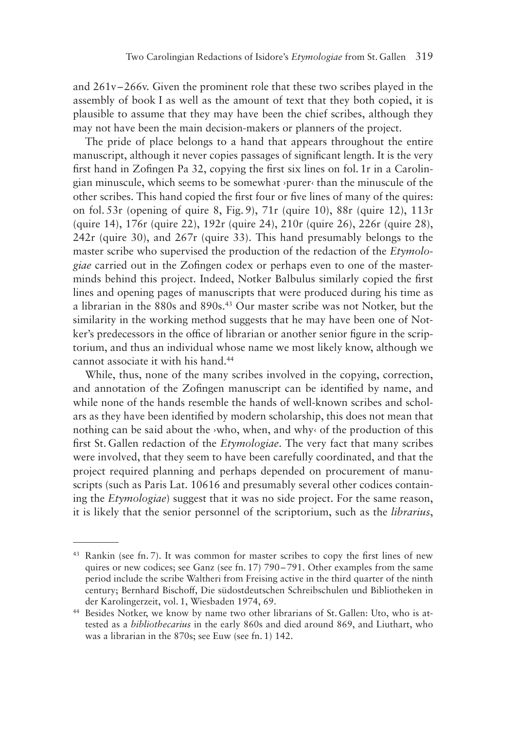and 261v–266v. Given the prominent role that these two scribes played in the assembly of book I as well as the amount of text that they both copied, it is plausible to assume that they may have been the chief scribes, although they may not have been the main decision-makers or planners of the project.

The pride of place belongs to a hand that appears throughout the entire manuscript, although it never copies passages of significant length. It is the very first hand in Zofingen Pa 32, copying the first six lines on fol. 1r in a Carolingian minuscule, which seems to be somewhat ›purer‹ than the minuscule of the other scribes. This hand copied the first four or five lines of many of the quires: on fol. 53r (opening of quire 8, Fig. 9), 71r (quire 10), 88r (quire 12), 113r (quire 14), 176r (quire 22), 192r (quire 24), 210r (quire 26), 226r (quire 28), 242r (quire 30), and 267r (quire 33). This hand presumably belongs to the master scribe who supervised the production of the redaction of the *Etymologiae* carried out in the Zofingen codex or perhaps even to one of the masterminds behind this project. Indeed, Notker Balbulus similarly copied the first lines and opening pages of manuscripts that were produced during his time as a librarian in the 880s and 890s.43 Our master scribe was not Notker, but the similarity in the working method suggests that he may have been one of Notker's predecessors in the office of librarian or another senior figure in the scriptorium, and thus an individual whose name we most likely know, although we cannot associate it with his hand.44

While, thus, none of the many scribes involved in the copying, correction, and annotation of the Zofingen manuscript can be identified by name, and while none of the hands resemble the hands of well-known scribes and scholars as they have been identified by modern scholarship, this does not mean that nothing can be said about the ›who, when, and why‹ of the production of this first St. Gallen redaction of the *Etymologiae*. The very fact that many scribes were involved, that they seem to have been carefully coordinated, and that the project required planning and perhaps depended on procurement of manuscripts (such as Paris Lat. 10616 and presumably several other codices containing the *Etymologiae*) suggest that it was no side project. For the same reason, it is likely that the senior personnel of the scriptorium, such as the *librarius*,

<sup>43</sup> Rankin (see fn. 7). It was common for master scribes to copy the first lines of new quires or new codices; see Ganz (see fn. 17) 790–791. Other examples from the same period include the scribe Waltheri from Freising active in the third quarter of the ninth century; Bernhard Bischoff, Die südostdeutschen Schreibschulen und Bibliotheken in der Karolingerzeit, vol. 1, Wiesbaden 1974, 69.

<sup>44</sup> Besides Notker, we know by name two other librarians of St. Gallen: Uto, who is attested as a *bibliothecarius* in the early 860s and died around 869, and Liuthart, who was a librarian in the 870s; see Euw (see fn. 1) 142.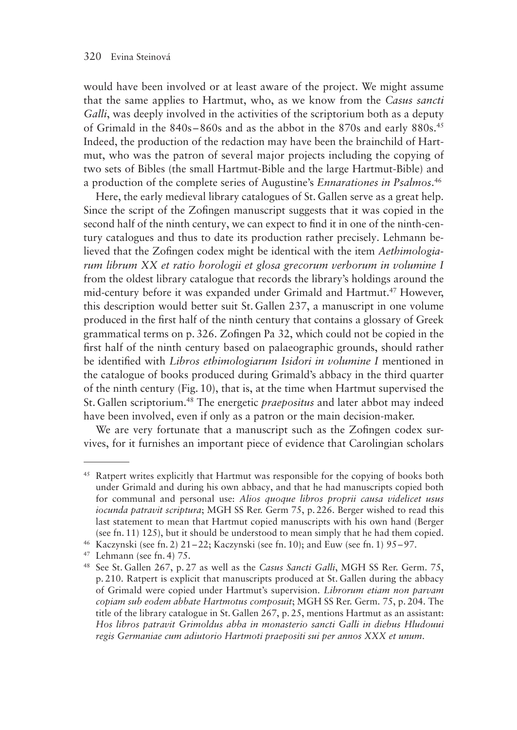would have been involved or at least aware of the project. We might assume that the same applies to Hartmut, who, as we know from the *Casus sancti Galli*, was deeply involved in the activities of the scriptorium both as a deputy of Grimald in the  $840s - 860s$  and as the abbot in the  $870s$  and early  $880s$ <sup>45</sup> Indeed, the production of the redaction may have been the brainchild of Hartmut, who was the patron of several major projects including the copying of two sets of Bibles (the small Hartmut-Bible and the large Hartmut-Bible) and a production of the complete series of Augustine's *Ennarationes in Psalmos*. 46

Here, the early medieval library catalogues of St. Gallen serve as a great help. Since the script of the Zofingen manuscript suggests that it was copied in the second half of the ninth century, we can expect to find it in one of the ninth-century catalogues and thus to date its production rather precisely. Lehmann believed that the Zofingen codex might be identical with the item *Aethimologiarum librum XX et ratio horologii et glosa grecorum verborum in volumine I* from the oldest library catalogue that records the library's holdings around the mid-century before it was expanded under Grimald and Hartmut.47 However, this description would better suit St. Gallen 237, a manuscript in one volume produced in the first half of the ninth century that contains a glossary of Greek grammatical terms on p. 326. Zofingen Pa 32, which could not be copied in the first half of the ninth century based on palaeographic grounds, should rather be identified with *Libros ethimologiarum Isidori in volumine I* mentioned in the catalogue of books produced during Grimald's abbacy in the third quarter of the ninth century (Fig. 10), that is, at the time when Hartmut supervised the St. Gallen scriptorium.48 The energetic *praepositus* and later abbot may indeed have been involved, even if only as a patron or the main decision-maker.

We are very fortunate that a manuscript such as the Zofingen codex survives, for it furnishes an important piece of evidence that Carolingian scholars

<sup>45</sup> Ratpert writes explicitly that Hartmut was responsible for the copying of books both under Grimald and during his own abbacy, and that he had manuscripts copied both for communal and personal use: *Alios quoque libros proprii causa videlicet usus iocunda patravit scriptura*; MGH SS Rer. Germ 75, p. 226. Berger wished to read this last statement to mean that Hartmut copied manuscripts with his own hand (Berger (see fn. 11) 125), but it should be understood to mean simply that he had them copied.

<sup>46</sup> Kaczynski (see fn. 2) 21–22; Kaczynski (see fn. 10); and Euw (see fn. 1) 95–97.

<sup>47</sup> Lehmann (see fn. 4) 75.

<sup>48</sup> See St. Gallen 267, p. 27 as well as the *Casus Sancti Galli*, MGH SS Rer. Germ. 75, p. 210. Ratpert is explicit that manuscripts produced at St. Gallen during the abbacy of Grimald were copied under Hartmut's supervision. *Librorum etiam non parvam copiam sub eodem abbate Hartmotus composuit*; MGH SS Rer. Germ. 75, p. 204. The title of the library catalogue in St. Gallen 267, p. 25, mentions Hartmut as an assistant: *Hos libros patravit Grimoldus abba in monasterio sancti Galli in diebus Hludouui regis Germaniae cum adiutorio Hartmoti praepositi sui per annos XXX et unum*.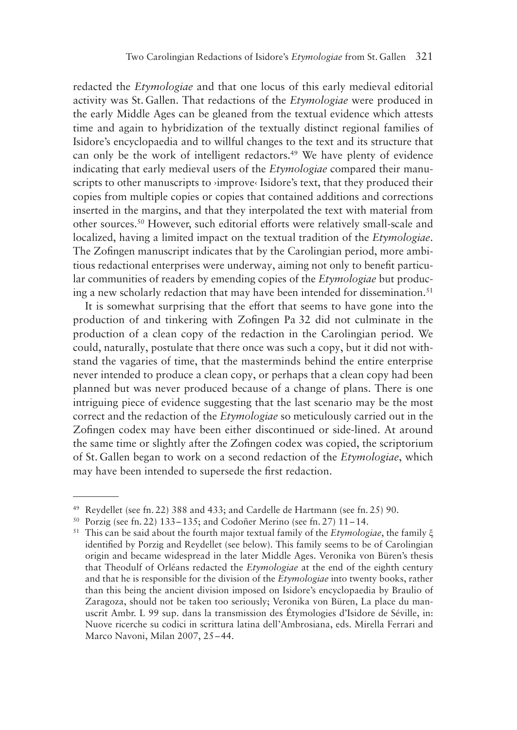redacted the *Etymologiae* and that one locus of this early medieval editorial activity was St. Gallen. That redactions of the *Etymologiae* were produced in the early Middle Ages can be gleaned from the textual evidence which attests time and again to hybridization of the textually distinct regional families of Isidore's encyclopaedia and to willful changes to the text and its structure that can only be the work of intelligent redactors.<sup>49</sup> We have plenty of evidence indicating that early medieval users of the *Etymologiae* compared their manuscripts to other manuscripts to >improve< Isidore's text, that they produced their copies from multiple copies or copies that contained additions and corrections inserted in the margins, and that they interpolated the text with material from other sources.50 However, such editorial efforts were relatively small-scale and localized, having a limited impact on the textual tradition of the *Etymologiae*. The Zofingen manuscript indicates that by the Carolingian period, more ambitious redactional enterprises were underway, aiming not only to benefit particular communities of readers by emending copies of the *Etymologiae* but producing a new scholarly redaction that may have been intended for dissemination.<sup>51</sup>

It is somewhat surprising that the effort that seems to have gone into the production of and tinkering with Zofingen Pa 32 did not culminate in the production of a clean copy of the redaction in the Carolingian period. We could, naturally, postulate that there once was such a copy, but it did not withstand the vagaries of time, that the masterminds behind the entire enterprise never intended to produce a clean copy, or perhaps that a clean copy had been planned but was never produced because of a change of plans. There is one intriguing piece of evidence suggesting that the last scenario may be the most correct and the redaction of the *Etymologiae* so meticulously carried out in the Zofingen codex may have been either discontinued or side-lined. At around the same time or slightly after the Zofingen codex was copied, the scriptorium of St. Gallen began to work on a second redaction of the *Etymologiae*, which may have been intended to supersede the first redaction.

<sup>49</sup> Reydellet (see fn. 22) 388 and 433; and Cardelle de Hartmann (see fn. 25) 90.

 $50$  Porzig (see fn. 22) 133–135; and Codoñer Merino (see fn. 27) 11–14.

<sup>51</sup> This can be said about the fourth major textual family of the *Etymologiae*, the family ξ identified by Porzig and Reydellet (see below). This family seems to be of Carolingian origin and became widespread in the later Middle Ages. Veronika von Büren's thesis that Theodulf of Orléans redacted the *Etymologiae* at the end of the eighth century and that he is responsible for the division of the *Etymologiae* into twenty books, rather than this being the ancient division imposed on Isidore's encyclopaedia by Braulio of Zaragoza, should not be taken too seriously; Veronika von Büren, La place du manuscrit Ambr. L 99 sup. dans la transmission des Étymologies d'Isidore de Séville, in: Nuove ricerche su codici in scrittura latina dell'Ambrosiana, eds. Mirella Ferrari and Marco Navoni, Milan 2007, 25–44.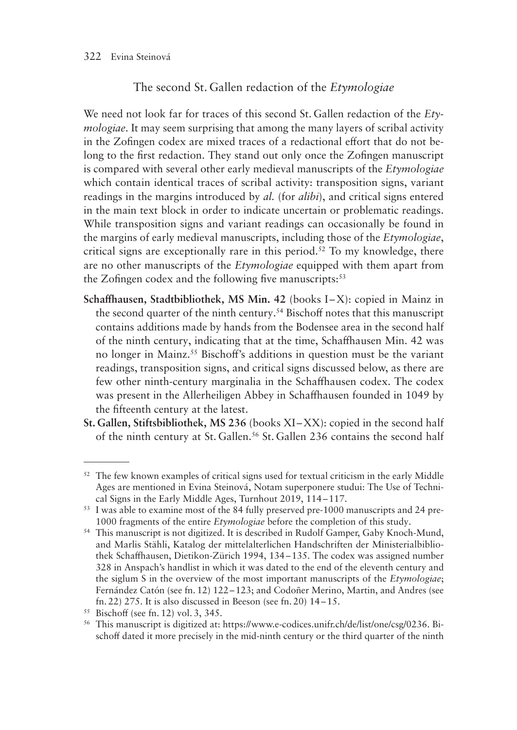## The second St. Gallen redaction of the *Etymologiae*

We need not look far for traces of this second St. Gallen redaction of the *Etymologiae*. It may seem surprising that among the many layers of scribal activity in the Zofingen codex are mixed traces of a redactional effort that do not belong to the first redaction. They stand out only once the Zofingen manuscript is compared with several other early medieval manuscripts of the *Etymologiae* which contain identical traces of scribal activity: transposition signs, variant readings in the margins introduced by *al.* (for *alibi*), and critical signs entered in the main text block in order to indicate uncertain or problematic readings. While transposition signs and variant readings can occasionally be found in the margins of early medieval manuscripts, including those of the *Etymologiae*, critical signs are exceptionally rare in this period.<sup>52</sup> To my knowledge, there are no other manuscripts of the *Etymologiae* equipped with them apart from the Zofingen codex and the following five manuscripts: $53$ 

- **Schaffhausen, Stadtbibliothek, MS Min. 42** (books I-X): copied in Mainz in the second quarter of the ninth century.54 Bischoff notes that this manuscript contains additions made by hands from the Bodensee area in the second half of the ninth century, indicating that at the time, Schaffhausen Min. 42 was no longer in Mainz.55 Bischoff's additions in question must be the variant readings, transposition signs, and critical signs discussed below, as there are few other ninth-century marginalia in the Schaffhausen codex. The codex was present in the Allerheiligen Abbey in Schaffhausen founded in 1049 by the fifteenth century at the latest.
- **St. Gallen, Stiftsbibliothek, MS 236** (books XI –XX): copied in the second half of the ninth century at St. Gallen.<sup>56</sup> St. Gallen 236 contains the second half

<sup>&</sup>lt;sup>52</sup> The few known examples of critical signs used for textual criticism in the early Middle Ages are mentioned in Evina Steinová, Notam superponere studui: The Use of Technical Signs in the Early Middle Ages, Turnhout 2019, 114–117.

<sup>53</sup> I was able to examine most of the 84 fully preserved pre-1000 manuscripts and 24 pre-1000 fragments of the entire *Etymologiae* before the completion of this study.

<sup>&</sup>lt;sup>54</sup> This manuscript is not digitized. It is described in Rudolf Gamper, Gaby Knoch-Mund, and Marlis Stähli, Katalog der mittelalterlichen Handschriften der Ministerialbibliothek Schaffhausen, Dietikon-Zürich 1994, 134–135. The codex was assigned number 328 in Anspach's handlist in which it was dated to the end of the eleventh century and the siglum S in the overview of the most important manuscripts of the *Etymologiae*; Fernández Catón (see fn. 12) 122–123; and Codoñer Merino, Martin, and Andres (see fn. 22) 275. It is also discussed in Beeson (see fn. 20) 14–15.

<sup>55</sup> Bischoff (see fn. 12) vol. 3, 345.

<sup>56</sup> This manuscript is digitized at: https://www.e-codices.unifr.ch/de/list/one/csg/0236. Bischoff dated it more precisely in the mid-ninth century or the third quarter of the ninth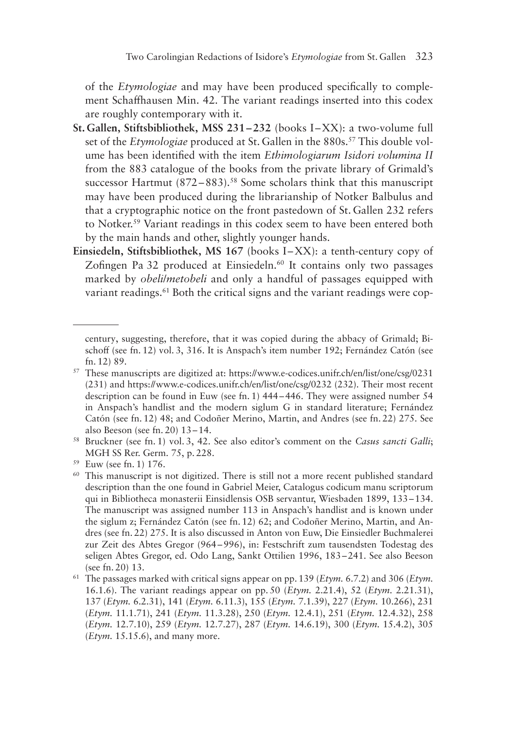of the *Etymologiae* and may have been produced specifically to complement Schaffhausen Min. 42. The variant readings inserted into this codex are roughly contemporary with it.

- **St. Gallen, Stiftsbibliothek, MSS 231–232** (books I–XX): a two-volume full set of the *Etymologiae* produced at St. Gallen in the 880s.<sup>57</sup> This double volume has been identified with the item *Ethimologiarum Isidori volumina II* from the 883 catalogue of the books from the private library of Grimald's successor Hartmut  $(872-883)$ .<sup>58</sup> Some scholars think that this manuscript may have been produced during the librarianship of Notker Balbulus and that a cryptographic notice on the front pastedown of St. Gallen 232 refers to Notker. 59 Variant readings in this codex seem to have been entered both by the main hands and other, slightly younger hands.
- **Einsiedeln, Stiftsbibliothek, MS 167** (books I–XX): a tenth-century copy of Zofingen Pa 32 produced at Einsiedeln.<sup>60</sup> It contains only two passages marked by *obeli*/*metobeli* and only a handful of passages equipped with variant readings.<sup>61</sup> Both the critical signs and the variant readings were cop-

century, suggesting, therefore, that it was copied during the abbacy of Grimald; Bischoff (see fn. 12) vol. 3, 316. It is Anspach's item number 192; Fernández Catón (see fn. 12) 89.

<sup>57</sup> These manuscripts are digitized at: https://www.e-codices.unifr.ch/en/list/one/csg/0231 (231) and https://www.e-codices.unifr.ch/en/list/one/csg/0232 (232). Their most recent description can be found in Euw (see fn. 1) 444–446. They were assigned number 54 in Anspach's handlist and the modern siglum G in standard literature; Fernández Catón (see fn. 12) 48; and Codoñer Merino, Martin, and Andres (see fn. 22) 275. See also Beeson (see fn. 20) 13–14.

<sup>58</sup> Bruckner (see fn. 1) vol. 3, 42. See also editor's comment on the *Casus sancti Galli*; MGH SS Rer. Germ. 75, p. 228.

<sup>59</sup> Euw (see fn. 1) 176.

<sup>&</sup>lt;sup>60</sup> This manuscript is not digitized. There is still not a more recent published standard description than the one found in Gabriel Meier, Catalogus codicum manu scriptorum qui in Bibliotheca monasterii Einsidlensis OSB servantur, Wiesbaden 1899, 133–134. The manuscript was assigned number 113 in Anspach's handlist and is known under the siglum z; Fernández Catón (see fn. 12) 62; and Codoñer Merino, Martin, and Andres (see fn. 22) 275. It is also discussed in Anton von Euw, Die Einsiedler Buchmalerei zur Zeit des Abtes Gregor (964–996), in: Festschrift zum tausendsten Todestag des seligen Abtes Gregor, ed. Odo Lang, Sankt Ottilien 1996, 183–241. See also Beeson (see fn. 20) 13.

<sup>61</sup> The passages marked with critical signs appear on pp. 139 (*Etym.* 6.7.2) and 306 (*Etym.* 16.1.6). The variant readings appear on pp. 50 (*Etym.* 2.21.4), 52 (*Etym.* 2.21.31), 137 (*Etym.* 6.2.31), 141 (*Etym.* 6.11.3), 155 (*Etym.* 7.1.39), 227 (*Etym.* 10.266), 231 (*Etym.* 11.1.71), 241 (*Etym.* 11.3.28), 250 (*Etym.* 12.4.1), 251 (*Etym.* 12.4.32), 258 (*Etym.* 12.7.10), 259 (*Etym.* 12.7.27), 287 (*Etym.* 14.6.19), 300 (*Etym.* 15.4.2), 305 (*Etym.* 15.15.6), and many more.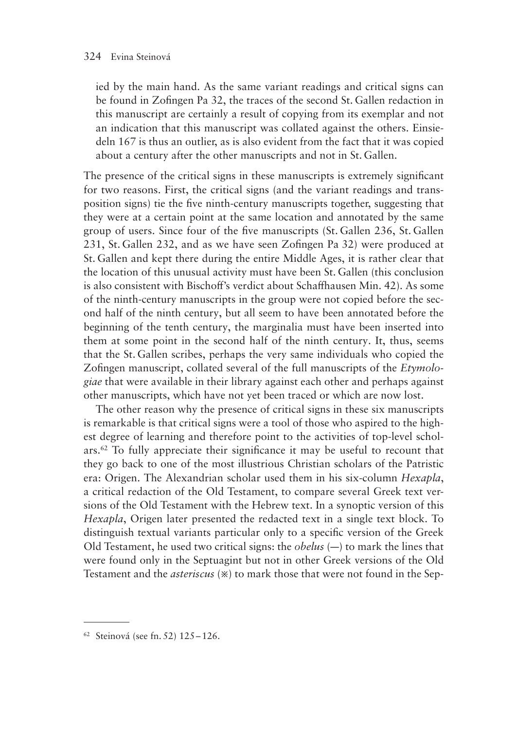ied by the main hand. As the same variant readings and critical signs can be found in Zofingen Pa 32, the traces of the second St. Gallen redaction in this manuscript are certainly a result of copying from its exemplar and not an indication that this manuscript was collated against the others. Einsiedeln 167 is thus an outlier, as is also evident from the fact that it was copied about a century after the other manuscripts and not in St. Gallen.

The presence of the critical signs in these manuscripts is extremely significant for two reasons. First, the critical signs (and the variant readings and transposition signs) tie the five ninth-century manuscripts together, suggesting that they were at a certain point at the same location and annotated by the same group of users. Since four of the five manuscripts (St. Gallen 236, St. Gallen 231, St. Gallen 232, and as we have seen Zofingen Pa 32) were produced at St. Gallen and kept there during the entire Middle Ages, it is rather clear that the location of this unusual activity must have been St. Gallen (this conclusion is also consistent with Bischoff's verdict about Schaffhausen Min. 42). As some of the ninth-century manuscripts in the group were not copied before the second half of the ninth century, but all seem to have been annotated before the beginning of the tenth century, the marginalia must have been inserted into them at some point in the second half of the ninth century. It, thus, seems that the St. Gallen scribes, perhaps the very same individuals who copied the Zofingen manuscript, collated several of the full manuscripts of the *Etymologiae* that were available in their library against each other and perhaps against other manuscripts, which have not yet been traced or which are now lost.

The other reason why the presence of critical signs in these six manuscripts is remarkable is that critical signs were a tool of those who aspired to the highest degree of learning and therefore point to the activities of top-level scholars.62 To fully appreciate their significance it may be useful to recount that they go back to one of the most illustrious Christian scholars of the Patristic era: Origen. The Alexandrian scholar used them in his six-column *Hexapla*, a critical redaction of the Old Testament, to compare several Greek text versions of the Old Testament with the Hebrew text. In a synoptic version of this *Hexapla*, Origen later presented the redacted text in a single text block. To distinguish textual variants particular only to a specific version of the Greek Old Testament, he used two critical signs: the *obelus* (—) to mark the lines that were found only in the Septuagint but not in other Greek versions of the Old Testament and the *asteriscus* (※) to mark those that were not found in the Sep-

<sup>62</sup> Steinová (see fn. 52) 125–126.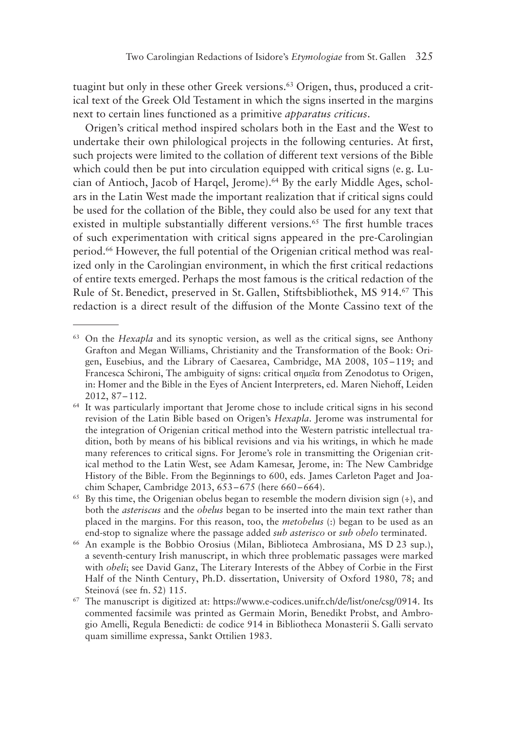tuagint but only in these other Greek versions.<sup>63</sup> Origen, thus, produced a critical text of the Greek Old Testament in which the signs inserted in the margins next to certain lines functioned as a primitive *apparatus criticus*.

Origen's critical method inspired scholars both in the East and the West to undertake their own philological projects in the following centuries. At first, such projects were limited to the collation of different text versions of the Bible which could then be put into circulation equipped with critical signs (e.g. Lucian of Antioch, Jacob of Harqel, Jerome).64 By the early Middle Ages, scholars in the Latin West made the important realization that if critical signs could be used for the collation of the Bible, they could also be used for any text that existed in multiple substantially different versions.<sup>65</sup> The first humble traces of such experimentation with critical signs appeared in the pre-Carolingian period.66 However, the full potential of the Origenian critical method was realized only in the Carolingian environment, in which the first critical redactions of entire texts emerged. Perhaps the most famous is the critical redaction of the Rule of St. Benedict, preserved in St. Gallen, Stiftsbibliothek, MS 914. 67 This redaction is a direct result of the diffusion of the Monte Cassino text of the

<sup>63</sup> On the *Hexapla* and its synoptic version, as well as the critical signs, see Anthony Grafton and Megan Williams, Christianity and the Transformation of the Book: Origen, Eusebius, and the Library of Caesarea, Cambridge, MA 2008, 105–119; and Francesca Schironi, The ambiguity of signs: critical σημεῖα from Zenodotus to Origen, in: Homer and the Bible in the Eyes of Ancient Interpreters, ed. Maren Niehoff, Leiden 2012, 87–112.

<sup>&</sup>lt;sup>64</sup> It was particularly important that Jerome chose to include critical signs in his second revision of the Latin Bible based on Origen's *Hexapla*. Jerome was instrumental for the integration of Origenian critical method into the Western patristic intellectual tradition, both by means of his biblical revisions and via his writings, in which he made many references to critical signs. For Jerome's role in transmitting the Origenian critical method to the Latin West, see Adam Kamesar, Jerome, in: The New Cambridge History of the Bible. From the Beginnings to 600, eds. James Carleton Paget and Joachim Schaper, Cambridge 2013, 653–675 (here 660–664).

<sup>&</sup>lt;sup>65</sup> By this time, the Origenian obelus began to resemble the modern division sign  $(\frac{1}{2})$ , and both the *asteriscus* and the *obelus* began to be inserted into the main text rather than placed in the margins. For this reason, too, the *metobelus* (:) began to be used as an end-stop to signalize where the passage added *sub asterisco* or *sub obelo* terminated.

<sup>66</sup> An example is the Bobbio Orosius (Milan, Biblioteca Ambrosiana, MS D 23 sup.), a seventh-century Irish manuscript, in which three problematic passages were marked with *obeli*; see David Ganz, The Literary Interests of the Abbey of Corbie in the First Half of the Ninth Century, Ph.D. dissertation, University of Oxford 1980, 78; and Steinová (see fn. 52) 115.

 $67$  The manuscript is digitized at: https://www.e-codices.unifr.ch/de/list/one/csg/0914. Its commented facsimile was printed as Germain Morin, Benedikt Probst, and Ambrogio Amelli, Regula Benedicti: de codice 914 in Bibliotheca Monasterii S. Galli servato quam simillime expressa, Sankt Ottilien 1983.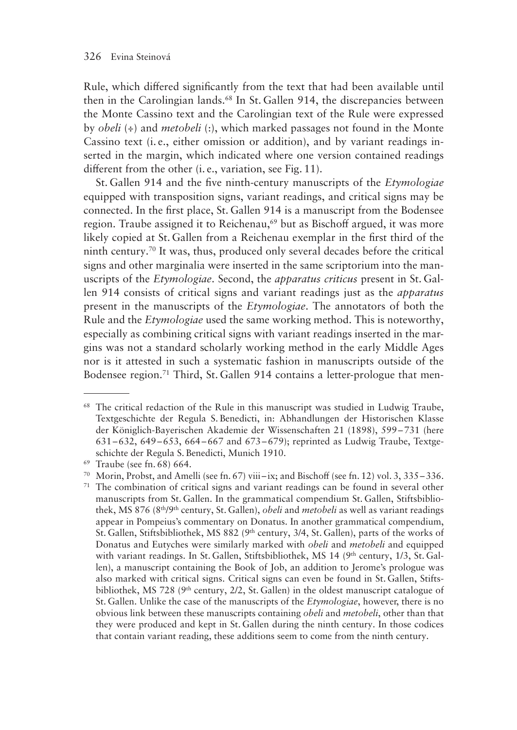Rule, which differed significantly from the text that had been available until then in the Carolingian lands.<sup>68</sup> In St. Gallen 914, the discrepancies between the Monte Cassino text and the Carolingian text of the Rule were expressed by *obeli* (÷) and *metobeli* (:), which marked passages not found in the Monte Cassino text (i. e., either omission or addition), and by variant readings inserted in the margin, which indicated where one version contained readings different from the other (i. e., variation, see Fig. 11).

St. Gallen 914 and the five ninth-century manuscripts of the *Etymologiae* equipped with transposition signs, variant readings, and critical signs may be connected. In the first place, St. Gallen 914 is a manuscript from the Bodensee region. Traube assigned it to Reichenau,<sup>69</sup> but as Bischoff argued, it was more likely copied at St. Gallen from a Reichenau exemplar in the first third of the ninth century.70 It was, thus, produced only several decades before the critical signs and other marginalia were inserted in the same scriptorium into the manuscripts of the *Etymologiae*. Second, the *apparatus criticus* present in St. Gallen 914 consists of critical signs and variant readings just as the *apparatus* present in the manuscripts of the *Etymologiae*. The annotators of both the Rule and the *Etymologiae* used the same working method. This is noteworthy, especially as combining critical signs with variant readings inserted in the margins was not a standard scholarly working method in the early Middle Ages nor is it attested in such a systematic fashion in manuscripts outside of the Bodensee region.<sup>71</sup> Third, St. Gallen 914 contains a letter-prologue that men-

<sup>&</sup>lt;sup>68</sup> The critical redaction of the Rule in this manuscript was studied in Ludwig Traube, Textgeschichte der Regula S. Benedicti, in: Abhandlungen der Historischen Klasse der Königlich-Bayerischen Akademie der Wissenschaften 21 (1898), 599–731 (here 631–632, 649–653, 664–667 and 673–679); reprinted as Ludwig Traube, Textgeschichte der Regula S. Benedicti, Munich 1910.

<sup>69</sup> Traube (see fn. 68) 664.

<sup>70</sup> Morin, Probst, and Amelli (see fn. 67) viii– ix; and Bischoff (see fn. 12) vol. 3, 335–336.

<sup>&</sup>lt;sup>71</sup> The combination of critical signs and variant readings can be found in several other manuscripts from St. Gallen. In the grammatical compendium St. Gallen, Stiftsbibliothek, MS 876 (8th/9th century, St. Gallen), *obeli* and *metobeli* as well as variant readings appear in Pompeius's commentary on Donatus. In another grammatical compendium, St. Gallen, Stiftsbibliothek, MS 882 ( $9<sup>th</sup>$  century, 3/4, St. Gallen), parts of the works of Donatus and Eutyches were similarly marked with *obeli* and *metobeli* and equipped with variant readings. In St. Gallen, Stiftsbibliothek, MS  $14$  (9<sup>th</sup> century, 1/3, St. Gallen), a manuscript containing the Book of Job, an addition to Jerome's prologue was also marked with critical signs. Critical signs can even be found in St. Gallen, Stiftsbibliothek, MS 728 (9<sup>th</sup> century, 2/2, St. Gallen) in the oldest manuscript catalogue of St. Gallen. Unlike the case of the manuscripts of the *Etymologiae*, however, there is no obvious link between these manuscripts containing *obeli* and *metobeli*, other than that they were produced and kept in St. Gallen during the ninth century. In those codices that contain variant reading, these additions seem to come from the ninth century.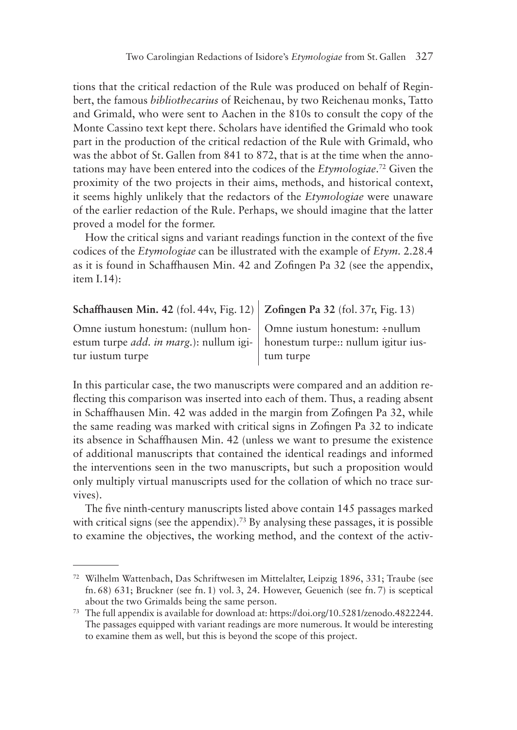tions that the critical redaction of the Rule was produced on behalf of Reginbert, the famous *bibliothecarius* of Reichenau, by two Reichenau monks, Tatto and Grimald, who were sent to Aachen in the 810s to consult the copy of the Monte Cassino text kept there. Scholars have identified the Grimald who took part in the production of the critical redaction of the Rule with Grimald, who was the abbot of St. Gallen from 841 to 872, that is at the time when the annotations may have been entered into the codices of the *Etymologiae*. 72 Given the proximity of the two projects in their aims, methods, and historical context, it seems highly unlikely that the redactors of the *Etymologiae* were unaware of the earlier redaction of the Rule. Perhaps, we should imagine that the latter proved a model for the former.

How the critical signs and variant readings function in the context of the five codices of the *Etymologiae* can be illustrated with the example of *Etym.* 2.28.4 as it is found in Schaffhausen Min. 42 and Zofingen Pa 32 (see the appendix, item I.14):

| Schaffhausen Min. 42 (fol. 44v, Fig. 12)   Zofingen Pa 32 (fol. 37r, Fig. 13) |  |  |  |  |  |  |  |  |  |  |  |  |  |
|-------------------------------------------------------------------------------|--|--|--|--|--|--|--|--|--|--|--|--|--|
|-------------------------------------------------------------------------------|--|--|--|--|--|--|--|--|--|--|--|--|--|

Omne iustum honestum: (nullum honestum turpe *add. in marg*.): nullum igi- | honestum turpe:: nullum igitur iustur iustum turpe

Omne iustum honestum: ÷nullum tum turpe

In this particular case, the two manuscripts were compared and an addition reflecting this comparison was inserted into each of them. Thus, a reading absent in Schaffhausen Min. 42 was added in the margin from Zofingen Pa 32, while the same reading was marked with critical signs in Zofingen Pa 32 to indicate its absence in Schaffhausen Min. 42 (unless we want to presume the existence of additional manuscripts that contained the identical readings and informed the interventions seen in the two manuscripts, but such a proposition would only multiply virtual manuscripts used for the collation of which no trace survives).

The five ninth-century manuscripts listed above contain 145 passages marked with critical signs (see the appendix).<sup>73</sup> By analysing these passages, it is possible to examine the objectives, the working method, and the context of the activ-

<sup>72</sup> Wilhelm Wattenbach, Das Schriftwesen im Mittelalter, Leipzig 1896, 331; Traube (see fn. 68) 631; Bruckner (see fn. 1) vol. 3, 24. However, Geuenich (see fn. 7) is sceptical about the two Grimalds being the same person.

<sup>73</sup> The full appendix is available for download at: https://doi.org/10.5281/zenodo.4822244. The passages equipped with variant readings are more numerous. It would be interesting to examine them as well, but this is beyond the scope of this project.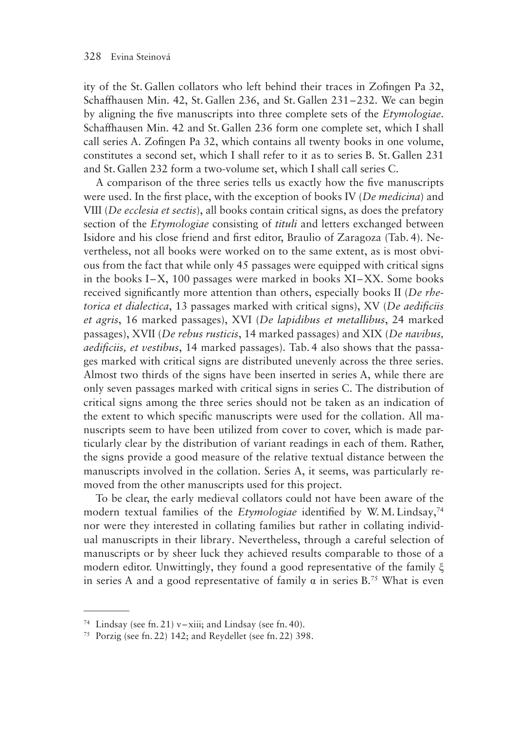ity of the St. Gallen collators who left behind their traces in Zofingen Pa 32, Schaffhausen Min. 42, St. Gallen 236, and St. Gallen 231–232. We can begin by aligning the five manuscripts into three complete sets of the *Etymologiae*. Schaffhausen Min. 42 and St. Gallen 236 form one complete set, which I shall call series A. Zofingen Pa 32, which contains all twenty books in one volume, constitutes a second set, which I shall refer to it as to series B. St. Gallen 231 and St. Gallen 232 form a two-volume set, which I shall call series C.

A comparison of the three series tells us exactly how the five manuscripts were used. In the first place, with the exception of books IV (*De medicina*) and VIII (*De ecclesia et sectis*), all books contain critical signs, as does the prefatory section of the *Etymologiae* consisting of *tituli* and letters exchanged between Isidore and his close friend and first editor, Braulio of Zaragoza (Tab. 4). Nevertheless, not all books were worked on to the same extent, as is most obvious from the fact that while only 45 passages were equipped with critical signs in the books I–X, 100 passages were marked in books XI –XX. Some books received significantly more attention than others, especially books II (*De rhetorica et dialectica*, 13 passages marked with critical signs), XV (*De aedificiis et agris*, 16 marked passages), XVI (*De lapidibus et metallibus*, 24 marked passages), XVII (*De rebus rusticis*, 14 marked passages) and XIX (*De navibus, aedificiis, et vestibus*, 14 marked passages). Tab. 4 also shows that the passages marked with critical signs are distributed unevenly across the three series. Almost two thirds of the signs have been inserted in series A, while there are only seven passages marked with critical signs in series C. The distribution of critical signs among the three series should not be taken as an indication of the extent to which specific manuscripts were used for the collation. All manuscripts seem to have been utilized from cover to cover, which is made particularly clear by the distribution of variant readings in each of them. Rather, the signs provide a good measure of the relative textual distance between the manuscripts involved in the collation. Series A, it seems, was particularly removed from the other manuscripts used for this project.

To be clear, the early medieval collators could not have been aware of the modern textual families of the *Etymologiae* identified by W. M. Lindsay,<sup>74</sup> nor were they interested in collating families but rather in collating individual manuscripts in their library. Nevertheless, through a careful selection of manuscripts or by sheer luck they achieved results comparable to those of a modern editor. Unwittingly, they found a good representative of the family ξ in series A and a good representative of family  $\alpha$  in series B.<sup>75</sup> What is even

<sup>&</sup>lt;sup>74</sup> Lindsay (see fn. 21) v–xiii; and Lindsay (see fn. 40).

<sup>75</sup> Porzig (see fn. 22) 142; and Reydellet (see fn. 22) 398.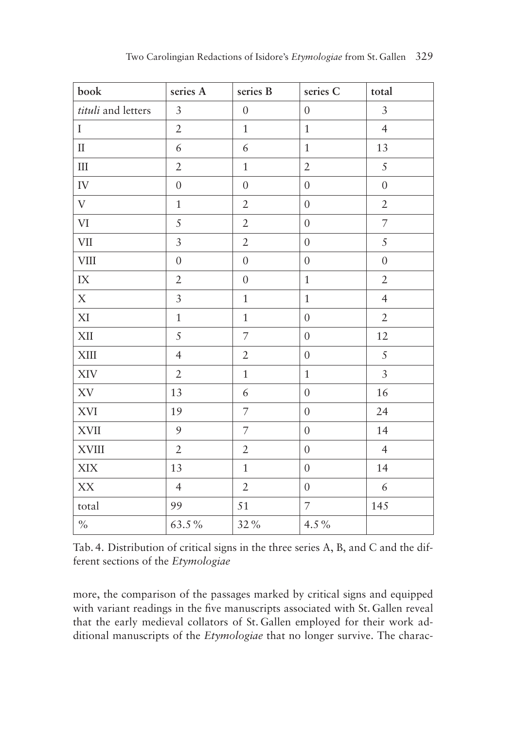| book                              | series A         | series B         | series C         | total          |
|-----------------------------------|------------------|------------------|------------------|----------------|
| tituli and letters                | $\mathfrak{Z}$   | $\boldsymbol{0}$ | $\overline{0}$   | $\mathfrak{Z}$ |
| $\mathbf I$                       | $\overline{2}$   | $\mathbf{1}$     | $\mathbf 1$      | $\overline{4}$ |
| $\rm II$                          | $\epsilon$       | $\epsilon$       | $\mathbf{1}$     | 13             |
| $\rm III$                         | $\overline{2}$   | $\mathbf{1}$     | $\overline{2}$   | 5              |
| ${\rm IV}$                        | $\boldsymbol{0}$ | $\overline{0}$   | $\overline{0}$   | $\overline{0}$ |
| $\mathbf V$                       | $\mathbf{1}$     | $\mathfrak{2}$   | $\overline{0}$   | $\sqrt{2}$     |
| $\mbox{VI}$                       | 5                | $\overline{2}$   | $\boldsymbol{0}$ | $\overline{7}$ |
| <b>VII</b>                        | $\overline{3}$   | $\sqrt{2}$       | $\boldsymbol{0}$ | 5              |
| <b>VIII</b>                       | $\boldsymbol{0}$ | $\boldsymbol{0}$ | $\overline{0}$   | $\overline{0}$ |
| $\rm IX$                          | $\overline{2}$   | $\overline{0}$   | $\mathbf{1}$     | $\overline{2}$ |
| $\mathbf X$                       | $\mathfrak{Z}$   | $\,1\,$          | $\mathbf 1$      | $\overline{4}$ |
| $\ensuremath{\text{XI}}\xspace$   | $\,1$            | $\mathbf{1}$     | $\boldsymbol{0}$ | $\overline{2}$ |
| XII                               | 5                | $\overline{7}$   | $\boldsymbol{0}$ | 12             |
| $\mbox{XIII}$                     | $\overline{4}$   | $\overline{2}$   | $\overline{0}$   | 5              |
| XIV                               | $\overline{2}$   | $\mathbf{1}$     | $\mathbf{1}$     | $\overline{3}$ |
| $\mathbf{X}\mathbf{V}$            | 13               | $\epsilon$       | $\boldsymbol{0}$ | 16             |
| XVI                               | 19               | $\overline{7}$   | $\boldsymbol{0}$ | 24             |
| $\mathbf{X}\mathbf{V}\mathbf{II}$ | 9                | $\overline{7}$   | $\overline{0}$   | 14             |
| <b>XVIII</b>                      | $\overline{2}$   | $\overline{2}$   | $\overline{0}$   | $\overline{4}$ |
| $\ensuremath{\text{XIX}}$         | 13               | $\mathbf{1}$     | $\overline{0}$   | 14             |
| $\mathbf{X}\mathbf{X}$            | $\overline{4}$   | $\overline{2}$   | $\boldsymbol{0}$ | 6              |
| total                             | 99               | 51               | $\overline{7}$   | 145            |
| $\%$                              | 63.5%            | 32%              | $4.5\,\%$        |                |

Tab. 4. Distribution of critical signs in the three series A, B, and C and the different sections of the *Etymologiae*

more, the comparison of the passages marked by critical signs and equipped with variant readings in the five manuscripts associated with St. Gallen reveal that the early medieval collators of St. Gallen employed for their work additional manuscripts of the *Etymologiae* that no longer survive. The charac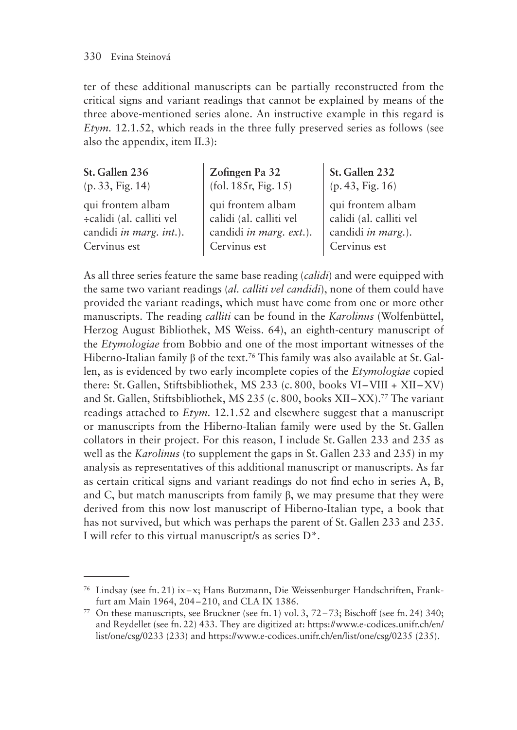ter of these additional manuscripts can be partially reconstructed from the critical signs and variant readings that cannot be explained by means of the three above-mentioned series alone. An instructive example in this regard is *Etym.* 12.1.52, which reads in the three fully preserved series as follows (see also the appendix, item II.3):

| St. Gallen 236           | Zofingen Pa 32          | St. Gallen 232          |
|--------------------------|-------------------------|-------------------------|
| (p. 33, Fig. 14)         | (fol. 185r, Fig. 15)    | (p. 43, Fig. 16)        |
| qui frontem albam        | qui frontem albam       | qui frontem albam       |
| ÷calidi (al. calliti vel | calidi (al. calliti vel | calidi (al. calliti vel |
| candidi in marg. int.).  | candidi in marg. ext.). | candidi in marg.).      |
| Cervinus est             | Cervinus est            | Cervinus est            |

As all three series feature the same base reading (*calidi*) and were equipped with the same two variant readings (*al. calliti vel candidi*), none of them could have provided the variant readings, which must have come from one or more other manuscripts. The reading *calliti* can be found in the *Karolinus* (Wolfenbüttel, Herzog August Bibliothek, MS Weiss. 64), an eighth-century manuscript of the *Etymologiae* from Bobbio and one of the most important witnesses of the Hiberno-Italian family β of the text.<sup>76</sup> This family was also available at St. Gallen, as is evidenced by two early incomplete copies of the *Etymologiae* copied there: St. Gallen, Stiftsbibliothek, MS 233 (c. 800, books VI–VIII + XII–XV) and St. Gallen, Stiftsbibliothek, MS 235 (c. 800, books XII-XX).<sup>77</sup> The variant readings attached to *Etym.* 12.1.52 and elsewhere suggest that a manuscript or manuscripts from the Hiberno-Italian family were used by the St. Gallen collators in their project. For this reason, I include St. Gallen 233 and 235 as well as the *Karolinus* (to supplement the gaps in St. Gallen 233 and 235) in my analysis as representatives of this additional manuscript or manuscripts. As far as certain critical signs and variant readings do not find echo in series A, B, and C, but match manuscripts from family β, we may presume that they were derived from this now lost manuscript of Hiberno-Italian type, a book that has not survived, but which was perhaps the parent of St. Gallen 233 and 235. I will refer to this virtual manuscript/s as series D\*.

<sup>76</sup> Lindsay (see fn. 21) ix–x; Hans Butzmann, Die Weissenburger Handschriften, Frankfurt am Main 1964, 204–210, and CLA IX 1386.

<sup>&</sup>lt;sup>77</sup> On these manuscripts, see Bruckner (see fn. 1) vol. 3,  $72-73$ ; Bischoff (see fn. 24) 340; and Reydellet (see fn. 22) 433. They are digitized at: https://www.e-codices.unifr.ch/en/ list/one/csg/0233 (233) and https://www.e-codices.unifr.ch/en/list/one/csg/0235 (235).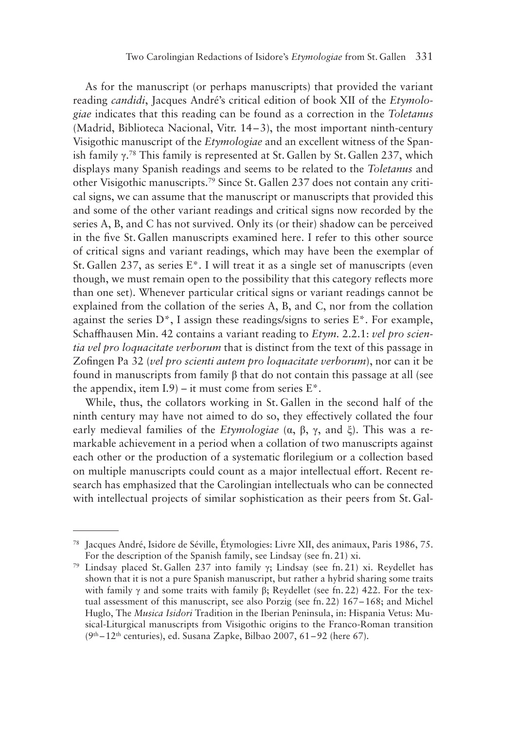As for the manuscript (or perhaps manuscripts) that provided the variant reading *candidi*, Jacques André's critical edition of book XII of the *Etymologiae* indicates that this reading can be found as a correction in the *Toletanus* (Madrid, Biblioteca Nacional, Vitr. 14–3), the most important ninth-century Visigothic manuscript of the *Etymologiae* and an excellent witness of the Spanish family γ. 78 This family is represented at St. Gallen by St. Gallen 237, which displays many Spanish readings and seems to be related to the *Toletanus* and other Visigothic manuscripts.79 Since St. Gallen 237 does not contain any critical signs, we can assume that the manuscript or manuscripts that provided this and some of the other variant readings and critical signs now recorded by the series A, B, and C has not survived. Only its (or their) shadow can be perceived in the five St. Gallen manuscripts examined here. I refer to this other source of critical signs and variant readings, which may have been the exemplar of St. Gallen 237, as series E\*. I will treat it as a single set of manuscripts (even though, we must remain open to the possibility that this category reflects more than one set). Whenever particular critical signs or variant readings cannot be explained from the collation of the series A, B, and C, nor from the collation against the series  $D^*$ , I assign these readings/signs to series  $E^*$ . For example, Schaffhausen Min. 42 contains a variant reading to *Etym.* 2.2.1: *vel pro scientia vel pro loquacitate verborum* that is distinct from the text of this passage in Zofingen Pa 32 (*vel pro scienti autem pro loquacitate verborum*), nor can it be found in manuscripts from family β that do not contain this passage at all (see the appendix, item  $I.9$  – it must come from series  $E^*$ .

While, thus, the collators working in St. Gallen in the second half of the ninth century may have not aimed to do so, they effectively collated the four early medieval families of the *Etymologiae* (α, β, γ, and ξ). This was a remarkable achievement in a period when a collation of two manuscripts against each other or the production of a systematic florilegium or a collection based on multiple manuscripts could count as a major intellectual effort. Recent research has emphasized that the Carolingian intellectuals who can be connected with intellectual projects of similar sophistication as their peers from St. Gal-

<sup>78</sup> Jacques André, Isidore de Séville, Étymologies: Livre XII, des animaux, Paris 1986, 75. For the description of the Spanish family, see Lindsay (see fn. 21) xi.

<sup>79</sup> Lindsay placed St. Gallen 237 into family γ; Lindsay (see fn. 21) xi. Reydellet has shown that it is not a pure Spanish manuscript, but rather a hybrid sharing some traits with family γ and some traits with family β; Reydellet (see fn. 22) 422. For the textual assessment of this manuscript, see also Porzig (see fn. 22) 167–168; and Michel Huglo, The *Musica Isidori* Tradition in the Iberian Peninsula, in: Hispania Vetus: Musical-Liturgical manuscripts from Visigothic origins to the Franco-Roman transition  $(9<sup>th</sup> - 12<sup>th</sup>$  centuries), ed. Susana Zapke, Bilbao 2007, 61–92 (here 67).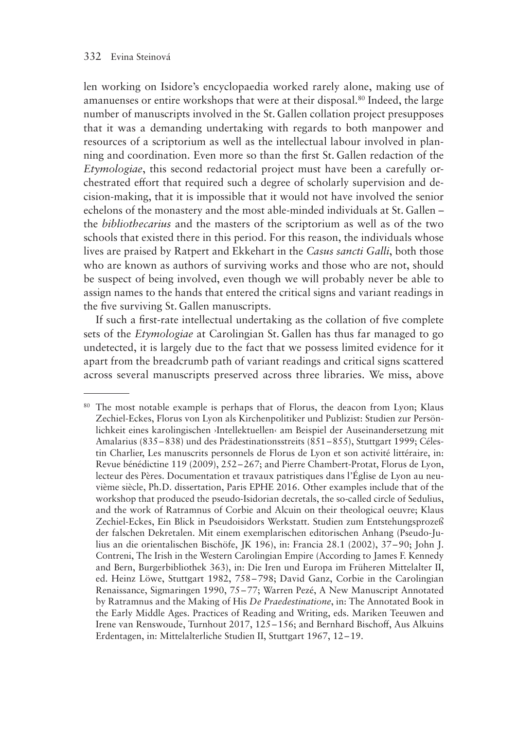len working on Isidore's encyclopaedia worked rarely alone, making use of amanuenses or entire workshops that were at their disposal.80 Indeed, the large number of manuscripts involved in the St. Gallen collation project presupposes that it was a demanding undertaking with regards to both manpower and resources of a scriptorium as well as the intellectual labour involved in planning and coordination. Even more so than the first St. Gallen redaction of the *Etymologiae*, this second redactorial project must have been a carefully orchestrated effort that required such a degree of scholarly supervision and decision-making, that it is impossible that it would not have involved the senior echelons of the monastery and the most able-minded individuals at St. Gallen – the *bibliothecarius* and the masters of the scriptorium as well as of the two schools that existed there in this period. For this reason, the individuals whose lives are praised by Ratpert and Ekkehart in the *Casus sancti Galli*, both those who are known as authors of surviving works and those who are not, should be suspect of being involved, even though we will probably never be able to assign names to the hands that entered the critical signs and variant readings in the five surviving St. Gallen manuscripts.

If such a first-rate intellectual undertaking as the collation of five complete sets of the *Etymologiae* at Carolingian St. Gallen has thus far managed to go undetected, it is largely due to the fact that we possess limited evidence for it apart from the breadcrumb path of variant readings and critical signs scattered across several manuscripts preserved across three libraries. We miss, above

<sup>&</sup>lt;sup>80</sup> The most notable example is perhaps that of Florus, the deacon from Lyon; Klaus Zechiel-Eckes, Florus von Lyon als Kirchenpolitiker und Publizist: Studien zur Persönlichkeit eines karolingischen ›Intellektuellen‹ am Beispiel der Auseinandersetzung mit Amalarius (835–838) und des Prädestinationsstreits (851–855), Stuttgart 1999; Célestin Charlier, Les manuscrits personnels de Florus de Lyon et son activité littéraire, in: Revue bénédictine 119 (2009), 252–267; and Pierre Chambert-Protat, Florus de Lyon, lecteur des Pères. Documentation et travaux patristiques dans l'Église de Lyon au neuvième siècle, Ph.D. dissertation, Paris EPHE 2016. Other examples include that of the workshop that produced the pseudo-Isidorian decretals, the so-called circle of Sedulius, and the work of Ratramnus of Corbie and Alcuin on their theological oeuvre; Klaus Zechiel-Eckes, Ein Blick in Pseudoisidors Werkstatt. Studien zum Entstehungsprozeß der falschen Dekretalen. Mit einem exemplarischen editorischen Anhang (Pseudo-Julius an die orientalischen Bischöfe, JK 196), in: Francia 28.1 (2002), 37–90; John J. Contreni, The Irish in the Western Carolingian Empire (According to James F. Kennedy and Bern, Burgerbibliothek 363), in: Die Iren und Europa im Früheren Mittelalter II, ed. Heinz Löwe, Stuttgart 1982, 758–798; David Ganz, Corbie in the Carolingian Renaissance, Sigmaringen 1990, 75–77; Warren Pezé, A New Manuscript Annotated by Ratramnus and the Making of His *De Praedestinatione*, in: The Annotated Book in the Early Middle Ages. Practices of Reading and Writing, eds. Mariken Teeuwen and Irene van Renswoude, Turnhout 2017, 125–156; and Bernhard Bischoff, Aus Alkuins Erdentagen, in: Mittelalterliche Studien II, Stuttgart 1967, 12–19.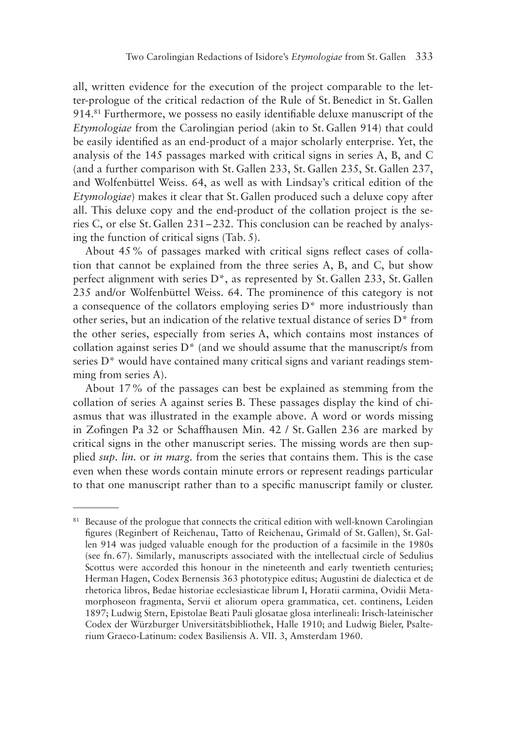all, written evidence for the execution of the project comparable to the letter-prologue of the critical redaction of the Rule of St. Benedict in St. Gallen 914.81 Furthermore, we possess no easily identifiable deluxe manuscript of the *Etymologiae* from the Carolingian period (akin to St. Gallen 914) that could be easily identified as an end-product of a major scholarly enterprise. Yet, the analysis of the 145 passages marked with critical signs in series A, B, and C (and a further comparison with St. Gallen 233, St. Gallen 235, St. Gallen 237, and Wolfenbüttel Weiss. 64, as well as with Lindsay's critical edition of the *Etymologiae*) makes it clear that St. Gallen produced such a deluxe copy after all. This deluxe copy and the end-product of the collation project is the series C, or else St. Gallen 231–232. This conclusion can be reached by analysing the function of critical signs (Tab. 5).

About 45% of passages marked with critical signs reflect cases of collation that cannot be explained from the three series A, B, and C, but show perfect alignment with series D\*, as represented by St. Gallen 233, St. Gallen 235 and/or Wolfenbüttel Weiss. 64. The prominence of this category is not a consequence of the collators employing series D\* more industriously than other series, but an indication of the relative textual distance of series D\* from the other series, especially from series A, which contains most instances of collation against series  $D^*$  (and we should assume that the manuscript/s from series D<sup>\*</sup> would have contained many critical signs and variant readings stemming from series A).

About 17% of the passages can best be explained as stemming from the collation of series A against series B. These passages display the kind of chiasmus that was illustrated in the example above. A word or words missing in Zofingen Pa 32 or Schaffhausen Min. 42 / St. Gallen 236 are marked by critical signs in the other manuscript series. The missing words are then supplied *sup. lin.* or *in marg.* from the series that contains them. This is the case even when these words contain minute errors or represent readings particular to that one manuscript rather than to a specific manuscript family or cluster.

<sup>&</sup>lt;sup>81</sup> Because of the prologue that connects the critical edition with well-known Carolingian figures (Reginbert of Reichenau, Tatto of Reichenau, Grimald of St. Gallen), St. Gallen 914 was judged valuable enough for the production of a facsimile in the 1980s (see fn. 67). Similarly, manuscripts associated with the intellectual circle of Sedulius Scottus were accorded this honour in the nineteenth and early twentieth centuries; Herman Hagen, Codex Bernensis 363 phototypice editus; Augustini de dialectica et de rhetorica libros, Bedae historiae ecclesiasticae librum I, Horatii carmina, Ovidii Metamorphoseon fragmenta, Servii et aliorum opera grammatica, cet. continens, Leiden 1897; Ludwig Stern, Epistolae Beati Pauli glosatae glosa interlineali: Irisch-lateinischer Codex der Würzburger Universitätsbibliothek, Halle 1910; and Ludwig Bieler, Psalterium Graeco-Latinum: codex Basiliensis A. VII. 3, Amsterdam 1960.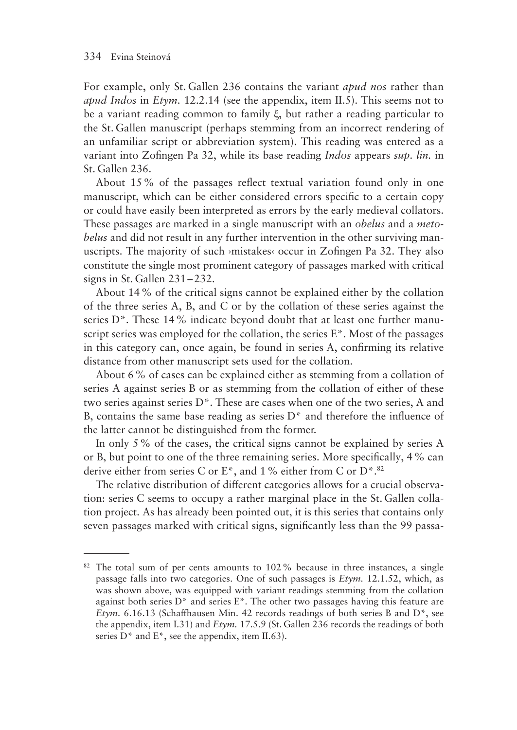For example, only St. Gallen 236 contains the variant *apud nos* rather than *apud Indos* in *Etym.* 12.2.14 (see the appendix, item II.5). This seems not to be a variant reading common to family ξ, but rather a reading particular to the St. Gallen manuscript (perhaps stemming from an incorrect rendering of an unfamiliar script or abbreviation system). This reading was entered as a variant into Zofingen Pa 32, while its base reading *Indos* appears *sup. lin.* in St. Gallen 236.

About 15% of the passages reflect textual variation found only in one manuscript, which can be either considered errors specific to a certain copy or could have easily been interpreted as errors by the early medieval collators. These passages are marked in a single manuscript with an *obelus* and a *metobelus* and did not result in any further intervention in the other surviving manuscripts. The majority of such ›mistakes‹ occur in Zofingen Pa 32. They also constitute the single most prominent category of passages marked with critical signs in St. Gallen 231–232.

About 14% of the critical signs cannot be explained either by the collation of the three series A, B, and C or by the collation of these series against the series D<sup>\*</sup>. These 14% indicate beyond doubt that at least one further manuscript series was employed for the collation, the series  $E^*$ . Most of the passages in this category can, once again, be found in series A, confirming its relative distance from other manuscript sets used for the collation.

About 6% of cases can be explained either as stemming from a collation of series A against series B or as stemming from the collation of either of these two series against series D\*. These are cases when one of the two series, A and B, contains the same base reading as series D\* and therefore the influence of the latter cannot be distinguished from the former.

In only 5% of the cases, the critical signs cannot be explained by series A or B, but point to one of the three remaining series. More specifically, 4% can derive either from series C or E<sup>\*</sup>, and 1% either from C or  $D^*$ .<sup>82</sup>

The relative distribution of different categories allows for a crucial observation: series C seems to occupy a rather marginal place in the St. Gallen collation project. As has already been pointed out, it is this series that contains only seven passages marked with critical signs, significantly less than the 99 passa-

<sup>&</sup>lt;sup>82</sup> The total sum of per cents amounts to 102% because in three instances, a single passage falls into two categories. One of such passages is *Etym.* 12.1.52, which, as was shown above, was equipped with variant readings stemming from the collation against both series  $D^*$  and series  $E^*$ . The other two passages having this feature are *Etym.* 6.16.13 (Schaffhausen Min. 42 records readings of both series B and D\*, see the appendix, item I.31) and *Etym.* 17.5.9 (St. Gallen 236 records the readings of both series  $D^*$  and  $E^*$ , see the appendix, item II.63).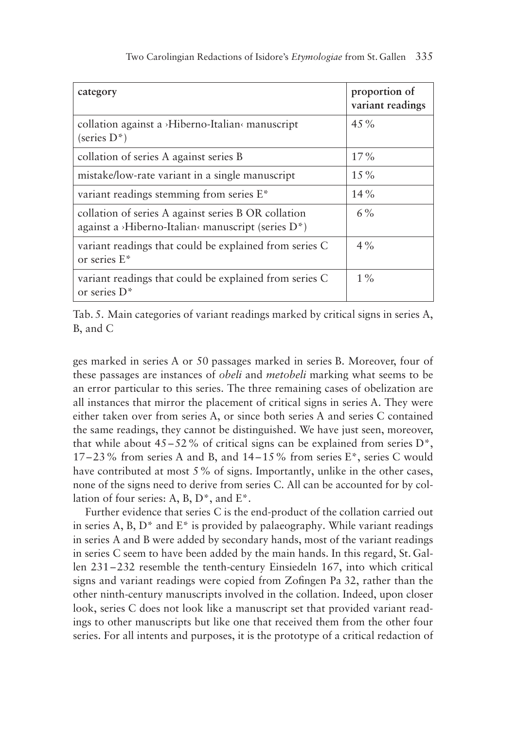| category                                                                                                                            | proportion of<br>variant readings |
|-------------------------------------------------------------------------------------------------------------------------------------|-----------------------------------|
| collation against a >Hiberno-Italian< manuscript<br>(series D <sup>*</sup> )                                                        | $4.5\%$                           |
| collation of series A against series B                                                                                              | $17\%$                            |
| mistake/low-rate variant in a single manuscript                                                                                     | $1.5\%$                           |
| variant readings stemming from series E*                                                                                            | 14%                               |
| collation of series A against series B OR collation<br>against a >Hiberno-Italian <manuscript (series="" <math="">D^*)</manuscript> | $6\%$                             |
| variant readings that could be explained from series C<br>or series E*                                                              | $4\%$                             |
| variant readings that could be explained from series C<br>or series $D^*$                                                           | $1\%$                             |

Tab. 5. Main categories of variant readings marked by critical signs in series A, B, and C

ges marked in series A or 50 passages marked in series B. Moreover, four of these passages are instances of *obeli* and *metobeli* marking what seems to be an error particular to this series. The three remaining cases of obelization are all instances that mirror the placement of critical signs in series A. They were either taken over from series A, or since both series A and series C contained the same readings, they cannot be distinguished. We have just seen, moreover, that while about  $45-52\%$  of critical signs can be explained from series  $D^*$ , 17–23% from series A and B, and 14–15% from series E\*, series C would have contributed at most 5% of signs. Importantly, unlike in the other cases, none of the signs need to derive from series C. All can be accounted for by collation of four series: A, B, D\*, and E\*.

Further evidence that series C is the end-product of the collation carried out in series A, B,  $D^*$  and  $E^*$  is provided by palaeography. While variant readings in series A and B were added by secondary hands, most of the variant readings in series C seem to have been added by the main hands. In this regard, St. Gallen 231–232 resemble the tenth-century Einsiedeln 167, into which critical signs and variant readings were copied from Zofingen Pa 32, rather than the other ninth-century manuscripts involved in the collation. Indeed, upon closer look, series C does not look like a manuscript set that provided variant readings to other manuscripts but like one that received them from the other four series. For all intents and purposes, it is the prototype of a critical redaction of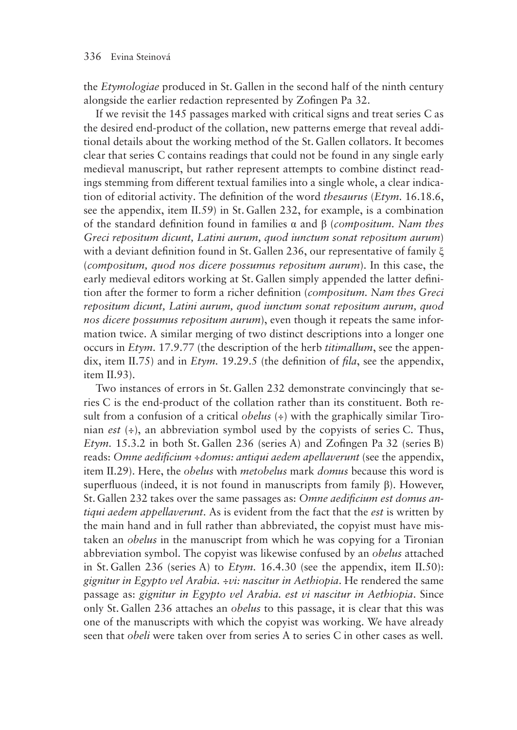the *Etymologiae* produced in St. Gallen in the second half of the ninth century alongside the earlier redaction represented by Zofingen Pa 32.

If we revisit the 145 passages marked with critical signs and treat series C as the desired end-product of the collation, new patterns emerge that reveal additional details about the working method of the St. Gallen collators. It becomes clear that series C contains readings that could not be found in any single early medieval manuscript, but rather represent attempts to combine distinct readings stemming from different textual families into a single whole, a clear indication of editorial activity. The definition of the word *thesaurus* (*Etym.* 16.18.6, see the appendix, item II.59) in St. Gallen 232, for example, is a combination of the standard definition found in families α and β (*compositum. Nam thes Greci repositum dicunt, Latini aurum, quod iunctum sonat repositum aurum*) with a deviant definition found in St. Gallen 236, our representative of family ξ (*compositum, quod nos dicere possumus repositum aurum*). In this case, the early medieval editors working at St. Gallen simply appended the latter definition after the former to form a richer definition (*compositum. Nam thes Greci repositum dicunt, Latini aurum, quod iunctum sonat repositum aurum, quod nos dicere possumus repositum aurum*), even though it repeats the same information twice. A similar merging of two distinct descriptions into a longer one occurs in *Etym.* 17.9.77 (the description of the herb *titimallum*, see the appendix, item II.75) and in *Etym.* 19.29.5 (the definition of *fila*, see the appendix, item II.93).

Two instances of errors in St. Gallen 232 demonstrate convincingly that series C is the end-product of the collation rather than its constituent. Both result from a confusion of a critical *obelus* (÷) with the graphically similar Tironian *est* (÷), an abbreviation symbol used by the copyists of series C. Thus, *Etym.* 15.3.2 in both St. Gallen 236 (series A) and Zofingen Pa 32 (series B) reads: *Omne aedificium ÷domus: antiqui aedem apellaverunt* (see the appendix, item II.29). Here, the *obelus* with *metobelus* mark *domus* because this word is superfluous (indeed, it is not found in manuscripts from family β). However, St. Gallen 232 takes over the same passages as: *Omne aedificium est domus antiqui aedem appellaverunt*. As is evident from the fact that the *est* is written by the main hand and in full rather than abbreviated, the copyist must have mistaken an *obelus* in the manuscript from which he was copying for a Tironian abbreviation symbol. The copyist was likewise confused by an *obelus* attached in St. Gallen 236 (series A) to *Etym.* 16.4.30 (see the appendix, item II.50): *gignitur in Egypto vel Arabia. ÷vi: nascitur in Aethiopia*. He rendered the same passage as: *gignitur in Egypto vel Arabia. est vi nascitur in Aethiopia*. Since only St. Gallen 236 attaches an *obelus* to this passage, it is clear that this was one of the manuscripts with which the copyist was working. We have already seen that *obeli* were taken over from series A to series C in other cases as well.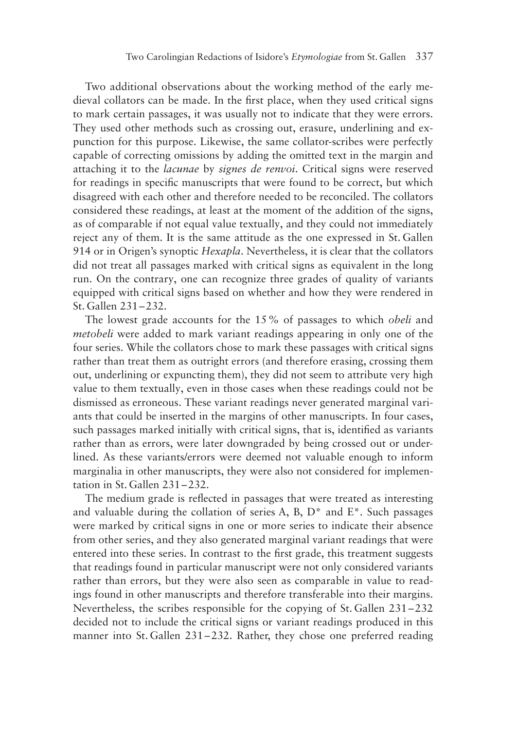Two additional observations about the working method of the early medieval collators can be made. In the first place, when they used critical signs to mark certain passages, it was usually not to indicate that they were errors. They used other methods such as crossing out, erasure, underlining and expunction for this purpose. Likewise, the same collator-scribes were perfectly capable of correcting omissions by adding the omitted text in the margin and attaching it to the *lacunae* by *signes de renvoi*. Critical signs were reserved for readings in specific manuscripts that were found to be correct, but which disagreed with each other and therefore needed to be reconciled. The collators considered these readings, at least at the moment of the addition of the signs, as of comparable if not equal value textually, and they could not immediately reject any of them. It is the same attitude as the one expressed in St. Gallen 914 or in Origen's synoptic *Hexapla*. Nevertheless, it is clear that the collators did not treat all passages marked with critical signs as equivalent in the long run. On the contrary, one can recognize three grades of quality of variants equipped with critical signs based on whether and how they were rendered in St. Gallen 231–232.

The lowest grade accounts for the 15% of passages to which *obeli* and *metobeli* were added to mark variant readings appearing in only one of the four series. While the collators chose to mark these passages with critical signs rather than treat them as outright errors (and therefore erasing, crossing them out, underlining or expuncting them), they did not seem to attribute very high value to them textually, even in those cases when these readings could not be dismissed as erroneous. These variant readings never generated marginal variants that could be inserted in the margins of other manuscripts. In four cases, such passages marked initially with critical signs, that is, identified as variants rather than as errors, were later downgraded by being crossed out or underlined. As these variants/errors were deemed not valuable enough to inform marginalia in other manuscripts, they were also not considered for implementation in St. Gallen 231–232.

The medium grade is reflected in passages that were treated as interesting and valuable during the collation of series A, B,  $D^*$  and  $E^*$ . Such passages were marked by critical signs in one or more series to indicate their absence from other series, and they also generated marginal variant readings that were entered into these series. In contrast to the first grade, this treatment suggests that readings found in particular manuscript were not only considered variants rather than errors, but they were also seen as comparable in value to readings found in other manuscripts and therefore transferable into their margins. Nevertheless, the scribes responsible for the copying of St. Gallen 231–232 decided not to include the critical signs or variant readings produced in this manner into St. Gallen 231–232. Rather, they chose one preferred reading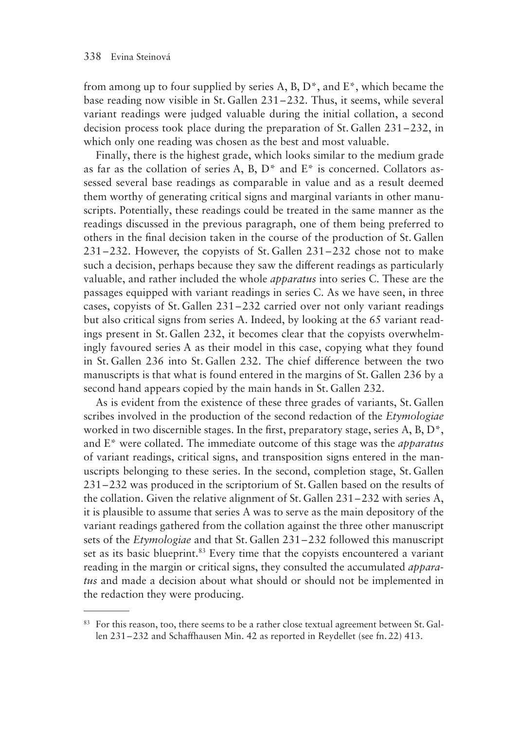from among up to four supplied by series A, B, D\*, and E\*, which became the base reading now visible in St. Gallen 231–232. Thus, it seems, while several variant readings were judged valuable during the initial collation, a second decision process took place during the preparation of St. Gallen 231–232, in which only one reading was chosen as the best and most valuable.

Finally, there is the highest grade, which looks similar to the medium grade as far as the collation of series A, B,  $D^*$  and  $E^*$  is concerned. Collators assessed several base readings as comparable in value and as a result deemed them worthy of generating critical signs and marginal variants in other manuscripts. Potentially, these readings could be treated in the same manner as the readings discussed in the previous paragraph, one of them being preferred to others in the final decision taken in the course of the production of St. Gallen 231–232. However, the copyists of St. Gallen 231–232 chose not to make such a decision, perhaps because they saw the different readings as particularly valuable, and rather included the whole *apparatus* into series C. These are the passages equipped with variant readings in series C. As we have seen, in three cases, copyists of St. Gallen 231–232 carried over not only variant readings but also critical signs from series A. Indeed, by looking at the 65 variant readings present in St. Gallen 232, it becomes clear that the copyists overwhelmingly favoured series A as their model in this case, copying what they found in St. Gallen 236 into St. Gallen 232. The chief difference between the two manuscripts is that what is found entered in the margins of St. Gallen 236 by a second hand appears copied by the main hands in St. Gallen 232.

As is evident from the existence of these three grades of variants, St. Gallen scribes involved in the production of the second redaction of the *Etymologiae* worked in two discernible stages. In the first, preparatory stage, series A, B, D\*, and E\* were collated. The immediate outcome of this stage was the *apparatus* of variant readings, critical signs, and transposition signs entered in the manuscripts belonging to these series. In the second, completion stage, St. Gallen 231–232 was produced in the scriptorium of St. Gallen based on the results of the collation. Given the relative alignment of St. Gallen 231–232 with series A, it is plausible to assume that series A was to serve as the main depository of the variant readings gathered from the collation against the three other manuscript sets of the *Etymologiae* and that St. Gallen 231–232 followed this manuscript set as its basic blueprint.<sup>83</sup> Every time that the copyists encountered a variant reading in the margin or critical signs, they consulted the accumulated *apparatus* and made a decision about what should or should not be implemented in the redaction they were producing.

<sup>&</sup>lt;sup>83</sup> For this reason, too, there seems to be a rather close textual agreement between St. Gallen 231–232 and Schaffhausen Min. 42 as reported in Reydellet (see fn. 22) 413.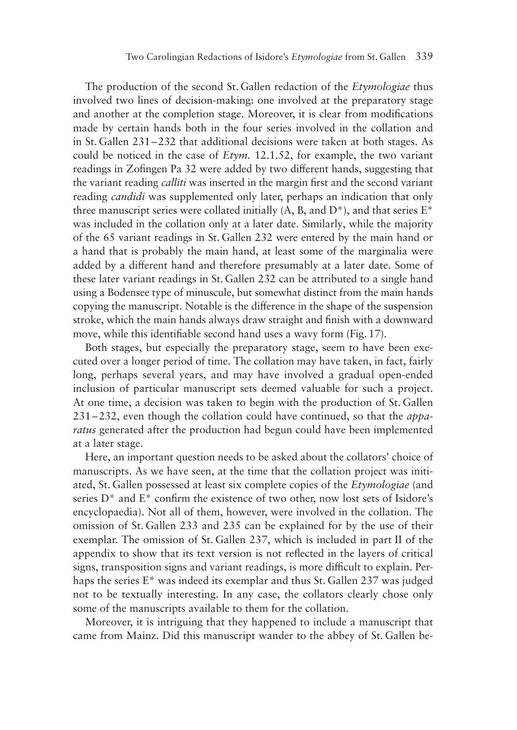The production of the second St.Gallen redaction of the *Etymologiae* thus involved two lines of decision-making: one involved at the preparatory stage and another at the completion stage. Moreover, it is clear from modifications made by certain hands both in the four series involved in the collation and in St.Gallen 231–232 that additional decisions were taken at both stages. As could be noticed in the case of *Etym.* 12.1.52, for example, the two variant readings in Zofingen Pa 32 were added by two different hands, suggesting that the variant reading *calliti* was inserted in the margin first and the second variant reading *candidi* was supplemented only later, perhaps an indication that only three manuscript series were collated initially  $(A, B, and D^*)$ , and that series  $E^*$ was included in the collation only at a later date. Similarly, while the majority of the 65 variant readings in St. Gallen 232 were entered by the main hand or a hand that is probably the main hand, at least some of the marginalia were added by a different hand and therefore presumably at a later date. Some of these later variant readings in St.Gallen 232 can be attributed to a single hand using a Bodensee type of minuscule, but somewhat distinct from the main hands copying the manuscript. Notable is the difference in the shape of the suspension stroke, which the main hands always draw straight and finish with a downward move, while this identifiable second hand uses a wavy form (Fig. 17).

Both stages, but especially the preparatory stage, seem to have been executed over a longer period of time. The collation may have taken, in fact, fairly long, perhaps several years, and may have involved a gradual open-ended inclusion of particular manuscript sets deemed valuable for such a project. At one time, a decision was taken to begin with the production of St. Gallen 231–232, even though the collation could have continued, so that the *apparatus* generated after the production had begun could have been implemented at a later stage.

Here, an important question needs to be asked about the collators' choice of manuscripts. As we have seen, at the time that the collation project was initiated, St. Gallen possessed at least six complete copies of the *Etymologiae* (and series  $D^*$  and  $E^*$  confirm the existence of two other, now lost sets of Isidore's encyclopaedia). Not all of them, however, were involved in the collation. The omission of St. Gallen 233 and 235 can be explained for by the use of their exemplar. The omission of St. Gallen 237, which is included in part II of the appendix to show that its text version is not reflected in the layers of critical signs, transposition signs and variant readings, is more difficult to explain. Perhaps the series E\* was indeed its exemplar and thus St. Gallen 237 was judged not to be textually interesting. In any case, the collators clearly chose only some of the manuscripts available to them for the collation.

Moreover, it is intriguing that they happened to include a manuscript that came from Mainz. Did this manuscript wander to the abbey of St. Gallen be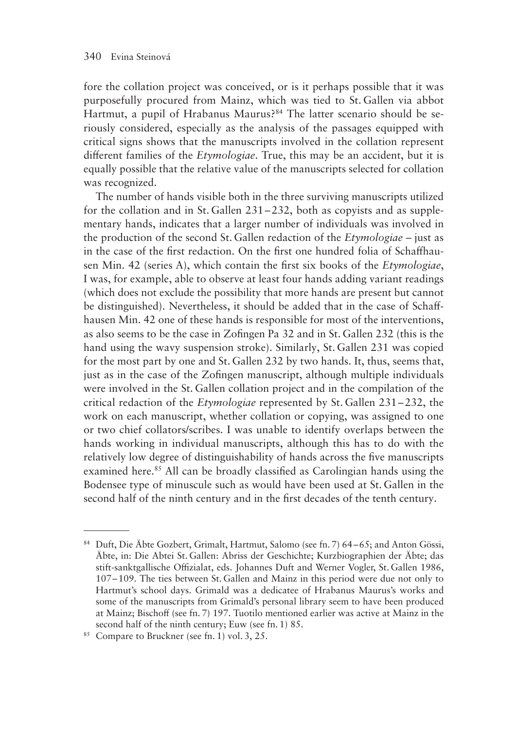fore the collation project was conceived, or is it perhaps possible that it was purposefully procured from Mainz, which was tied to St. Gallen via abbot Hartmut, a pupil of Hrabanus Maurus?<sup>84</sup> The latter scenario should be seriously considered, especially as the analysis of the passages equipped with critical signs shows that the manuscripts involved in the collation represent different families of the *Etymologiae*. True, this may be an accident, but it is equally possible that the relative value of the manuscripts selected for collation was recognized.

The number of hands visible both in the three surviving manuscripts utilized for the collation and in St. Gallen 231–232, both as copyists and as supplementary hands, indicates that a larger number of individuals was involved in the production of the second St. Gallen redaction of the *Etymologiae* – just as in the case of the first redaction. On the first one hundred folia of Schaffhausen Min. 42 (series A), which contain the first six books of the *Etymologiae*, I was, for example, able to observe at least four hands adding variant readings (which does not exclude the possibility that more hands are present but cannot be distinguished). Nevertheless, it should be added that in the case of Schaffhausen Min. 42 one of these hands is responsible for most of the interventions, as also seems to be the case in Zofingen Pa 32 and in St. Gallen 232 (this is the hand using the wavy suspension stroke). Similarly, St. Gallen 231 was copied for the most part by one and St. Gallen 232 by two hands. It, thus, seems that, just as in the case of the Zofingen manuscript, although multiple individuals were involved in the St. Gallen collation project and in the compilation of the critical redaction of the *Etymologiae* represented by St. Gallen 231–232, the work on each manuscript, whether collation or copying, was assigned to one or two chief collators/scribes. I was unable to identify overlaps between the hands working in individual manuscripts, although this has to do with the relatively low degree of distinguishability of hands across the five manuscripts examined here.<sup>85</sup> All can be broadly classified as Carolingian hands using the Bodensee type of minuscule such as would have been used at St. Gallen in the second half of the ninth century and in the first decades of the tenth century.

<sup>84</sup> Duft, Die Äbte Gozbert, Grimalt, Hartmut, Salomo (see fn. 7) 64–65; and Anton Gössi, Äbte, in: Die Abtei St. Gallen: Abriss der Geschichte; Kurzbiographien der Äbte; das stift-sanktgallische Offizialat, eds. Johannes Duft and Werner Vogler, St. Gallen 1986, 107–109. The ties between St. Gallen and Mainz in this period were due not only to Hartmut's school days. Grimald was a dedicatee of Hrabanus Maurus's works and some of the manuscripts from Grimald's personal library seem to have been produced at Mainz; Bischoff (see fn. 7) 197. Tuotilo mentioned earlier was active at Mainz in the second half of the ninth century; Euw (see fn. 1) 85.

<sup>85</sup> Compare to Bruckner (see fn. 1) vol. 3, 25.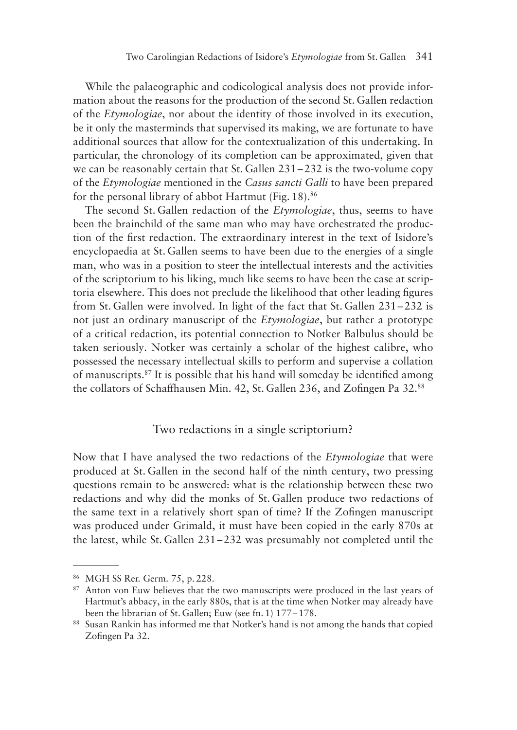While the palaeographic and codicological analysis does not provide information about the reasons for the production of the second St. Gallen redaction of the *Etymologiae*, nor about the identity of those involved in its execution, be it only the masterminds that supervised its making, we are fortunate to have additional sources that allow for the contextualization of this undertaking. In particular, the chronology of its completion can be approximated, given that we can be reasonably certain that St. Gallen 231–232 is the two-volume copy of the *Etymologiae* mentioned in the *Casus sancti Galli* to have been prepared for the personal library of abbot Hartmut (Fig. 18).<sup>86</sup>

The second St. Gallen redaction of the *Etymologiae*, thus, seems to have been the brainchild of the same man who may have orchestrated the production of the first redaction. The extraordinary interest in the text of Isidore's encyclopaedia at St. Gallen seems to have been due to the energies of a single man, who was in a position to steer the intellectual interests and the activities of the scriptorium to his liking, much like seems to have been the case at scriptoria elsewhere. This does not preclude the likelihood that other leading figures from St. Gallen were involved. In light of the fact that St. Gallen 231–232 is not just an ordinary manuscript of the *Etymologiae*, but rather a prototype of a critical redaction, its potential connection to Notker Balbulus should be taken seriously. Notker was certainly a scholar of the highest calibre, who possessed the necessary intellectual skills to perform and supervise a collation of manuscripts.87 It is possible that his hand will someday be identified among the collators of Schaffhausen Min. 42, St. Gallen 236, and Zofingen Pa 32.88

#### Two redactions in a single scriptorium?

Now that I have analysed the two redactions of the *Etymologiae* that were produced at St. Gallen in the second half of the ninth century, two pressing questions remain to be answered: what is the relationship between these two redactions and why did the monks of St. Gallen produce two redactions of the same text in a relatively short span of time? If the Zofingen manuscript was produced under Grimald, it must have been copied in the early 870s at the latest, while St. Gallen 231–232 was presumably not completed until the

<sup>86</sup> MGH SS Rer. Germ. 75, p. 228.

<sup>&</sup>lt;sup>87</sup> Anton von Euw believes that the two manuscripts were produced in the last years of Hartmut's abbacy, in the early 880s, that is at the time when Notker may already have been the librarian of St. Gallen; Euw (see fn. 1) 177–178.

<sup>88</sup> Susan Rankin has informed me that Notker's hand is not among the hands that copied Zofingen Pa 32.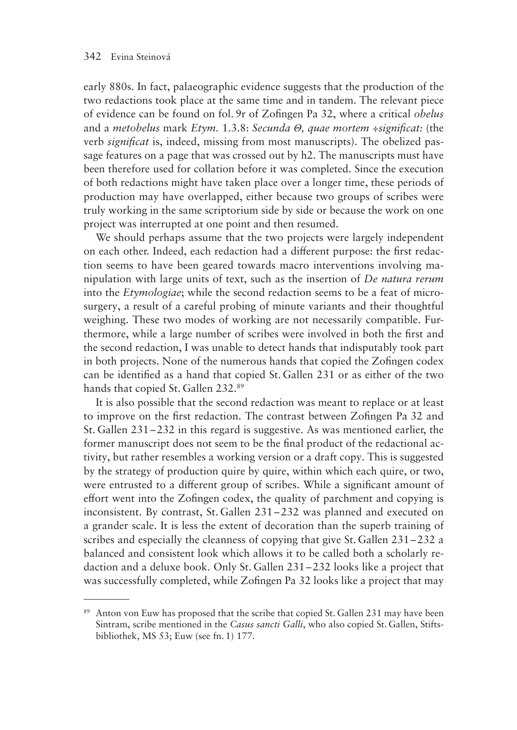early 880s. In fact, palaeographic evidence suggests that the production of the two redactions took place at the same time and in tandem. The relevant piece of evidence can be found on fol. 9r of Zofingen Pa 32, where a critical *obelus* and a *metobelus* mark *Etym.* 1.3.8: *Secunda Θ, quae mortem ÷significat:* (the verb *significat* is, indeed, missing from most manuscripts). The obelized passage features on a page that was crossed out by h2. The manuscripts must have been therefore used for collation before it was completed. Since the execution of both redactions might have taken place over a longer time, these periods of production may have overlapped, either because two groups of scribes were truly working in the same scriptorium side by side or because the work on one project was interrupted at one point and then resumed.

We should perhaps assume that the two projects were largely independent on each other. Indeed, each redaction had a different purpose: the first redaction seems to have been geared towards macro interventions involving manipulation with large units of text, such as the insertion of *De natura rerum* into the *Etymologiae*; while the second redaction seems to be a feat of microsurgery, a result of a careful probing of minute variants and their thoughtful weighing. These two modes of working are not necessarily compatible. Furthermore, while a large number of scribes were involved in both the first and the second redaction, I was unable to detect hands that indisputably took part in both projects. None of the numerous hands that copied the Zofingen codex can be identified as a hand that copied St. Gallen 231 or as either of the two hands that copied St. Gallen 232.89

It is also possible that the second redaction was meant to replace or at least to improve on the first redaction. The contrast between Zofingen Pa 32 and St. Gallen 231–232 in this regard is suggestive. As was mentioned earlier, the former manuscript does not seem to be the final product of the redactional activity, but rather resembles a working version or a draft copy. This is suggested by the strategy of production quire by quire, within which each quire, or two, were entrusted to a different group of scribes. While a significant amount of effort went into the Zofingen codex, the quality of parchment and copying is inconsistent. By contrast, St. Gallen 231–232 was planned and executed on a grander scale. It is less the extent of decoration than the superb training of scribes and especially the cleanness of copying that give St. Gallen 231–232 a balanced and consistent look which allows it to be called both a scholarly redaction and a deluxe book. Only St. Gallen 231–232 looks like a project that was successfully completed, while Zofingen Pa 32 looks like a project that may

<sup>&</sup>lt;sup>89</sup> Anton von Euw has proposed that the scribe that copied St. Gallen 231 may have been Sintram, scribe mentioned in the *Casus sancti Galli*, who also copied St. Gallen, Stiftsbibliothek, MS 53; Euw (see fn. 1) 177.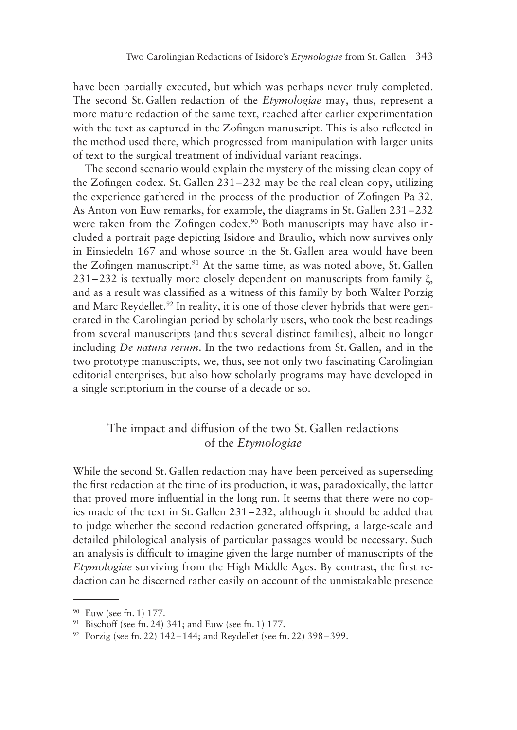have been partially executed, but which was perhaps never truly completed. The second St. Gallen redaction of the *Etymologiae* may, thus, represent a more mature redaction of the same text, reached after earlier experimentation with the text as captured in the Zofingen manuscript. This is also reflected in the method used there, which progressed from manipulation with larger units of text to the surgical treatment of individual variant readings.

The second scenario would explain the mystery of the missing clean copy of the Zofingen codex. St. Gallen 231–232 may be the real clean copy, utilizing the experience gathered in the process of the production of Zofingen Pa 32. As Anton von Euw remarks, for example, the diagrams in St. Gallen 231–232 were taken from the Zofingen codex.<sup>90</sup> Both manuscripts may have also included a portrait page depicting Isidore and Braulio, which now survives only in Einsiedeln 167 and whose source in the St. Gallen area would have been the Zofingen manuscript. $91$  At the same time, as was noted above, St. Gallen 231–232 is textually more closely dependent on manuscripts from family ξ, and as a result was classified as a witness of this family by both Walter Porzig and Marc Reydellet.<sup>92</sup> In reality, it is one of those clever hybrids that were generated in the Carolingian period by scholarly users, who took the best readings from several manuscripts (and thus several distinct families), albeit no longer including *De natura rerum*. In the two redactions from St. Gallen, and in the two prototype manuscripts, we, thus, see not only two fascinating Carolingian editorial enterprises, but also how scholarly programs may have developed in a single scriptorium in the course of a decade or so.

### The impact and diffusion of the two St. Gallen redactions of the *Etymologiae*

While the second St. Gallen redaction may have been perceived as superseding the first redaction at the time of its production, it was, paradoxically, the latter that proved more influential in the long run. It seems that there were no copies made of the text in St. Gallen 231–232, although it should be added that to judge whether the second redaction generated offspring, a large-scale and detailed philological analysis of particular passages would be necessary. Such an analysis is difficult to imagine given the large number of manuscripts of the *Etymologiae* surviving from the High Middle Ages. By contrast, the first redaction can be discerned rather easily on account of the unmistakable presence

<sup>90</sup> Euw (see fn. 1) 177.

 $91$  Bischoff (see fn. 24) 341; and Euw (see fn. 1) 177.

 $92$  Porzig (see fn. 22) 142–144; and Reydellet (see fn. 22) 398–399.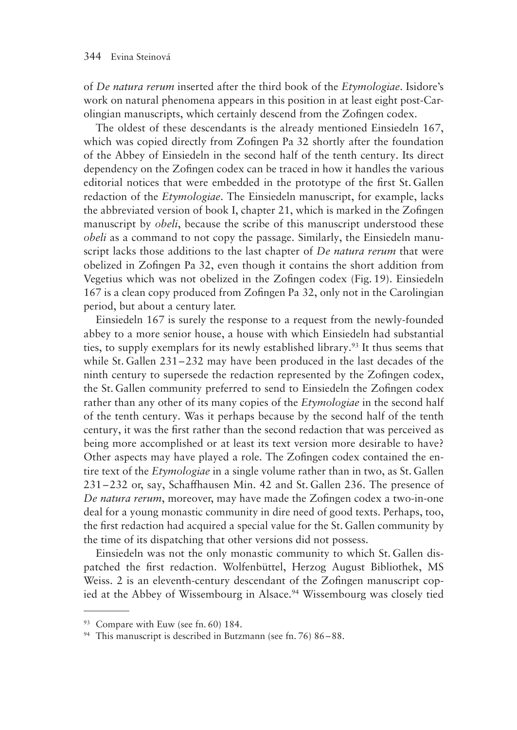of *De natura rerum* inserted after the third book of the *Etymologiae*. Isidore's work on natural phenomena appears in this position in at least eight post-Carolingian manuscripts, which certainly descend from the Zofingen codex.

The oldest of these descendants is the already mentioned Einsiedeln 167, which was copied directly from Zofingen Pa 32 shortly after the foundation of the Abbey of Einsiedeln in the second half of the tenth century. Its direct dependency on the Zofingen codex can be traced in how it handles the various editorial notices that were embedded in the prototype of the first St. Gallen redaction of the *Etymologiae*. The Einsiedeln manuscript, for example, lacks the abbreviated version of book I, chapter 21, which is marked in the Zofingen manuscript by *obeli*, because the scribe of this manuscript understood these *obeli* as a command to not copy the passage. Similarly, the Einsiedeln manuscript lacks those additions to the last chapter of *De natura rerum* that were obelized in Zofingen Pa 32, even though it contains the short addition from Vegetius which was not obelized in the Zofingen codex (Fig. 19). Einsiedeln 167 is a clean copy produced from Zofingen Pa 32, only not in the Carolingian period, but about a century later.

Einsiedeln 167 is surely the response to a request from the newly-founded abbey to a more senior house, a house with which Einsiedeln had substantial ties, to supply exemplars for its newly established library.93 It thus seems that while St. Gallen 231–232 may have been produced in the last decades of the ninth century to supersede the redaction represented by the Zofingen codex, the St. Gallen community preferred to send to Einsiedeln the Zofingen codex rather than any other of its many copies of the *Etymologiae* in the second half of the tenth century. Was it perhaps because by the second half of the tenth century, it was the first rather than the second redaction that was perceived as being more accomplished or at least its text version more desirable to have? Other aspects may have played a role. The Zofingen codex contained the entire text of the *Etymologiae* in a single volume rather than in two, as St. Gallen 231–232 or, say, Schaffhausen Min. 42 and St. Gallen 236. The presence of *De natura rerum*, moreover, may have made the Zofingen codex a two-in-one deal for a young monastic community in dire need of good texts. Perhaps, too, the first redaction had acquired a special value for the St. Gallen community by the time of its dispatching that other versions did not possess.

Einsiedeln was not the only monastic community to which St. Gallen dispatched the first redaction. Wolfenbüttel, Herzog August Bibliothek, MS Weiss. 2 is an eleventh-century descendant of the Zofingen manuscript copied at the Abbey of Wissembourg in Alsace.<sup>94</sup> Wissembourg was closely tied

<sup>&</sup>lt;sup>93</sup> Compare with Euw (see fn. 60) 184.

<sup>94</sup> This manuscript is described in Butzmann (see fn. 76) 86–88.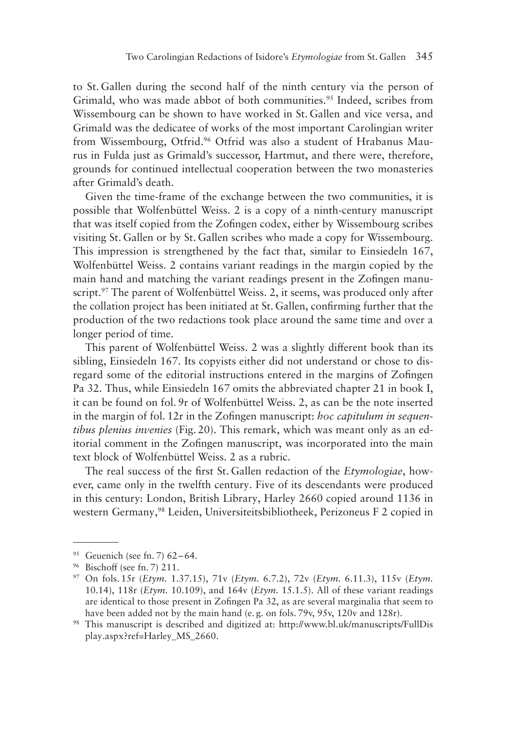to St. Gallen during the second half of the ninth century via the person of Grimald, who was made abbot of both communities.<sup>95</sup> Indeed, scribes from Wissembourg can be shown to have worked in St. Gallen and vice versa, and Grimald was the dedicatee of works of the most important Carolingian writer from Wissembourg, Otfrid.<sup>96</sup> Otfrid was also a student of Hrabanus Maurus in Fulda just as Grimald's successor, Hartmut, and there were, therefore, grounds for continued intellectual cooperation between the two monasteries after Grimald's death.

Given the time-frame of the exchange between the two communities, it is possible that Wolfenbüttel Weiss. 2 is a copy of a ninth-century manuscript that was itself copied from the Zofingen codex, either by Wissembourg scribes visiting St. Gallen or by St. Gallen scribes who made a copy for Wissembourg. This impression is strengthened by the fact that, similar to Einsiedeln 167, Wolfenbüttel Weiss. 2 contains variant readings in the margin copied by the main hand and matching the variant readings present in the Zofingen manuscript.<sup>97</sup> The parent of Wolfenbüttel Weiss. 2, it seems, was produced only after the collation project has been initiated at St. Gallen, confirming further that the production of the two redactions took place around the same time and over a longer period of time.

This parent of Wolfenbüttel Weiss. 2 was a slightly different book than its sibling, Einsiedeln 167. Its copyists either did not understand or chose to disregard some of the editorial instructions entered in the margins of Zofingen Pa 32. Thus, while Einsiedeln 167 omits the abbreviated chapter 21 in book I, it can be found on fol. 9r of Wolfenbüttel Weiss. 2, as can be the note inserted in the margin of fol. 12r in the Zofingen manuscript: *hoc capitulum in sequentibus plenius invenies* (Fig. 20). This remark, which was meant only as an editorial comment in the Zofingen manuscript, was incorporated into the main text block of Wolfenbüttel Weiss. 2 as a rubric.

The real success of the first St. Gallen redaction of the *Etymologiae*, however, came only in the twelfth century. Five of its descendants were produced in this century: London, British Library, Harley 2660 copied around 1136 in western Germany,<sup>98</sup> Leiden, Universiteitsbibliotheek, Perizoneus F 2 copied in

<sup>95</sup> Geuenich (see fn. 7) 62–64.

<sup>96</sup> Bischoff (see fn. 7) 211.

<sup>97</sup> On fols. 15r (*Etym.* 1.37.15), 71v (*Etym.* 6.7.2), 72v (*Etym.* 6.11.3), 115v (*Etym.* 10.14), 118r (*Etym.* 10.109), and 164v (*Etym.* 15.1.5). All of these variant readings are identical to those present in Zofingen Pa 32, as are several marginalia that seem to have been added not by the main hand (e.g. on fols. 79v, 95v, 120v and 128r).

<sup>98</sup> This manuscript is described and digitized at: http://www.bl.uk/manuscripts/FullDis play.aspx?ref=Harley\_MS\_2660.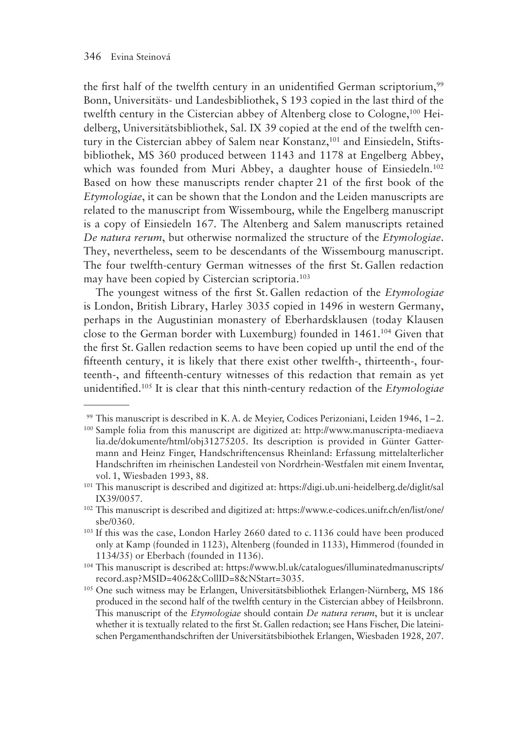the first half of the twelfth century in an unidentified German scriptorium,<sup>99</sup> Bonn, Universitäts- und Landesbibliothek, S 193 copied in the last third of the twelfth century in the Cistercian abbey of Altenberg close to Cologne,100 Heidelberg, Universitätsbibliothek, Sal. IX 39 copied at the end of the twelfth century in the Cistercian abbey of Salem near Konstanz,<sup>101</sup> and Einsiedeln, Stiftsbibliothek, MS 360 produced between 1143 and 1178 at Engelberg Abbey, which was founded from Muri Abbey, a daughter house of Einsiedeln.<sup>102</sup> Based on how these manuscripts render chapter 21 of the first book of the *Etymologiae*, it can be shown that the London and the Leiden manuscripts are related to the manuscript from Wissembourg, while the Engelberg manuscript is a copy of Einsiedeln 167. The Altenberg and Salem manuscripts retained *De natura rerum*, but otherwise normalized the structure of the *Etymologiae*. They, nevertheless, seem to be descendants of the Wissembourg manuscript. The four twelfth-century German witnesses of the first St. Gallen redaction may have been copied by Cistercian scriptoria.103

The youngest witness of the first St. Gallen redaction of the *Etymologiae* is London, British Library, Harley 3035 copied in 1496 in western Germany, perhaps in the Augustinian monastery of Eberhardsklausen (today Klausen close to the German border with Luxemburg) founded in 1461.104 Given that the first St. Gallen redaction seems to have been copied up until the end of the fifteenth century, it is likely that there exist other twelfth-, thirteenth-, fourteenth-, and fifteenth-century witnesses of this redaction that remain as yet unidentified.105 It is clear that this ninth-century redaction of the *Etymologiae*

<sup>99</sup> This manuscript is described in K. A. de Meyier, Codices Perizoniani, Leiden 1946, 1–2.

<sup>100</sup> Sample folia from this manuscript are digitized at: http://www.manuscripta-mediaeva lia.de/dokumente/html/obj31275205. Its description is provided in Günter Gattermann and Heinz Finger, Handschriftencensus Rheinland: Erfassung mittelalterlicher Handschriften im rheinischen Landesteil von Nordrhein-Westfalen mit einem Inventar, vol. 1, Wiesbaden 1993, 88.

<sup>101</sup> This manuscript is described and digitized at: https://digi.ub.uni-heidelberg.de/diglit/sal IX39/0057.

<sup>102</sup> This manuscript is described and digitized at: https://www.e-codices.unifr.ch/en/list/one/ sbe/0360.

<sup>103</sup> If this was the case, London Harley 2660 dated to c. 1136 could have been produced only at Kamp (founded in 1123), Altenberg (founded in 1133), Himmerod (founded in 1134/35) or Eberbach (founded in 1136).

<sup>104</sup> This manuscript is described at: https://www.bl.uk/catalogues/illuminatedmanuscripts/ record.asp?MSID=4062&CollID=8&NStart=3035.

<sup>105</sup> One such witness may be Erlangen, Universitätsbibliothek Erlangen-Nürnberg, MS 186 produced in the second half of the twelfth century in the Cistercian abbey of Heilsbronn. This manuscript of the *Etymologiae* should contain *De natura rerum*, but it is unclear whether it is textually related to the first St.Gallen redaction; see Hans Fischer, Die lateinischen Pergamenthandschriften der Universitätsbibiothek Erlangen, Wiesbaden 1928, 207.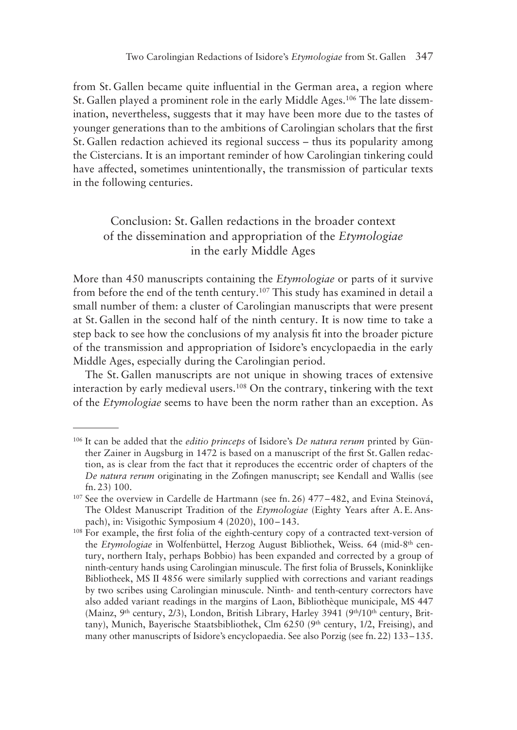from St. Gallen became quite influential in the German area, a region where St. Gallen played a prominent role in the early Middle Ages.106 The late dissemination, nevertheless, suggests that it may have been more due to the tastes of younger generations than to the ambitions of Carolingian scholars that the first St. Gallen redaction achieved its regional success – thus its popularity among the Cistercians. It is an important reminder of how Carolingian tinkering could have affected, sometimes unintentionally, the transmission of particular texts in the following centuries.

## Conclusion: St. Gallen redactions in the broader context of the dissemination and appropriation of the *Etymologiae* in the early Middle Ages

More than 450 manuscripts containing the *Etymologiae* or parts of it survive from before the end of the tenth century.107 This study has examined in detail a small number of them: a cluster of Carolingian manuscripts that were present at St. Gallen in the second half of the ninth century. It is now time to take a step back to see how the conclusions of my analysis fit into the broader picture of the transmission and appropriation of Isidore's encyclopaedia in the early Middle Ages, especially during the Carolingian period.

The St. Gallen manuscripts are not unique in showing traces of extensive interaction by early medieval users.108 On the contrary, tinkering with the text of the *Etymologiae* seems to have been the norm rather than an exception. As

<sup>106</sup> It can be added that the *editio princeps* of Isidore's *De natura rerum* printed by Günther Zainer in Augsburg in 1472 is based on a manuscript of the first St. Gallen redaction, as is clear from the fact that it reproduces the eccentric order of chapters of the *De natura rerum* originating in the Zofingen manuscript; see Kendall and Wallis (see fn. 23) 100.

 $107$  See the overview in Cardelle de Hartmann (see fn. 26) 477–482, and Evina Steinová, The Oldest Manuscript Tradition of the *Etymologiae* (Eighty Years after A. E. Anspach), in: Visigothic Symposium 4 (2020), 100–143.

<sup>&</sup>lt;sup>108</sup> For example, the first folia of the eighth-century copy of a contracted text-version of the *Etymologiae* in Wolfenbüttel, Herzog August Bibliothek, Weiss. 64 (mid-8th century, northern Italy, perhaps Bobbio) has been expanded and corrected by a group of ninth-century hands using Carolingian minuscule. The first folia of Brussels, Koninklijke Bibliotheek, MS II 4856 were similarly supplied with corrections and variant readings by two scribes using Carolingian minuscule. Ninth- and tenth-century correctors have also added variant readings in the margins of Laon, Bibliothèque municipale, MS 447 (Mainz, 9<sup>th</sup> century, 2/3), London, British Library, Harley 3941 (9<sup>th</sup>/10<sup>th</sup> century, Brittany), Munich, Bayerische Staatsbibliothek, Clm 6250 ( $9<sup>th</sup>$  century, 1/2, Freising), and many other manuscripts of Isidore's encyclopaedia. See also Porzig (see fn. 22) 133–135.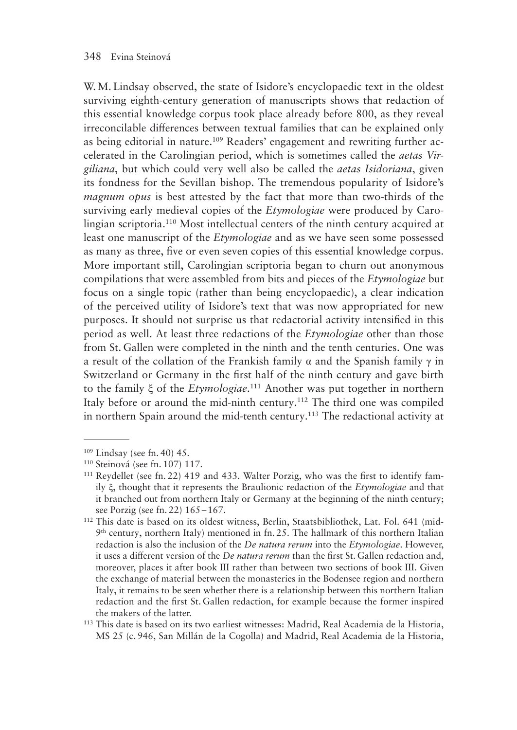W. M. Lindsay observed, the state of Isidore's encyclopaedic text in the oldest surviving eighth-century generation of manuscripts shows that redaction of this essential knowledge corpus took place already before 800, as they reveal irreconcilable differences between textual families that can be explained only as being editorial in nature.109 Readers' engagement and rewriting further accelerated in the Carolingian period, which is sometimes called the *aetas Virgiliana*, but which could very well also be called the *aetas Isidoriana*, given its fondness for the Sevillan bishop. The tremendous popularity of Isidore's *magnum opus* is best attested by the fact that more than two-thirds of the surviving early medieval copies of the *Etymologiae* were produced by Carolingian scriptoria.110 Most intellectual centers of the ninth century acquired at least one manuscript of the *Etymologiae* and as we have seen some possessed as many as three, five or even seven copies of this essential knowledge corpus. More important still, Carolingian scriptoria began to churn out anonymous compilations that were assembled from bits and pieces of the *Etymologiae* but focus on a single topic (rather than being encyclopaedic), a clear indication of the perceived utility of Isidore's text that was now appropriated for new purposes. It should not surprise us that redactorial activity intensified in this period as well. At least three redactions of the *Etymologiae* other than those from St. Gallen were completed in the ninth and the tenth centuries. One was a result of the collation of the Frankish family  $\alpha$  and the Spanish family  $\gamma$  in Switzerland or Germany in the first half of the ninth century and gave birth to the family ξ of the *Etymologiae*. 111 Another was put together in northern Italy before or around the mid-ninth century.<sup>112</sup> The third one was compiled in northern Spain around the mid-tenth century.<sup>113</sup> The redactional activity at

<sup>109</sup> Lindsay (see fn. 40) 45.

<sup>110</sup> Steinová (see fn. 107) 117.

<sup>111</sup> Reydellet (see fn. 22) 419 and 433. Walter Porzig, who was the first to identify family ξ, thought that it represents the Braulionic redaction of the *Etymologiae* and that it branched out from northern Italy or Germany at the beginning of the ninth century; see Porzig (see fn. 22) 165–167.

<sup>112</sup> This date is based on its oldest witness, Berlin, Staatsbibliothek, Lat. Fol. 641 (mid- $9<sup>th</sup>$  century, northern Italy) mentioned in fn. 25. The hallmark of this northern Italian redaction is also the inclusion of the *De natura rerum* into the *Etymologiae*. However, it uses a different version of the *De natura rerum* than the first St. Gallen redaction and, moreover, places it after book III rather than between two sections of book III. Given the exchange of material between the monasteries in the Bodensee region and northern Italy, it remains to be seen whether there is a relationship between this northern Italian redaction and the first St. Gallen redaction, for example because the former inspired the makers of the latter.

<sup>113</sup> This date is based on its two earliest witnesses: Madrid, Real Academia de la Historia, MS 25 (c. 946, San Millán de la Cogolla) and Madrid, Real Academia de la Historia,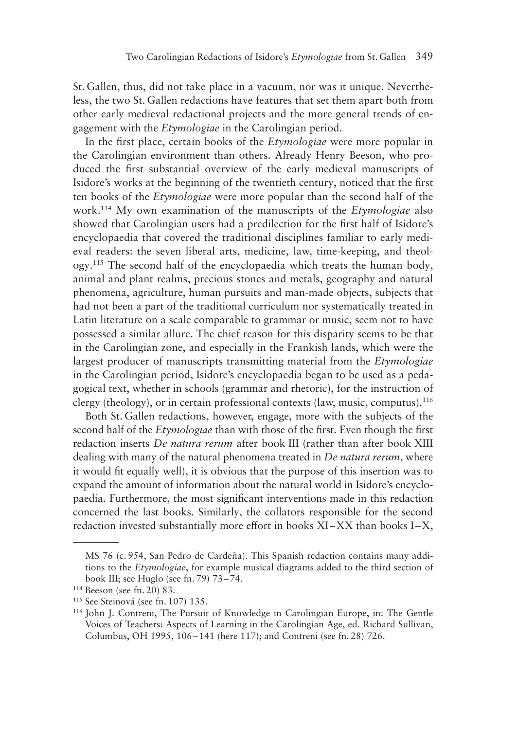St. Gallen, thus, did not take place in a vacuum, nor was it unique. Nevertheless, the two St. Gallen redactions have features that set them apart both from other early medieval redactional projects and the more general trends of engagement with the *Etymologiae* in the Carolingian period.

In the first place, certain books of the *Etymologiae* were more popular in the Carolingian environment than others. Already Henry Beeson, who produced the first substantial overview of the early medieval manuscripts of Isidore's works at the beginning of the twentieth century, noticed that the first ten books of the *Etymologiae* were more popular than the second half of the work.114 My own examination of the manuscripts of the *Etymologiae* also showed that Carolingian users had a predilection for the first half of Isidore's encyclopaedia that covered the traditional disciplines familiar to early medieval readers: the seven liberal arts, medicine, law, time-keeping, and theology.115 The second half of the encyclopaedia which treats the human body, animal and plant realms, precious stones and metals, geography and natural phenomena, agriculture, human pursuits and man-made objects, subjects that had not been a part of the traditional curriculum nor systematically treated in Latin literature on a scale comparable to grammar or music, seem not to have possessed a similar allure. The chief reason for this disparity seems to be that in the Carolingian zone, and especially in the Frankish lands, which were the largest producer of manuscripts transmitting material from the *Etymologiae* in the Carolingian period, Isidore's encyclopaedia began to be used as a pedagogical text, whether in schools (grammar and rhetoric), for the instruction of clergy (theology), or in certain professional contexts (law, music, computus).<sup>116</sup>

Both St.Gallen redactions, however, engage, more with the subjects of the second half of the *Etymologiae* than with those of the first. Even though the first redaction inserts *De natura rerum* after book III (rather than after book XIII dealing with many of the natural phenomena treated in *De natura rerum*, where it would fit equally well), it is obvious that the purpose of this insertion was to expand the amount of information about the natural world in Isidore's encyclopaedia. Furthermore, the most significant interventions made in this redaction concerned the last books. Similarly, the collators responsible for the second redaction invested substantially more effort in books XI–XX than books I–X,

MS 76 (c. 954, San Pedro de Cardeña). This Spanish redaction contains many additions to the *Etymologiae*, for example musical diagrams added to the third section of book III; see Huglo (see fn. 79) 73–74.

<sup>114</sup> Beeson (see fn. 20) 83.

<sup>115</sup> See Steinová (see fn. 107) 135.

<sup>116</sup> John J. Contreni, The Pursuit of Knowledge in Carolingian Europe, in: The Gentle Voices of Teachers: Aspects of Learning in the Carolingian Age, ed. Richard Sullivan, Columbus, OH 1995, 106–141 (here 117); and Contreni (see fn. 28) 726.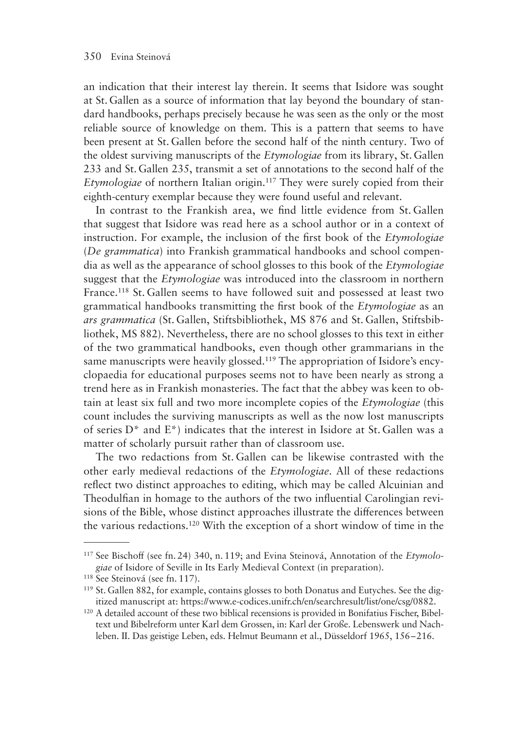an indication that their interest lay therein. It seems that Isidore was sought at St.Gallen as a source of information that lay beyond the boundary of standard handbooks, perhaps precisely because he was seen as the only or the most reliable source of knowledge on them. This is a pattern that seems to have been present at St.Gallen before the second half of the ninth century. Two of the oldest surviving manuscripts of the *Etymologiae* from its library, St. Gallen 233 and St.Gallen 235, transmit a set of annotations to the second half of the *Etymologiae* of northern Italian origin.<sup>117</sup> They were surely copied from their eighth-century exemplar because they were found useful and relevant.

In contrast to the Frankish area, we find little evidence from St. Gallen that suggest that Isidore was read here as a school author or in a context of instruction. For example, the inclusion of the first book of the *Etymologiae* (*De grammatica*) into Frankish grammatical handbooks and school compendia as well as the appearance of school glosses to this book of the *Etymologiae* suggest that the *Etymologiae* was introduced into the classroom in northern France.118 St. Gallen seems to have followed suit and possessed at least two grammatical handbooks transmitting the first book of the *Etymologiae* as an *ars grammatica* (St. Gallen, Stiftsbibliothek, MS 876 and St. Gallen, Stiftsbibliothek, MS 882). Nevertheless, there are no school glosses to this text in either of the two grammatical handbooks, even though other grammarians in the same manuscripts were heavily glossed.<sup>119</sup> The appropriation of Isidore's encyclopaedia for educational purposes seems not to have been nearly as strong a trend here as in Frankish monasteries. The fact that the abbey was keen to obtain at least six full and two more incomplete copies of the *Etymologiae* (this count includes the surviving manuscripts as well as the now lost manuscripts of series D\* and E\*) indicates that the interest in Isidore at St. Gallen was a matter of scholarly pursuit rather than of classroom use.

The two redactions from St. Gallen can be likewise contrasted with the other early medieval redactions of the *Etymologiae*. All of these redactions reflect two distinct approaches to editing, which may be called Alcuinian and Theodulfian in homage to the authors of the two influential Carolingian revisions of the Bible, whose distinct approaches illustrate the differences between the various redactions.120 With the exception of a short window of time in the

<sup>117</sup> See Bischoff (see fn. 24) 340, n. 119; and Evina Steinová, Annotation of the *Etymologiae* of Isidore of Seville in Its Early Medieval Context (in preparation).

<sup>&</sup>lt;sup>118</sup> See Steinová (see fn. 117).

<sup>119</sup> St. Gallen 882, for example, contains glosses to both Donatus and Eutyches. See the digitized manuscript at: https://www.e-codices.unifr.ch/en/searchresult/list/one/csg/0882.

<sup>120</sup> A detailed account of these two biblical recensions is provided in Bonifatius Fischer, Bibeltext und Bibelreform unter Karl dem Grossen, in: Karl der Große. Lebenswerk und Nachleben. II. Das geistige Leben, eds. Helmut Beumann et al., Düsseldorf 1965, 156–216.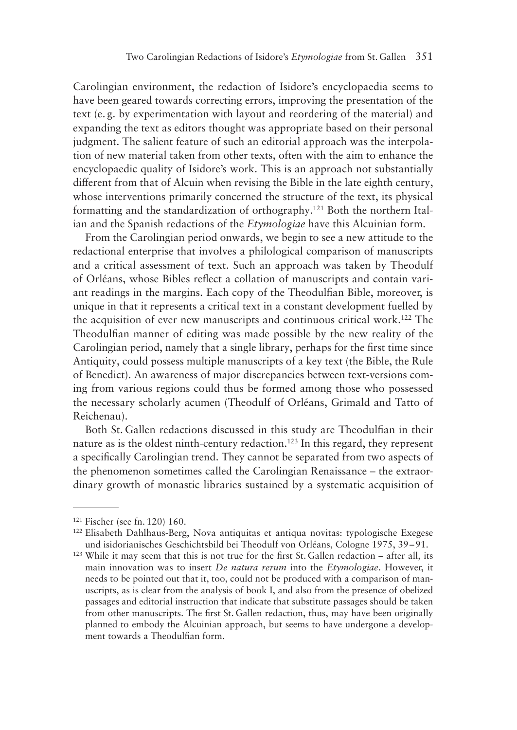Carolingian environment, the redaction of Isidore's encyclopaedia seems to have been geared towards correcting errors, improving the presentation of the text (e. g. by experimentation with layout and reordering of the material) and expanding the text as editors thought was appropriate based on their personal judgment. The salient feature of such an editorial approach was the interpolation of new material taken from other texts, often with the aim to enhance the encyclopaedic quality of Isidore's work. This is an approach not substantially different from that of Alcuin when revising the Bible in the late eighth century, whose interventions primarily concerned the structure of the text, its physical formatting and the standardization of orthography.121 Both the northern Italian and the Spanish redactions of the *Etymologiae* have this Alcuinian form.

From the Carolingian period onwards, we begin to see a new attitude to the redactional enterprise that involves a philological comparison of manuscripts and a critical assessment of text. Such an approach was taken by Theodulf of Orléans, whose Bibles reflect a collation of manuscripts and contain variant readings in the margins. Each copy of the Theodulfian Bible, moreover, is unique in that it represents a critical text in a constant development fuelled by the acquisition of ever new manuscripts and continuous critical work.122 The Theodulfian manner of editing was made possible by the new reality of the Carolingian period, namely that a single library, perhaps for the first time since Antiquity, could possess multiple manuscripts of a key text (the Bible, the Rule of Benedict). An awareness of major discrepancies between text-versions coming from various regions could thus be formed among those who possessed the necessary scholarly acumen (Theodulf of Orléans, Grimald and Tatto of Reichenau).

Both St. Gallen redactions discussed in this study are Theodulfian in their nature as is the oldest ninth-century redaction.<sup>123</sup> In this regard, they represent a specifically Carolingian trend. They cannot be separated from two aspects of the phenomenon sometimes called the Carolingian Renaissance – the extraordinary growth of monastic libraries sustained by a systematic acquisition of

<sup>121</sup> Fischer (see fn. 120) 160.

<sup>122</sup> Elisabeth Dahlhaus-Berg, Nova antiquitas et antiqua novitas: typologische Exegese und isidorianisches Geschichtsbild bei Theodulf von Orléans, Cologne 1975, 39–91.

 $123$  While it may seem that this is not true for the first St. Gallen redaction – after all, its main innovation was to insert *De natura rerum* into the *Etymologiae*. However, it needs to be pointed out that it, too, could not be produced with a comparison of manuscripts, as is clear from the analysis of book I, and also from the presence of obelized passages and editorial instruction that indicate that substitute passages should be taken from other manuscripts. The first St. Gallen redaction, thus, may have been originally planned to embody the Alcuinian approach, but seems to have undergone a development towards a Theodulfian form.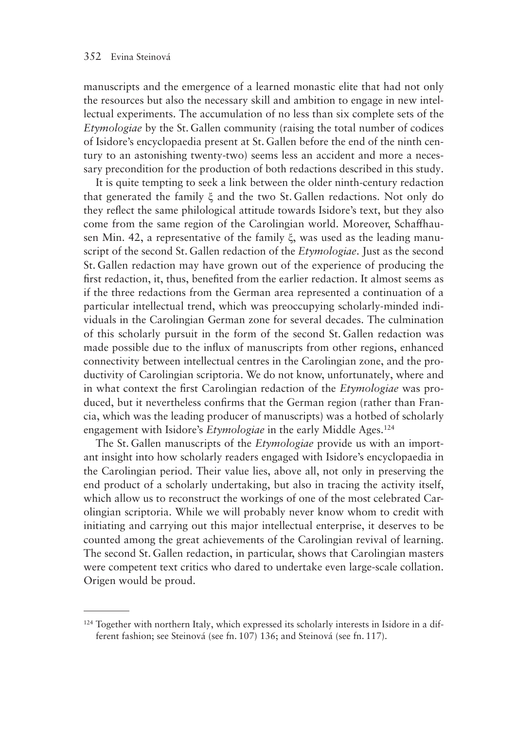manuscripts and the emergence of a learned monastic elite that had not only the resources but also the necessary skill and ambition to engage in new intellectual experiments. The accumulation of no less than six complete sets of the *Etymologiae* by the St. Gallen community (raising the total number of codices of Isidore's encyclopaedia present at St. Gallen before the end of the ninth century to an astonishing twenty-two) seems less an accident and more a necessary precondition for the production of both redactions described in this study.

It is quite tempting to seek a link between the older ninth-century redaction that generated the family ξ and the two St. Gallen redactions. Not only do they reflect the same philological attitude towards Isidore's text, but they also come from the same region of the Carolingian world. Moreover, Schaffhausen Min. 42, a representative of the family ξ, was used as the leading manuscript of the second St. Gallen redaction of the *Etymologiae*. Just as the second St. Gallen redaction may have grown out of the experience of producing the first redaction, it, thus, benefited from the earlier redaction. It almost seems as if the three redactions from the German area represented a continuation of a particular intellectual trend, which was preoccupying scholarly-minded individuals in the Carolingian German zone for several decades. The culmination of this scholarly pursuit in the form of the second St. Gallen redaction was made possible due to the influx of manuscripts from other regions, enhanced connectivity between intellectual centres in the Carolingian zone, and the productivity of Carolingian scriptoria. We do not know, unfortunately, where and in what context the first Carolingian redaction of the *Etymologiae* was produced, but it nevertheless confirms that the German region (rather than Francia, which was the leading producer of manuscripts) was a hotbed of scholarly engagement with Isidore's *Etymologiae* in the early Middle Ages.124

The St. Gallen manuscripts of the *Etymologiae* provide us with an important insight into how scholarly readers engaged with Isidore's encyclopaedia in the Carolingian period. Their value lies, above all, not only in preserving the end product of a scholarly undertaking, but also in tracing the activity itself, which allow us to reconstruct the workings of one of the most celebrated Carolingian scriptoria. While we will probably never know whom to credit with initiating and carrying out this major intellectual enterprise, it deserves to be counted among the great achievements of the Carolingian revival of learning. The second St. Gallen redaction, in particular, shows that Carolingian masters were competent text critics who dared to undertake even large-scale collation. Origen would be proud.

<sup>&</sup>lt;sup>124</sup> Together with northern Italy, which expressed its scholarly interests in Isidore in a different fashion; see Steinová (see fn. 107) 136; and Steinová (see fn. 117).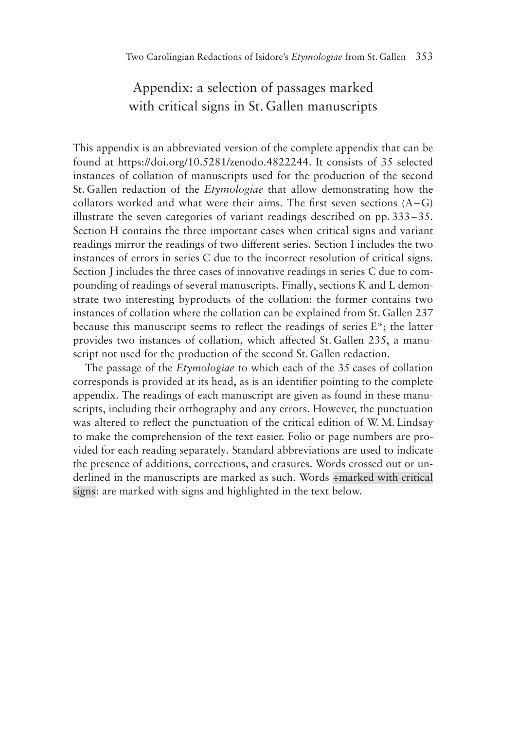# Appendix: a selection of passages marked with critical signs in St. Gallen manuscripts

This appendix is an abbreviated version of the complete appendix that can be found at https://doi.org/10.5281/zenodo.4822244. It consists of 35 selected instances of collation of manuscripts used for the production of the second St. Gallen redaction of the *Etymologiae* that allow demonstrating how the collators worked and what were their aims. The first seven sections  $(A - G)$ illustrate the seven categories of variant readings described on pp. 333–35. Section H contains the three important cases when critical signs and variant readings mirror the readings of two different series. Section I includes the two instances of errors in series C due to the incorrect resolution of critical signs. Section J includes the three cases of innovative readings in series C due to compounding of readings of several manuscripts. Finally, sections K and L demonstrate two interesting byproducts of the collation: the former contains two instances of collation where the collation can be explained from St. Gallen 237 because this manuscript seems to reflect the readings of series E\*; the latter provides two instances of collation, which affected St. Gallen 235, a manuscript not used for the production of the second St. Gallen redaction.

The passage of the *Etymologiae* to which each of the 35 cases of collation corresponds is provided at its head, as is an identifier pointing to the complete appendix. The readings of each manuscript are given as found in these manuscripts, including their orthography and any errors. However, the punctuation was altered to reflect the punctuation of the critical edition of W.M. Lindsay to make the comprehension of the text easier. Folio or page numbers are provided for each reading separately. Standard abbreviations are used to indicate the presence of additions, corrections, and erasures. Words crossed out or underlined in the manuscripts are marked as such. Words ÷marked with critical signs: are marked with signs and highlighted in the text below.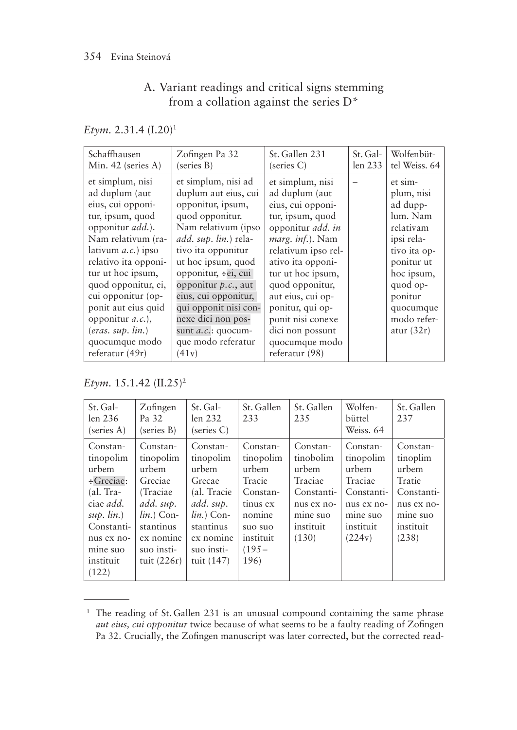# A. Variant readings and critical signs stemming from a collation against the series D\*

*Etym.* 2.31.4 (I.20)1

| Schaffhausen                                                                                                                                                                                                                                                                                                                                                          | Zofingen Pa 32                                                                                                                                                                                                                                                                                                                                                              | St. Gallen 231                                                                                                                                                                                                                                                                                                                                | St. Gal- | Wolfenbüt-                                                                                                                                                                              |
|-----------------------------------------------------------------------------------------------------------------------------------------------------------------------------------------------------------------------------------------------------------------------------------------------------------------------------------------------------------------------|-----------------------------------------------------------------------------------------------------------------------------------------------------------------------------------------------------------------------------------------------------------------------------------------------------------------------------------------------------------------------------|-----------------------------------------------------------------------------------------------------------------------------------------------------------------------------------------------------------------------------------------------------------------------------------------------------------------------------------------------|----------|-----------------------------------------------------------------------------------------------------------------------------------------------------------------------------------------|
| Min. $42$ (series A)                                                                                                                                                                                                                                                                                                                                                  | (series B)                                                                                                                                                                                                                                                                                                                                                                  | (series C)                                                                                                                                                                                                                                                                                                                                    | len 233  | tel Weiss. 64                                                                                                                                                                           |
| et simplum, nisi<br>ad duplum (aut<br>eius, cui opponi-<br>tur, ipsum, quod<br>opponitur <i>add</i> .).<br>Nam relativum (ra-<br>lativum $a.c.$ ) ipso<br>relativo ita opponi-<br>tur ut hoc ipsum,<br>quod opponitur, ei,<br>cui opponitur (op-<br>ponit aut eius quid<br>opponitur <i>a.c.</i> ),<br>$(eras. \, sup. \, lin.)$<br>quocumque modo<br>referatur (49r) | et simplum, nisi ad<br>duplum aut eius, cui<br>opponitur, ipsum,<br>quod opponitur.<br>Nam relativum (ipso<br><i>add. sup. lin.</i> ) rela-<br>tivo ita opponitur<br>ut hoc ipsum, quod<br>opponitur, ÷ei, cui<br>opponitur $p.c.,$ aut<br>eius, cui opponitur,<br>qui opponit nisi con-<br>nexe dici non pos-<br>sunt <i>a.c.</i> : quocum-<br>que modo referatur<br>(41v) | et simplum, nisi<br>ad duplum (aut<br>eius, cui opponi-<br>tur, ipsum, quod<br>opponitur <i>add. in</i><br><i>marg. inf.</i> ). Nam<br>relativum ipso rel-<br>ativo ita opponi-<br>tur ut hoc ipsum,<br>quod opponitur,<br>aut eius, cui op-<br>ponitur, qui op-<br>ponit nisi conexe<br>dici non possunt<br>quocumque modo<br>referatur (98) |          | et sim-<br>plum, nisi<br>ad dupp-<br>lum. Nam<br>relativam<br>ipsi rela-<br>tivo ita op-<br>ponitur ut<br>hoc ipsum,<br>quod op-<br>ponitur<br>quocumque<br>modo refer-<br>atur $(32r)$ |

*Etym.* 15.1.42 (II.25)2

| St. Gal-<br>len 236<br>(series A)                                                                                                                                   | Zofingen<br>Pa 32<br>(series B)                                                                                                               | St. Gal-<br>len 232<br>(series C)                                                                                                            | St. Gallen<br>233                                                                                                      | St. Gallen<br>235                                                                                       | Wolfen-<br>büttel<br>Weiss. 64                                                                           | St. Gallen<br>237                                                                                     |
|---------------------------------------------------------------------------------------------------------------------------------------------------------------------|-----------------------------------------------------------------------------------------------------------------------------------------------|----------------------------------------------------------------------------------------------------------------------------------------------|------------------------------------------------------------------------------------------------------------------------|---------------------------------------------------------------------------------------------------------|----------------------------------------------------------------------------------------------------------|-------------------------------------------------------------------------------------------------------|
| Constan-<br>tinopolim<br>urbem<br>$\div$ Greciae:<br>(al. Tra-<br>ciae <i>add</i> .<br>$sup.$ $lin.)$<br>Constanti-<br>nus ex no-<br>mine suo<br>instituit<br>(122) | Constan-<br>tinopolim<br>urbem<br>Greciae<br>(Traciae)<br>add. sup.<br>$lin.$ ) Con-<br>stantinus<br>ex nomine<br>suo insti-<br>tuit $(226r)$ | Constan-<br>tinopolim<br>urbem<br>Grecae<br>(al. Tracie)<br>add. sup.<br>$lin.$ ) Con-<br>stantinus<br>ex nomine<br>suo insti-<br>tuit (147) | Constan-<br>tinopolim<br>urbem<br>Tracie<br>Constan-<br>tinus ex<br>nomine<br>suo suo<br>instituit<br>$(195 -$<br>196) | Constan-<br>tinobolim<br>urbem<br>Traciae<br>Constanti-<br>nus ex no-<br>mine suo<br>instituit<br>(130) | Constan-<br>tinopolim<br>urbem<br>Traciae<br>Constanti-<br>nus ex no-<br>mine suo<br>instituit<br>(224v) | Constan-<br>tinoplim<br>urbem<br>Tratie<br>Constanti-<br>nus ex no-<br>mine suo<br>instituit<br>(238) |

<sup>&</sup>lt;sup>1</sup> The reading of St. Gallen 231 is an unusual compound containing the same phrase *aut eius, cui opponitur* twice because of what seems to be a faulty reading of Zofingen Pa 32. Crucially, the Zofingen manuscript was later corrected, but the corrected read-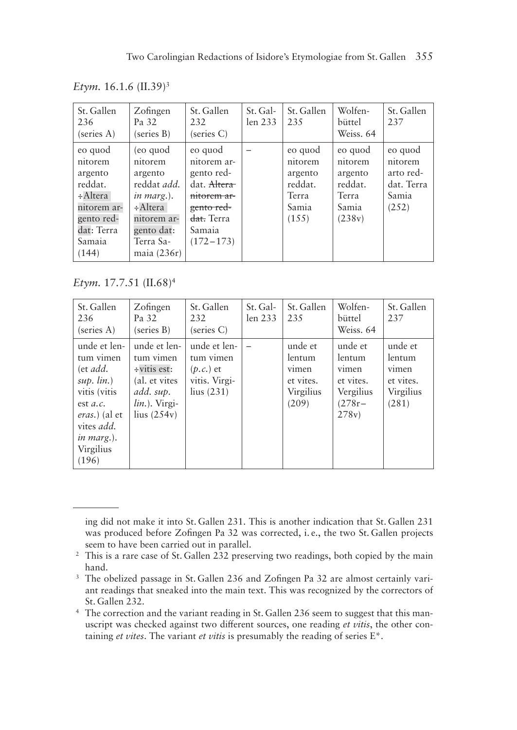*Etym.* 16.1.6 (II.39)3

| St. Gallen<br>236<br>(series A)                                                                                   | Zofingen<br>Pa 32<br>(series B)                                                                                                           | St. Gallen<br>232<br>(series C)                                                                                                      | St. Gal-<br>len 233 | St. Gallen<br>235                                                   | Wolfen-<br>büttel<br>Weiss, 64                                       | St. Gallen<br>237                                               |
|-------------------------------------------------------------------------------------------------------------------|-------------------------------------------------------------------------------------------------------------------------------------------|--------------------------------------------------------------------------------------------------------------------------------------|---------------------|---------------------------------------------------------------------|----------------------------------------------------------------------|-----------------------------------------------------------------|
| eo quod<br>nitorem<br>argento<br>reddat.<br>÷Altera<br>nitorem ar-<br>gento red-<br>dat: Terra<br>Samaia<br>(144) | (eo quod<br>nitorem<br>argento<br>reddat <i>add</i> .<br>in marg.).<br>÷Altera<br>nitorem ar-<br>gento dat:<br>Terra Sa-<br>maia $(236r)$ | eo quod<br>nitorem ar-<br>gento red-<br>dat. Altera<br>nitorem ar-<br>gento red-<br><del>dat.</del> Terra<br>Samaia<br>$(172 - 173)$ |                     | eo quod<br>nitorem<br>argento<br>reddat.<br>Terra<br>Samia<br>(155) | eo quod<br>nitorem<br>argento<br>reddat.<br>Terra<br>Samia<br>(238v) | eo quod<br>nitorem<br>arto red-<br>dat. Terra<br>Samia<br>(252) |

*Etym.* 17.7.51 (II.68)4

| St. Gallen<br>236<br>(series A)                                                                                                                                          | Zofingen<br>Pa 32<br>(series B)                                                                                   | St. Gallen<br>232<br>(series C)                                                           | St. Gal-<br>len 233 | St. Gallen<br>235                                             | Wolfen-<br>büttel<br>Weiss, 64                                            | St. Gallen<br>237                                             |
|--------------------------------------------------------------------------------------------------------------------------------------------------------------------------|-------------------------------------------------------------------------------------------------------------------|-------------------------------------------------------------------------------------------|---------------------|---------------------------------------------------------------|---------------------------------------------------------------------------|---------------------------------------------------------------|
| unde et len-<br>tum vimen<br>(et add.<br>$sup.$ $lin.)$<br>vitis (vitis<br>est $a.c.$<br><i>eras.</i> ) (al et<br>vites <i>add</i> .<br>in marg.).<br>Virgilius<br>(196) | unde et len-<br>tum vimen<br>$\div$ vitis est:<br>(al. et vites<br>add. sup.<br>$lin.$ ). Virgi-<br>lius $(254v)$ | unde et len-<br>tum vimen<br>$(p.c.)$ et<br>vitis. Virgi-<br>$\frac{\text{lius}(231)}{3}$ |                     | unde et<br>lentum<br>vimen<br>et vites.<br>Virgilius<br>(209) | unde et<br>lentum<br>vimen<br>et vites.<br>Vergilius<br>$(278r -$<br>278v | unde et<br>lentum<br>vimen<br>et vites.<br>Virgilius<br>(281) |

ing did not make it into St. Gallen 231. This is another indication that St. Gallen 231 was produced before Zofingen Pa 32 was corrected, i. e., the two St. Gallen projects seem to have been carried out in parallel.

<sup>&</sup>lt;sup>2</sup> This is a rare case of St. Gallen  $2\overline{3}2$  preserving two readings, both copied by the main hand.

<sup>&</sup>lt;sup>3</sup> The obelized passage in St. Gallen 236 and Zofingen Pa 32 are almost certainly variant readings that sneaked into the main text. This was recognized by the correctors of St. Gallen 232.

<sup>4</sup> The correction and the variant reading in St. Gallen 236 seem to suggest that this manuscript was checked against two different sources, one reading *et vitis*, the other containing *et vites*. The variant *et vitis* is presumably the reading of series E\*.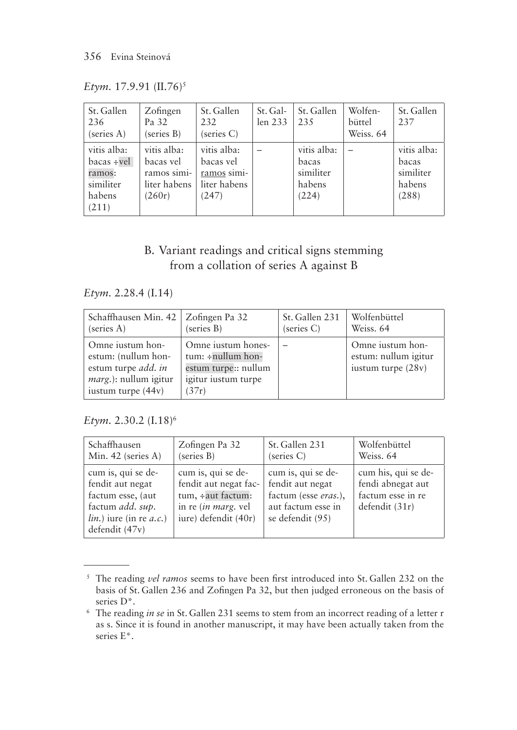*Etym.* 17.9.91 (II.76)<sup>5</sup>

| St. Gallen<br>236<br>(series A)                                       | Zofingen<br>Pa 32<br>(series B)                                   | St. Gallen<br>232<br>(series C)                                  | St. Gal-<br>len 233 | St. Gallen<br>235                                    | Wolfen-<br>büttel<br>Weiss. 64 | St. Gallen<br>237                                    |
|-----------------------------------------------------------------------|-------------------------------------------------------------------|------------------------------------------------------------------|---------------------|------------------------------------------------------|--------------------------------|------------------------------------------------------|
| vitis alba:<br>$bacs + vel$<br>ramos:<br>similiter<br>habens<br>(211) | vitis alba:<br>bacas vel<br>ramos simi-<br>liter habens<br>(260r) | vitis alba:<br>bacas vel<br>ramos simi-<br>liter habens<br>(247) |                     | vitis alba:<br>bacas<br>similiter<br>habens<br>(224) |                                | vitis alba:<br>bacas<br>similiter<br>habens<br>(288) |

## B. Variant readings and critical signs stemming from a collation of series A against B

*Etym.* 2.28.4 (I.14)

| Schaffhausen Min. 42   Zofingen Pa 32                                                                                        | (series B)                                                                                            | St. Gallen 231 | Wolfenbüttel                                                   |
|------------------------------------------------------------------------------------------------------------------------------|-------------------------------------------------------------------------------------------------------|----------------|----------------------------------------------------------------|
| (series A)                                                                                                                   |                                                                                                       | (series C)     | Weiss, 64                                                      |
| Omne justum hon-<br>estum: (nullum hon-<br>estum turpe <i>add. in</i><br><i>marg.</i> ): nullum igitur<br>iustum turpe (44v) | Omne iustum hones-<br>$tum: \div nullum$ hon-<br>estum turpe:: nullum<br>igitur iustum turpe<br>(37r) |                | Omne iustum hon-<br>estum: nullum igitur<br>iustum turpe (28v) |

### *Etym.* 2.30.2 (I.18)6

| Schaffhausen                                                                                                                                              | Zofingen Pa 32                                                                                                           | St. Gallen 231                                                                                           | Wolfenbüttel                                                                    |
|-----------------------------------------------------------------------------------------------------------------------------------------------------------|--------------------------------------------------------------------------------------------------------------------------|----------------------------------------------------------------------------------------------------------|---------------------------------------------------------------------------------|
| Min. 42 (series A)                                                                                                                                        | (series B)                                                                                                               | (series C)                                                                                               | Weiss, 64                                                                       |
| cum is, qui se de-<br>fendit aut negat<br>factum esse, (aut)<br>factum <i>add</i> . <i>sup</i> .<br>$lin.)$ jure (in re <i>a.c.</i> )<br>defendit $(47v)$ | cum is, qui se de-<br>fendit aut negat fac-<br>tum, ÷aut factum:<br>in re ( <i>in marg</i> . vel<br>iure) defendit (40r) | cum is, qui se de-<br>fendit aut negat<br>factum (esse eras.),<br>aut factum esse in<br>se defendit (95) | cum his, qui se de-<br>fendi abnegat aut<br>factum esse in re<br>defendit (31r) |

<sup>5</sup> The reading *vel ramos* seems to have been first introduced into St. Gallen 232 on the basis of St. Gallen 236 and Zofingen Pa 32, but then judged erroneous on the basis of series D\*.

<sup>6</sup> The reading *in se* in St. Gallen 231 seems to stem from an incorrect reading of a letter r as s. Since it is found in another manuscript, it may have been actually taken from the series E\*.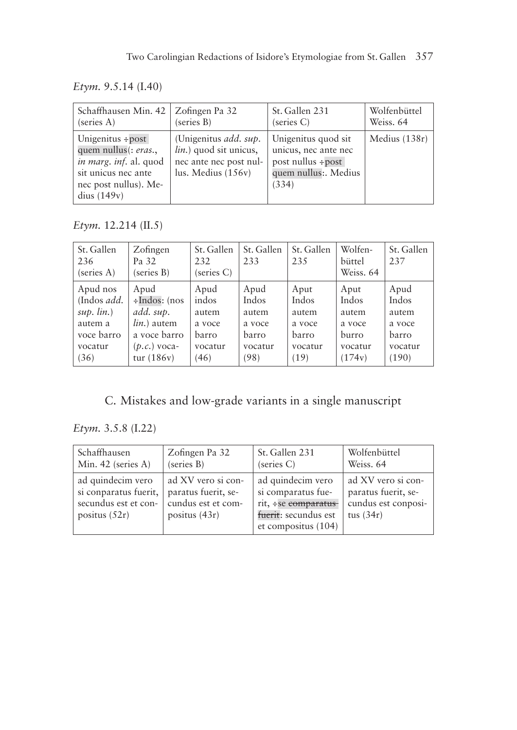*Etym.* 9.5.14 (I.40)

| Schaffhausen Min. 42   Zofingen Pa 32                                                                                                     | (series B)                                                                                                       | St. Gallen 231                                                                                          | Wolfenbüttel  |
|-------------------------------------------------------------------------------------------------------------------------------------------|------------------------------------------------------------------------------------------------------------------|---------------------------------------------------------------------------------------------------------|---------------|
| (series A)                                                                                                                                |                                                                                                                  | (series C)                                                                                              | Weiss, 64     |
| Unigenitus $\div$ post<br>quem nullus(: eras.,<br>in marg. inf. al. quod<br>sit unicus nec ante<br>nec post nullus). Me-<br>dius $(149v)$ | (Unigenitus <i>add. sup.</i><br><i>lin.</i> ) quod sit unicus,<br>nec ante nec post nul-<br>lus. Medius $(156v)$ | Unigenitus quod sit<br>unicus, nec ante nec<br>post nullus $\div$ post<br>quem nullus:. Medius<br>(334) | Medius (138r) |

*Etym.* 12.214 (II.5)

| St. Gallen<br>236<br>(series A) | Zofingen<br>Pa 32<br>(series B) | St. Gallen<br>232<br>(series C) | St. Gallen<br>233 | St. Gallen<br>235 | Wolfen-<br>büttel<br>Weiss. 64 | St. Gallen<br>237 |
|---------------------------------|---------------------------------|---------------------------------|-------------------|-------------------|--------------------------------|-------------------|
| Apud nos                        | Apud                            | Apud                            | Apud              | Aput              | Aput                           | Apud              |
| (Indos <i>add</i> .             | ÷Indos: (nos                    | indos                           | Indos             | Indos             | Indos                          | Indos             |
| $sup.$ $lin.)$                  | add. sup.                       | autem                           | autem             | autem             | autem                          | autem             |
| autem a                         | $lin.$ ) autem                  | a voce                          | a voce            | a voce            | a voce                         | a voce            |
| voce barro                      | a voce barro                    | barro                           | barro             | barro             | burro                          | barro             |
| vocatur                         | $(p.c.)$ voca-                  | vocatur                         | vocatur           | vocatur           | vocatur                        | vocatur           |
| (36)                            | tur $(186v)$                    | (46)                            | (98)              | (19)              | (174v)                         | (190)             |

C. Mistakes and low-grade variants in a single manuscript

*Etym.* 3.5.8 (I.22)

| Schaffhausen                                                                          | Zofingen Pa 32                                                                     | St. Gallen 231                                                                                                | Wolfenbüttel                                                                    |
|---------------------------------------------------------------------------------------|------------------------------------------------------------------------------------|---------------------------------------------------------------------------------------------------------------|---------------------------------------------------------------------------------|
| Min. 42 (series A)                                                                    | (series B)                                                                         | (series C)                                                                                                    | Weiss, 64                                                                       |
| ad quindecim vero<br>si conparatus fuerit,<br>secundus est et con-<br>positus $(52r)$ | ad XV vero si con-<br>paratus fuerit, se-<br>cundus est et com-<br>positus $(43r)$ | ad quindecim vero<br>si comparatus fue-<br>rit, ÷se comparatus<br>fuerit: secundus est<br>et compositus (104) | ad XV vero si con-<br>paratus fuerit, se-<br>cundus est conposi-<br>tus $(34r)$ |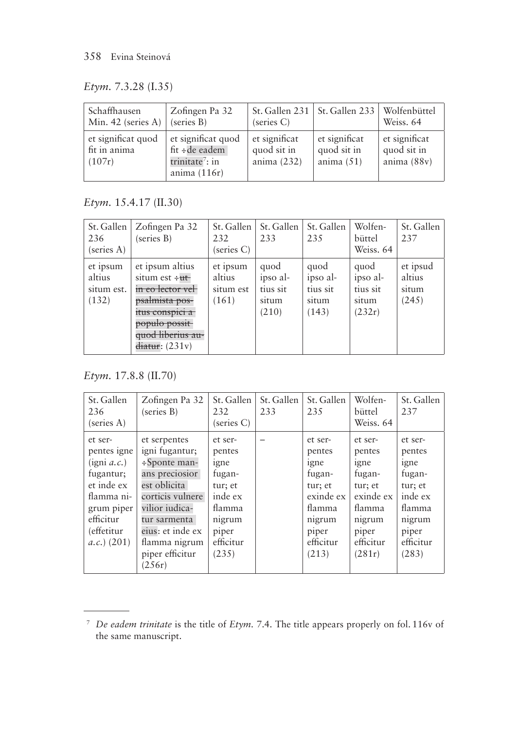#### 358 Evina Steinová

*Etym.* 7.3.28 (I.35)

| Schaffhausen<br>Min. $42$ (series A)         | Zofingen Pa 32<br>(series B)                                                          | (series C)                                    | St. Gallen 231   St. Gallen 233              | Wolfenbüttel<br>Weiss, 64                   |
|----------------------------------------------|---------------------------------------------------------------------------------------|-----------------------------------------------|----------------------------------------------|---------------------------------------------|
| et significat quod<br>fit in anima<br>(107r) | et significat quod<br>fit ÷ de eadem<br>trinitate <sup>7</sup> : in<br>anima $(116r)$ | et significat<br>quod sit in<br>anima $(232)$ | et significat<br>quod sit in<br>anima $(51)$ | et significat<br>quod sit in<br>anima (88v) |

*Etym.* 15.4.17 (II.30)

| St. Gallen<br>236<br>(series A)           | Zofingen Pa 32<br>(series B)                                                                                                                                                               | St. Gallen<br>232<br>(series C)          | St. Gallen<br>233                              | St. Gallen<br>235                              | Wolfen-<br>büttel<br>Weiss, 64                  | St. Gallen<br>237                    |
|-------------------------------------------|--------------------------------------------------------------------------------------------------------------------------------------------------------------------------------------------|------------------------------------------|------------------------------------------------|------------------------------------------------|-------------------------------------------------|--------------------------------------|
| et ipsum<br>altius<br>situm est.<br>(132) | et ipsum altius<br>situm est $\div$ ut<br>in eo lector vel-<br><del>psalmista pos-</del><br>itus conspici a<br><del>populo possit</del><br>quod liberius au-<br><del>diatur</del> : (231v) | et ipsum<br>altius<br>situm est<br>(161) | quod<br>ipso al-<br>tius sit<br>situm<br>(210) | quod<br>ipso al-<br>tius sit<br>situm<br>(143) | quod<br>ipso al-<br>tius sit<br>situm<br>(232r) | et ipsud<br>altius<br>situm<br>(245) |

*Etym.* 17.8.8 (II.70)

| St. Gallen<br>236<br>(series A)                                                                                                                      | Zofingen Pa 32<br>(series B)                                                                                                                                                                                   | St. Gallen<br>232<br>(series C)                                                                              | St. Gallen<br>233 | St. Gallen<br>235                                                                                              | Wolfen-<br>büttel<br>Weiss. 64                                                                                  | St. Gallen<br>237                                                                                            |
|------------------------------------------------------------------------------------------------------------------------------------------------------|----------------------------------------------------------------------------------------------------------------------------------------------------------------------------------------------------------------|--------------------------------------------------------------------------------------------------------------|-------------------|----------------------------------------------------------------------------------------------------------------|-----------------------------------------------------------------------------------------------------------------|--------------------------------------------------------------------------------------------------------------|
| et ser-<br>pentes igne<br>$(i$ gni <i>a.c.</i> )<br>fugantur;<br>et inde ex<br>flamma ni-<br>grum piper<br>efficitur<br>(effetitur<br>$(a.c.)$ (201) | et serpentes<br>igni fugantur;<br>$\div$ Sponte man-<br>ans preciosior<br>est oblicita<br>corticis vulnere<br>vilior iudica-<br>tur sarmenta<br>eius: et inde ex<br>flamma nigrum<br>piper efficitur<br>(256r) | et ser-<br>pentes<br>igne<br>fugan-<br>tur; et<br>inde ex<br>flamma<br>nigrum<br>piper<br>efficitur<br>(235) |                   | et ser-<br>pentes<br>igne<br>fugan-<br>tur; et<br>exinde ex<br>flamma<br>nigrum<br>piper<br>efficitur<br>(213) | et ser-<br>pentes<br>igne<br>fugan-<br>tur; et<br>exinde ex<br>flamma<br>nigrum<br>piper<br>efficitur<br>(281r) | et ser-<br>pentes<br>igne<br>fugan-<br>tur; et<br>inde ex<br>flamma<br>nigrum<br>piper<br>efficitur<br>(283) |

<sup>7</sup> *De eadem trinitate* is the title of *Etym.* 7.4. The title appears properly on fol. 116v of the same manuscript.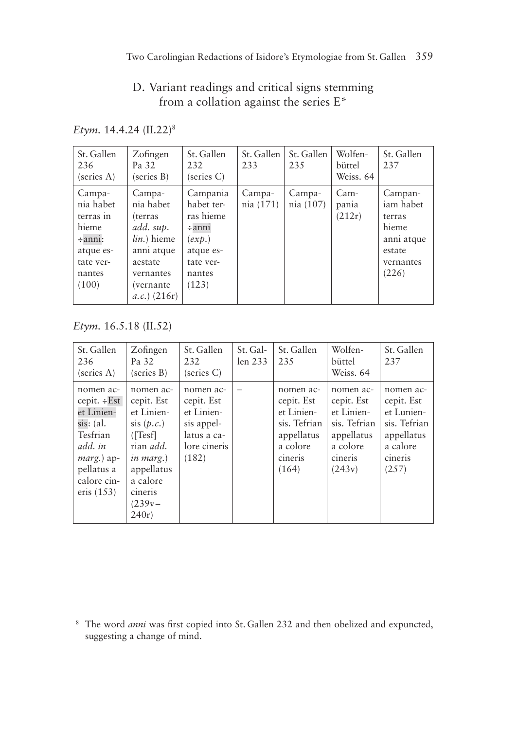# D. Variant readings and critical signs stemming from a collation against the series E\*

*Etym.* 14.4.24 (II.22)8

| St. Gallen<br>236<br>(series A)                                                                        | Zofingen<br>Pa 32<br>(series B)                                                                                                          | St. Gallen<br>232<br>(series C)                                                                           | St. Gallen<br>233   | St. Gallen<br>235   | Wolfen-<br>büttel<br>Weiss, 64 | St. Gallen<br>237                                                                     |
|--------------------------------------------------------------------------------------------------------|------------------------------------------------------------------------------------------------------------------------------------------|-----------------------------------------------------------------------------------------------------------|---------------------|---------------------|--------------------------------|---------------------------------------------------------------------------------------|
| Campa-<br>nia habet<br>terras in<br>hieme<br>$\div$ anni:<br>atque es-<br>tate ver-<br>nantes<br>(100) | Campa-<br>nia habet<br>(terras<br>add. sup.<br><i>lin</i> .) hieme<br>anni atque<br>aestate<br>vernantes<br>(vernante<br>$(a.c.)$ (216r) | Campania<br>habet ter-<br>ras hieme<br>$\div$ anni<br>(exp.)<br>atque es-<br>tate ver-<br>nantes<br>(123) | Campa-<br>nia (171) | Campa-<br>nia (107) | Cam-<br>pania<br>(212r)        | Campan-<br>iam habet<br>terras<br>hieme<br>anni atque<br>estate<br>vernantes<br>(226) |

*Etym.* 16.5.18 (II.52)

| St. Gallen<br>236<br>(series A)                                                                                                          | Zofingen<br>Pa 32<br>(series B)                                                                                                                                  | St. Gallen<br>232<br>(series C)                                                             | St. Gal-<br>len 233 | St. Gallen<br>235                                                                                   | Wolfen-<br>büttel<br>Weiss. 64                                                                       | St. Gallen<br>237                                                                                   |
|------------------------------------------------------------------------------------------------------------------------------------------|------------------------------------------------------------------------------------------------------------------------------------------------------------------|---------------------------------------------------------------------------------------------|---------------------|-----------------------------------------------------------------------------------------------------|------------------------------------------------------------------------------------------------------|-----------------------------------------------------------------------------------------------------|
| nomen ac-<br>cepit. ÷Est<br>et Linien-<br>sis: (al.<br>Tesfrian<br>add. in<br>$marg.$ ) ap-<br>pellatus a<br>calore cin-<br>eris $(153)$ | nomen ac-<br>cepit. Est<br>et Linien-<br>sis(p.c.)<br>(Tesf)<br>rian <i>add</i> .<br><i>in marg.</i> )<br>appellatus<br>a calore<br>cineris<br>$(239v -$<br>240r | nomen ac-<br>cepit. Est<br>et Linien-<br>sis appel-<br>latus a ca-<br>lore cineris<br>(182) |                     | nomen ac-<br>cepit. Est<br>et Linien-<br>sis. Tefrian<br>appellatus<br>a colore<br>cineris<br>(164) | nomen ac-<br>cepit. Est<br>et Linien-<br>sis. Tefrian<br>appellatus<br>a colore<br>cineris<br>(243v) | nomen ac-<br>cepit. Est<br>et Lunien-<br>sis. Tefrian<br>appellatus<br>a calore<br>cineris<br>(257) |

<sup>8</sup> The word *anni* was first copied into St. Gallen 232 and then obelized and expuncted, suggesting a change of mind.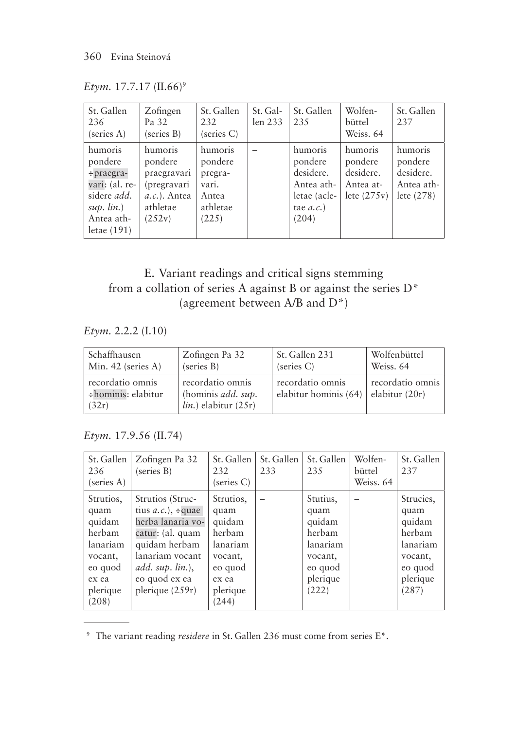| Etym. 17.7.17 (II.66) <sup>9</sup> |  |
|------------------------------------|--|
|                                    |  |

| St. Gallen<br>236<br>(series A)                                                                                           | Zofingen<br>Pa 32<br>(series B)                                                          | St. Gallen<br>232<br>(series C)                                      | St. Gal-<br>len 233 | St. Gallen<br>235                                                                    | Wolfen-<br>büttel<br>Weiss. 64                                | St. Gallen<br>237                                             |
|---------------------------------------------------------------------------------------------------------------------------|------------------------------------------------------------------------------------------|----------------------------------------------------------------------|---------------------|--------------------------------------------------------------------------------------|---------------------------------------------------------------|---------------------------------------------------------------|
| humoris<br>pondere<br>÷praegra-<br>vari: (al. re-<br>sidere <i>add</i> .<br>$sup.$ $lin.)$<br>Antea ath-<br>letae $(191)$ | humoris<br>pondere<br>praegravari<br>(pregravari<br>$a.c.).$ Antea<br>athletae<br>(252v) | humoris<br>pondere<br>pregra-<br>vari.<br>Antea<br>athletae<br>(225) |                     | humoris<br>pondere<br>desidere.<br>Antea ath-<br>letae (acle-<br>tae $a.c.$<br>(204) | humoris<br>pondere<br>desidere.<br>Antea at-<br>lete $(275v)$ | humoris<br>pondere<br>desidere.<br>Antea ath-<br>lete $(278)$ |

# E. Variant readings and critical signs stemming from a collation of series A against B or against the series D\* (agreement between A/B and D\*)

*Etym.* 2.2.2 (I.10)

| Schaffhausen                                    | Zofingen Pa 32                                                 | St. Gallen 231                            | Wolfenbüttel                       |
|-------------------------------------------------|----------------------------------------------------------------|-------------------------------------------|------------------------------------|
| Min. 42 (series A)                              | (series B)                                                     | (series C)                                | Weiss, 64                          |
| recordatio omnis<br>÷hominis: elabitur<br>(32r) | recordatio omnis<br>(hominis add. sup.<br>lin.) elabitur (25r) | recordatio omnis<br>elabitur hominis (64) | recordatio omnis<br>elabitur (20r) |

*Etym.* 17.9.56 (II.74)

| St. Gallen<br>236<br>(series A)                                                                       | Zofingen Pa 32<br>(series B)                                                                                                                                                       | St. Gallen<br>232<br>(series C)                                                                       | St. Gallen<br>233 | St. Gallen<br>235                                                                           | Wolfen-<br>büttel<br>Weiss, 64 | St. Gallen<br>237                                                                            |
|-------------------------------------------------------------------------------------------------------|------------------------------------------------------------------------------------------------------------------------------------------------------------------------------------|-------------------------------------------------------------------------------------------------------|-------------------|---------------------------------------------------------------------------------------------|--------------------------------|----------------------------------------------------------------------------------------------|
| Strutios,<br>quam<br>quidam<br>herbam<br>lanariam<br>vocant,<br>eo quod<br>ex ea<br>plerique<br>(208) | Strutios (Struc-<br>tius $a.c.$ ), ÷quae<br>herba lanaria vo-<br>catur: (al. quam<br>quidam herbam<br>lanariam vocant<br>add. $sup.$ $lin.$ ),<br>eo quod ex ea<br>plerique (259r) | Strutios,<br>quam<br>quidam<br>herbam<br>lanariam<br>vocant,<br>eo quod<br>ex ea<br>plerique<br>(244) |                   | Stutius,<br>quam<br>quidam<br>herbam<br>lanariam<br>vocant,<br>eo quod<br>plerique<br>(222) |                                | Strucies,<br>quam<br>quidam<br>herbam<br>lanariam<br>vocant,<br>eo quod<br>plerique<br>(287) |

<sup>9</sup> The variant reading *residere* in St. Gallen 236 must come from series E\*.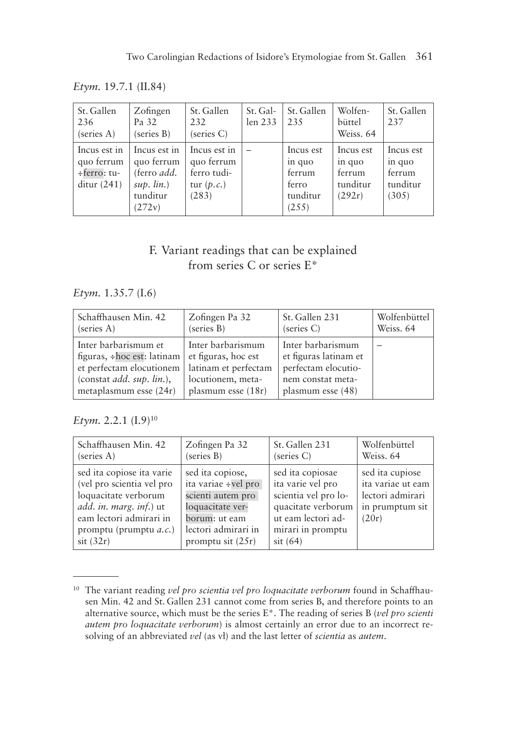*Etym.* 19.7.1 (II.84)

| St. Gallen<br>236<br>(series A)                               | Zofingen<br>Pa 32<br>(series B)                                                           | St. Gallen<br>232<br>(series C)                                    | St. Gal-<br>len 233 | St. Gallen<br>235                                           | Wolfen-<br>büttel<br>Weiss, 64                      | St. Gallen<br>2.37                                 |
|---------------------------------------------------------------|-------------------------------------------------------------------------------------------|--------------------------------------------------------------------|---------------------|-------------------------------------------------------------|-----------------------------------------------------|----------------------------------------------------|
| Incus est in<br>quo ferrum<br>$\div$ ferro: tu-<br>ditur(241) | Incus est in<br>quo ferrum<br>(ferro <i>add</i> .<br>$sup.$ $lin.)$<br>tunditur<br>(272v) | Incus est in<br>quo ferrum<br>ferro tudi-<br>tur $(p.c.)$<br>(283) |                     | Incus est<br>in quo<br>ferrum<br>ferro<br>tunditur<br>(255) | Incus est<br>in quo<br>ferrum<br>tunditur<br>(292r) | Incus est<br>in quo<br>ferrum<br>tunditur<br>(305) |

## F. Variant readings that can be explained from series C or series E\*

#### *Etym.* 1.35.7 (I.6)

| Schaffhausen Min. 42             | Zofingen Pa 32       | St. Gallen 231        | Wolfenbüttel |
|----------------------------------|----------------------|-----------------------|--------------|
| (series A)                       | (series B)           | (series C)            | Weiss. 64    |
| Inter barbarismum et             | Inter barbarismum    | Inter barbarismum     |              |
| figuras, $\div$ hoc est: latinam | et figuras, hoc est  | et figuras latinam et |              |
| et perfectam elocutionem         | latinam et perfectam | perfectam elocutio-   |              |
| (constant add. sup. lin.),       | locutionem, meta-    | nem constat meta-     |              |
| metaplasmum esse $(24r)$         | plasmum esse $(18r)$ | plasmum esse (48)     |              |

## *Etym.* 2.2.1 (I.9)<sup>10</sup>

| Schaffhausen Min. 42                                                                                                                                                              | Zofingen Pa 32                                                                                                                                  | St. Gallen 231                                                                                                                                | Wolfenbüttel                                                                         |
|-----------------------------------------------------------------------------------------------------------------------------------------------------------------------------------|-------------------------------------------------------------------------------------------------------------------------------------------------|-----------------------------------------------------------------------------------------------------------------------------------------------|--------------------------------------------------------------------------------------|
| (series A)                                                                                                                                                                        | (series B)                                                                                                                                      | (series C)                                                                                                                                    | Weiss, 64                                                                            |
| sed ita copiose ita varie<br>(vel pro scientia vel pro<br>loquacitate verborum<br>add. in. marg. inf.) ut<br>eam lectori admirari in<br>promptu (prumptu $a.c.$ )<br>$s$ it (32r) | sed ita copiose,<br>ita variae ÷vel pro<br>scienti autem pro<br>loquacitate ver-<br>borum: ut eam<br>lectori admirari in<br>promptu sit $(25r)$ | sed ita copiosae<br>ita varie vel pro<br>scientia vel pro lo-<br>quacitate verborum<br>ut eam lectori ad-<br>mirari in promptu<br>$s$ it (64) | sed ita cupiose<br>ita variae ut eam<br>lectori admirari<br>in prumptum sit<br>(20r) |

<sup>10</sup> The variant reading *vel pro scientia vel pro loquacitate verborum* found in Schaffhausen Min. 42 and St. Gallen 231 cannot come from series B, and therefore points to an alternative source, which must be the series E\*. The reading of series B (*vel pro scienti autem pro loquacitate verborum*) is almost certainly an error due to an incorrect resolving of an abbreviated *vel* (as vł) and the last letter of *scientia* as *autem*.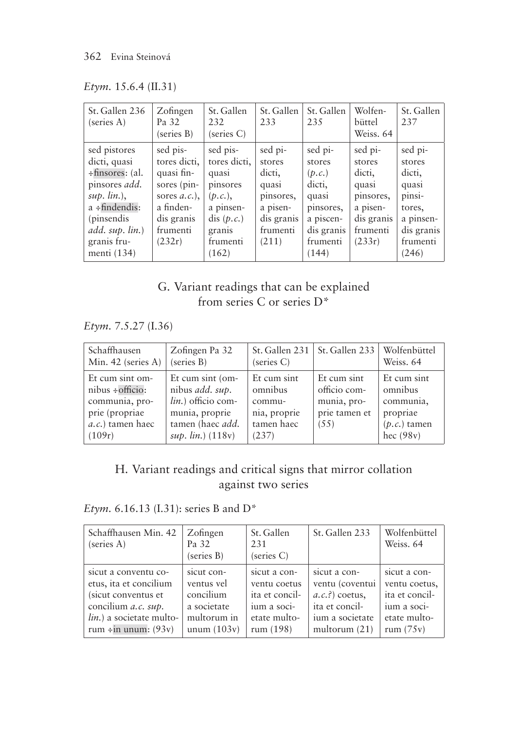| Etym. 15.6.4 (II.31) |  |
|----------------------|--|
|                      |  |

| St. Gallen 236<br>(series A)                                                                                                                                                       | Zofingen<br>Pa 32<br>(series B)                                                                                           | St. Gallen<br>232<br>(series C)                                                                                     | St. Gallen<br>233                                                                                | St. Gallen<br>235                                                                                           | Wolfen-<br>büttel<br>Weiss, 64                                                                    | St. Gallen<br>237                                                                                        |
|------------------------------------------------------------------------------------------------------------------------------------------------------------------------------------|---------------------------------------------------------------------------------------------------------------------------|---------------------------------------------------------------------------------------------------------------------|--------------------------------------------------------------------------------------------------|-------------------------------------------------------------------------------------------------------------|---------------------------------------------------------------------------------------------------|----------------------------------------------------------------------------------------------------------|
| sed pistores<br>dicti, quasi<br>÷finsores: (al.<br>pinsores <i>add</i> .<br>$sup.$ $lin.$ ),<br>$a \div$ findendis:<br>(pinsendis<br>add. sup. lin.)<br>granis fru-<br>menti (134) | sed pis-<br>tores dicti,<br>quasi fin-<br>sores (pin-<br>sores $a.c.$ ),<br>a finden-<br>dis granis<br>frumenti<br>(232r) | sed pis-<br>tores dicti,<br>quasi<br>pinsores<br>(p,c.)<br>a pinsen-<br>dis $(p.c.)$<br>granis<br>frumenti<br>(162) | sed pi-<br>stores<br>dicti,<br>quasi<br>pinsores,<br>a pisen-<br>dis granis<br>frumenti<br>(211) | sed pi-<br>stores<br>(p.c.)<br>dicti,<br>quasi<br>pinsores,<br>a piscen-<br>dis granis<br>frumenti<br>(144) | sed pi-<br>stores<br>dicti,<br>quasi<br>pinsores,<br>a pisen-<br>dis granis<br>frumenti<br>(233r) | sed pi-<br>stores<br>dicti,<br>quasi<br>pinsi-<br>tores,<br>a pinsen-<br>dis granis<br>frumenti<br>(246) |

# G. Variant readings that can be explained from series C or series D\*

*Etym.* 7.5.27 (I.36)

| Schaffhausen                                                                                                      | Zofingen Pa 32                                                                                                                          | St. Gallen $231$                                                        | St. Gallen 233                                                      | Wolfenbüttel                                                                     |
|-------------------------------------------------------------------------------------------------------------------|-----------------------------------------------------------------------------------------------------------------------------------------|-------------------------------------------------------------------------|---------------------------------------------------------------------|----------------------------------------------------------------------------------|
| Min. 42 (series A)                                                                                                | (series B)                                                                                                                              | (series C)                                                              |                                                                     | Weiss, 64                                                                        |
| Et cum sint om-<br>$nibus \div \text{officio}:$<br>communia, pro-<br>prie (propriae<br>a.c.) tamen haec<br>(109r) | Et cum sint (om-<br>nibus <i>add.</i> sup.<br>lin.) officio com-<br>munia, proprie<br>tamen (haec <i>add</i> .<br>$sup.$ lin.) $(118v)$ | Et cum sint<br>omnibus<br>commu-<br>nia, proprie<br>tamen haec<br>(237) | Et cum sint<br>officio com-<br>munia, pro-<br>prie tamen et<br>(55) | Et cum sint<br>omnibus<br>communia,<br>propriae<br>$(p.c.)$ tamen<br>hec $(98v)$ |

# H. Variant readings and critical signs that mirror collation against two series

*Etym.* 6.16.13 (I.31): series B and D\*

| Schaffhausen Min. 42<br>(series A) | Zofingen<br>Pa 32<br>(series B) | St. Gallen<br>231<br>(series C) | St. Gallen 233      | Wolfenbüttel<br>Weiss, 64 |
|------------------------------------|---------------------------------|---------------------------------|---------------------|---------------------------|
| sicut a conventu co-               | sicut con-                      | sicut a con-                    | sicut a con-        | sicut a con-              |
| etus, ita et concilium             | ventus vel                      | ventu coetus                    | ventu (coventui     | ventu coetus,             |
| (sicut conventus et)               | concilium                       | ita et concil-                  | $(a, c, ?)$ coetus, | ita et concil-            |
| concilium <i>a.c.</i> sup.         | a societate                     | ium a soci-                     | ita et concil-      | ium a soci-               |
| lin.) a societate multo-           | multorum in                     | etate multo-                    | ium a societate     | etate multo-              |
| rum $\div$ in unum: (93v)          | unum $(103v)$                   | rum $(198)$                     | multorum $(21)$     | rum $(75v)$               |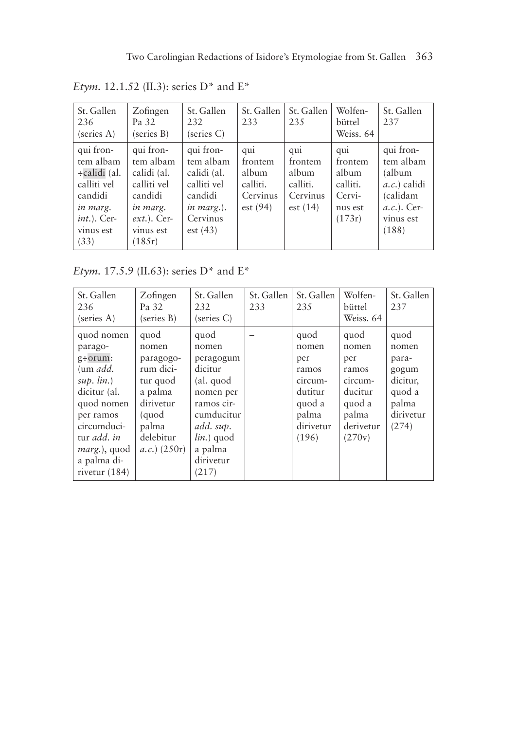| St. Gallen<br>236<br>(series A)                                                                                     | Zofingen<br>Pa 32<br>(series B)                                                                                     | St. Gallen<br>232<br>(series C)                                                                         | St. Gallen<br>233                                          | St. Gallen<br>235                                          | Wolfen-<br>büttel<br>Weiss, 64                                     | St. Gallen<br>237                                                                                           |
|---------------------------------------------------------------------------------------------------------------------|---------------------------------------------------------------------------------------------------------------------|---------------------------------------------------------------------------------------------------------|------------------------------------------------------------|------------------------------------------------------------|--------------------------------------------------------------------|-------------------------------------------------------------------------------------------------------------|
| qui fron-<br>tem albam<br>÷calidi (al.<br>calliti vel<br>candidi<br>in marg.<br>$int.$ ). Cer-<br>vinus est<br>(33) | qui fron-<br>tem albam<br>calidi (al.<br>calliti vel<br>candidi<br>in marg.<br>$ext.$ . Cer-<br>vinus est<br>(185r) | qui fron-<br>tem albam<br>calidi (al.<br>calliti vel<br>candidi<br>in marg.).<br>Cervinus<br>est $(43)$ | qui<br>frontem<br>album<br>calliti.<br>Cervinus<br>est(94) | qui<br>frontem<br>album<br>calliti.<br>Cervinus<br>est(14) | qui<br>frontem<br>album<br>calliti.<br>Cervi-<br>nus est<br>(173r) | qui fron-<br>tem albam<br>(album<br><i>a.c.</i> ) calidi<br>(calidam<br>$a.c.).$ Cer-<br>vinus est<br>(188) |

*Etym.* 12.1.52 (II.3): series D\* and E\*

*Etym.* 17.5.9 (II.63): series D\* and E\*

| St. Gallen<br>236<br>(series A)                                                                                                                                                                                     | Zofingen<br>Pa 32<br>(series B)                                                                                               | St. Gallen<br>232<br>(series C)                                                                                                                            | St. Gallen<br>233 | St. Gallen<br>235                                                                            | Wolfen-<br>büttel<br>Weiss. 64                                                                | St. Gallen<br>237                                                                    |
|---------------------------------------------------------------------------------------------------------------------------------------------------------------------------------------------------------------------|-------------------------------------------------------------------------------------------------------------------------------|------------------------------------------------------------------------------------------------------------------------------------------------------------|-------------------|----------------------------------------------------------------------------------------------|-----------------------------------------------------------------------------------------------|--------------------------------------------------------------------------------------|
| quod nomen<br>parago-<br>$g\text{+}orum:$<br>$\mu$ and $\mu$ .<br>$sup.$ $lin.)$<br>dicitur (al.<br>quod nomen<br>per ramos<br>circumduci-<br>tur add. in<br><i>marg.</i> ), quod<br>a palma di-<br>rivetur $(184)$ | quod<br>nomen<br>paragogo-<br>rum dici-<br>tur quod<br>a palma<br>dirivetur<br>(quod<br>palma<br>delebitur<br>$(a.c.)$ (250r) | quod<br>nomen<br>peragogum<br>dicitur<br>(al. quod<br>nomen per<br>ramos cir-<br>cumducitur<br>add. sup.<br>$lin.$ ) quod<br>a palma<br>dirivetur<br>(217) |                   | quod<br>nomen<br>per<br>ramos<br>circum-<br>dutitur<br>quod a<br>palma<br>dirivetur<br>(196) | quod<br>nomen<br>per<br>ramos<br>circum-<br>ducitur<br>quod a<br>palma<br>derivetur<br>(270v) | quod<br>nomen<br>para-<br>gogum<br>dicitur,<br>quod a<br>palma<br>dirivetur<br>(274) |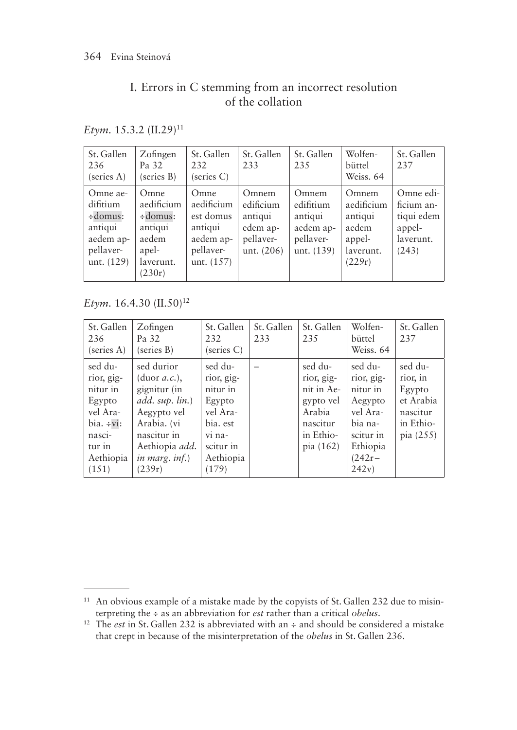# I. Errors in C stemming from an incorrect resolution of the collation

*Etym.* 15.3.2 (II.29)<sup>11</sup>

| St. Gallen<br>236<br>(series A)                                                          | Zofingen<br>Pa 32<br>(series B)                                                   | St. Gallen<br>232<br>(series C)                                                      | St. Gallen<br>233                                                      | St. Gallen<br>235                                                     | Wolfen-<br>büttel<br>Weiss, 64                                           | St. Gallen<br>237                                                     |
|------------------------------------------------------------------------------------------|-----------------------------------------------------------------------------------|--------------------------------------------------------------------------------------|------------------------------------------------------------------------|-----------------------------------------------------------------------|--------------------------------------------------------------------------|-----------------------------------------------------------------------|
| Omne ae-<br>difitium<br>$\div$ domus:<br>antiqui<br>aedem ap-<br>pellaver-<br>unt. (129) | Omne<br>aedificium<br>÷domus:<br>antiqui<br>aedem<br>apel-<br>laverunt.<br>(230r) | Omne<br>aedificium<br>est domus<br>antiqui<br>aedem ap-<br>pellaver-<br>unt. $(157)$ | Omnem<br>edificium<br>antiqui<br>edem ap-<br>pellaver-<br>unt. $(206)$ | Omnem<br>edifitium<br>antiqui<br>aedem ap-<br>pellaver-<br>unt. (139) | Omnem<br>aedificium<br>antiqui<br>aedem<br>appel-<br>laverunt.<br>(229r) | Omne edi-<br>ficium an-<br>tiqui edem<br>appel-<br>laverunt.<br>(243) |

*Etym.* 16.4.30 (II.50)<sup>12</sup>

| St. Gallen<br>236<br>(series A)                                                                                      | Zofingen<br>Pa 32<br>(series B)                                                                                                                                     | St. Gallen<br>232<br>(series C)                                                                                  | St. Gallen<br>233 | St. Gallen<br>235                                                                                  | Wolfen-<br>büttel<br>Weiss. 64                                                                                    | St. Gallen<br>237                                                                |
|----------------------------------------------------------------------------------------------------------------------|---------------------------------------------------------------------------------------------------------------------------------------------------------------------|------------------------------------------------------------------------------------------------------------------|-------------------|----------------------------------------------------------------------------------------------------|-------------------------------------------------------------------------------------------------------------------|----------------------------------------------------------------------------------|
| sed du-<br>rior, gig-<br>nitur in<br>Egypto<br>vel Ara-<br>$bia. \div vi:$<br>nasci-<br>tur in<br>Aethiopia<br>(151) | sed durior<br>(duor a.c.),<br>gignitur (in<br>add. sup. lin.)<br>Aegypto vel<br>Arabia. (vi<br>nascitur in<br>Aethiopia <i>add</i> .<br>in marg. $inf.$ )<br>(239r) | sed du-<br>rior, gig-<br>nitur in<br>Egypto<br>vel Ara-<br>bia. est<br>vi na-<br>scitur in<br>Aethiopia<br>(179) |                   | sed du-<br>rior, gig-<br>nit in Ae-<br>gypto vel<br>Arabia<br>nascitur<br>in Ethio-<br>pia $(162)$ | sed du-<br>rior, gig-<br>nitur in<br>Aegypto<br>vel Ara-<br>bia na-<br>scitur in<br>Ethiopia<br>$(242r -$<br>242v | sed du-<br>rior, in<br>Egypto<br>et Arabia<br>nascitur<br>in Ethio-<br>pia (255) |

<sup>&</sup>lt;sup>11</sup> An obvious example of a mistake made by the copyists of St. Gallen 232 due to misinterpreting the ÷ as an abbreviation for *est* rather than a critical *obelus*.

<sup>12</sup> The *est* in St. Gallen 232 is abbreviated with an ÷ and should be considered a mistake that crept in because of the misinterpretation of the *obelus* in St. Gallen 236.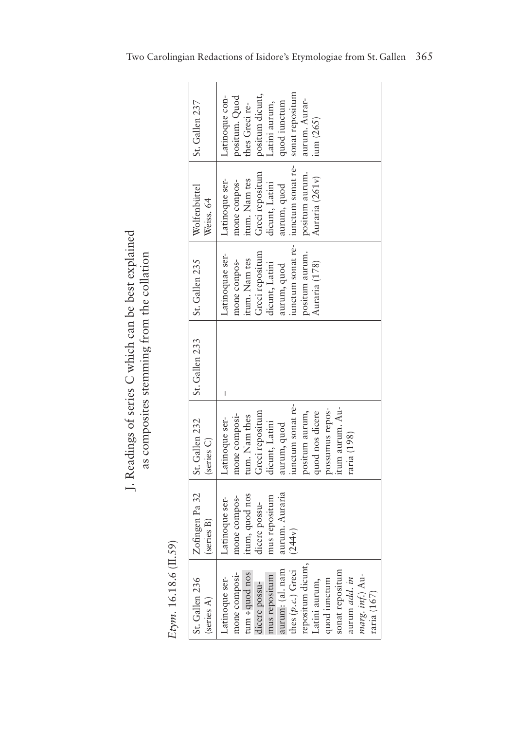J. Readings of series C which can be best explained J. Readings of series C which can be best explained as composites stemming from the collation as composites stemming from the collation

| St. Gallen 236 | Zofingen Pa 32 | St. Gallen 232    | St. Gallen 233 | St. Gallen 235  | Wolfenbüttel                       | St. Gallen 237  |
|----------------|----------------|-------------------|----------------|-----------------|------------------------------------|-----------------|
|                | (series B)     | (series C)        |                |                 | Weiss. 64                          |                 |
|                | -atinoque ser- | Latinoque ser-    |                | atinoquae ser-  | Latinoque ser-                     | Latinoque con-  |
|                | mone compos-   | mone composi-     |                | mone conpos-    | mone conpos-                       | positum. Quod   |
|                | itum, quod nos | tum. Nam thes     |                | itum. Nam tes   | itum. Nam tes                      | thes Greci re-  |
|                | dicere possu-  | Greci repositum   |                | Greci repositum | Greci repositum                    | positum dicunt, |
|                | mus repositum  | dicunt, Latini    |                | dicunt, Latini  | dicunt, Latini                     | atini aurum,    |
|                | aurum. Auraria | aurum, quod       |                | aurum, quod     | aurum, quod                        | quod iunctum    |
|                | (244v)         | iunctum sonat re- |                |                 | unctum sonat re- iunctum sonat re- | sonat repositum |
|                |                | positum aurum,    |                | positum aurum.  | positum aurum.                     | aurum. Aurar-   |
|                |                | quod nos dicere   |                | Auraria (178)   | Auraria (261v)                     | ium (265)       |
|                |                | possumus repos-   |                |                 |                                    |                 |
|                |                | itum aurum. Au-   |                |                 |                                    |                 |
|                |                | raria (198)       |                |                 |                                    |                 |
|                |                |                   |                |                 |                                    |                 |
|                |                |                   |                |                 |                                    |                 |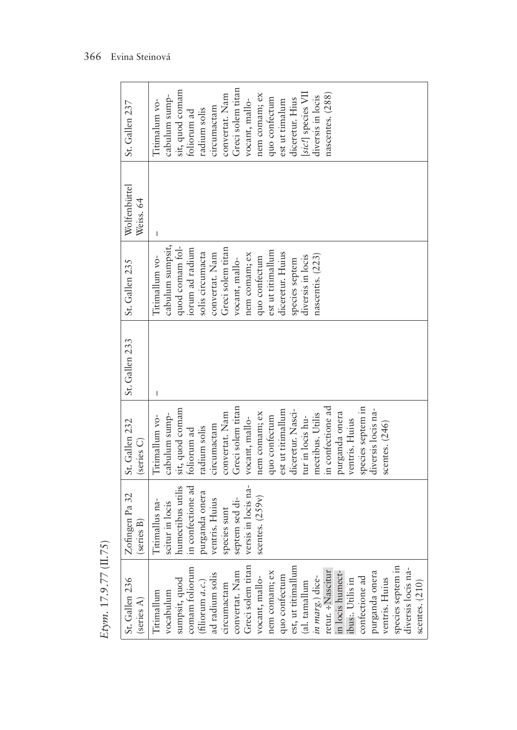|                                     | St. Gallen 237                  | Titimalum vo-  | cabulum sump-    | sit, quod comam   | foliorum ad       | radium solis       | circumactam     | convertat. Nam    | Greci solem titan | vocant, mallo-      | nem comam; ex     | quo confectum     | est ut timalum    | diceretur. Hius    | [sic!] species VII | diversis in locis | nascentes. (288)  |                  |                  |                   |                    |                  |                   |                    |                  |
|-------------------------------------|---------------------------------|----------------|------------------|-------------------|-------------------|--------------------|-----------------|-------------------|-------------------|---------------------|-------------------|-------------------|-------------------|--------------------|--------------------|-------------------|-------------------|------------------|------------------|-------------------|--------------------|------------------|-------------------|--------------------|------------------|
|                                     | Wolfenbüttel<br>Weiss. 64       |                |                  |                   |                   |                    |                 |                   |                   |                     |                   |                   |                   |                    |                    |                   |                   |                  |                  |                   |                    |                  |                   |                    |                  |
|                                     | St. Gallen 235                  | Titimallum vo- | cabulum sumpsit, | quod comam fol-   | iorum ad radium   | solis circumacta   | convertat. Nam  | Greci solem titan | vocant, mallo-    | nem comam; ex       | quo confectum     | est ut titimallum | diceretur. Huius  | species septem     | diversis in locis  | nascentis. (223)  |                   |                  |                  |                   |                    |                  |                   |                    |                  |
|                                     | St. Gallen 233                  |                |                  |                   |                   |                    |                 |                   |                   |                     |                   |                   |                   |                    |                    |                   |                   |                  |                  |                   |                    |                  |                   |                    |                  |
|                                     | St. Gallen 232<br>(series C)    | Titimallum vo- | cabulum sump-    | sit, quod comam   | foliorum ad       | radium solis       | circumactam     | convertat. Nam    | Greci solem titan | vocant, mallo-      | nem comam; ex     | quo confectum     | est ut titimallum | diceretur. Nasci-  | tur in locis hu-   | mectibus. Utilis  | in confectione ad | purganda onera   | ventris. Huius   | species septem in | diversis locis na- | scentes. $(246)$ |                   |                    |                  |
|                                     | Zofingen Pa 32<br>series B)     | Titimallus na- | scitur in locis  | humectibus utilis | in confectione ad | purganda onera     | ventris. Huius  | species sunt      | septem sed di-    | versis in locis na- | scentes. $(259v)$ |                   |                   |                    |                    |                   |                   |                  |                  |                   |                    |                  |                   |                    |                  |
| $E$ tym. 17.9.77 ( $\text{II.75}$ ) | St. Gallen 236<br>(series $A$ ) | Titimallum     | vocabulum        | sumpsit, quod     | comam foliorum    | (filiorum $a.c.$ ) | ad radium solis | circumactam       | convertat. Nam    | Greci solem titan   | vocant, mallo-    | nem comam; ex     | quo confectum     | est, ut titimallum | (al. tamallum      | in marg.) dice-   | retur. ÷Nascitur  | in locis humect- | ibus:. Utilis in | confectione ad    | purganda onera     | ventris. Huius   | species septem in | diversis locis na- | scentes. $(210)$ |

 $\overline{a}$ 

Etym. 17.9.77 (II.75)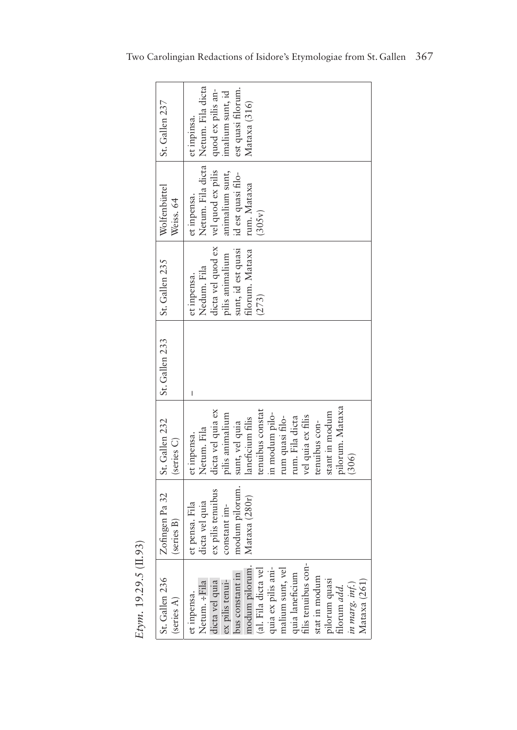|                           | St. Gallen 237               | Netum. Fila dicta   Netum. Fila dicta<br>quod ex pilis an-<br>est quasi filorum.<br>imalium sunt, id<br>Mataxa (316)<br>et inpinsa.                                                                                                                                                                  |
|---------------------------|------------------------------|------------------------------------------------------------------------------------------------------------------------------------------------------------------------------------------------------------------------------------------------------------------------------------------------------|
|                           | Wolfenbüttel<br>Weiss. 64    | animalium sunt,<br>id est quasi filo-<br>rum. Mataxa<br>et inpensa.<br>(305v)                                                                                                                                                                                                                        |
|                           | St. Gallen 235               | dicta vel quod ex vel quod ex pilis<br>sunt, id est quasi<br>filorum. Mataxa<br>ilis animalium<br>Nedum. Fila<br>et inpensa.<br>(273)                                                                                                                                                                |
|                           | St. Gallen 233               |                                                                                                                                                                                                                                                                                                      |
|                           | St. Gallen 232<br>(series C) | pilorum. Mataxa<br>dicta vel quia ex<br>tenuibus constat<br>stant in modum<br>in modum pilo-<br>pilis animalium<br>vel quia ex filis<br>laneficium filis<br>rum. Fila dicta<br>rum quasi filo-<br>tenuibus con-<br>sunt, vel quia<br>Netum. Fila<br>et inpensa.<br>(306)                             |
|                           | Zofingen Pa 32<br>series B)  | modum pilorum.<br>ex pilis tenuibus<br>Mataxa (280r)<br>dicta vel quia<br>et pensa. Fila<br>constant im-                                                                                                                                                                                             |
| $Etym.$ 19.29.5 $(II.93)$ | St. Gallen 236<br>(series A) | filis tenuibus con-<br>modum pilorum.<br>quia ex pilis ani-<br>malium sunt, vel<br>(al. Fila dicta vel<br>bus constant in<br>quia laneficium<br>stat in modum<br>pilorum quasi<br>Netum. ÷Fila<br>dicta vel quia<br>Mataxa (261)<br>ex pilis tenui-<br>in marg. inf.)<br>filorum add.<br>et inpensa. |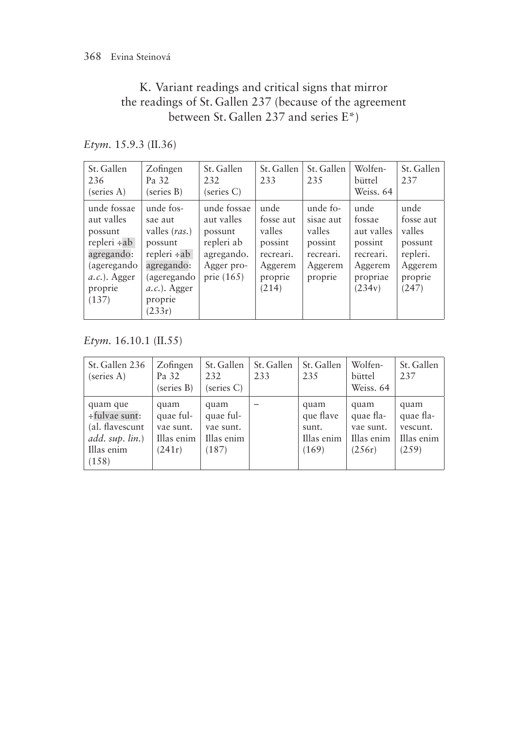## K. Variant readings and critical signs that mirror the readings of St. Gallen 237 (because of the agreement between St. Gallen 237 and series E\*)

*Etym.* 15.9.3 (II.36)

| St. Gallen<br>236<br>(series A)                                                                                           | Zofingen<br>Pa 32<br>(series B)                                                                                                           | St. Gallen<br>232<br>(series C)                                                                | St. Gallen<br>233                                                                  | St. Gallen<br>235                                                             | Wolfen-<br>büttel<br>Weiss, 64                                                        | St. Gallen<br>237                                                                 |
|---------------------------------------------------------------------------------------------------------------------------|-------------------------------------------------------------------------------------------------------------------------------------------|------------------------------------------------------------------------------------------------|------------------------------------------------------------------------------------|-------------------------------------------------------------------------------|---------------------------------------------------------------------------------------|-----------------------------------------------------------------------------------|
| unde fossae<br>aut valles<br>possunt<br>repleri ÷ab<br>agregando:<br>(ageregando<br>$(a, c.)$ . Agger<br>proprie<br>(137) | unde fos-<br>sae aut<br>valles (ras.)<br>possunt<br>$repleri \div ab$<br>agregando:<br>(ageregando<br>$a.c.).$ Agger<br>proprie<br>(233r) | unde fossae<br>aut valles<br>possunt<br>repleri ab<br>agregando.<br>Agger pro-<br>prie $(165)$ | unde<br>fosse aut<br>valles<br>possint<br>recreari.<br>Aggerem<br>proprie<br>(214) | unde fo-<br>sisae aut<br>valles<br>possint<br>recreari.<br>Aggerem<br>proprie | unde<br>fossae<br>aut valles<br>possint<br>recreari.<br>Aggerem<br>propriae<br>(234v) | unde<br>fosse aut<br>valles<br>possunt<br>repleri.<br>Aggerem<br>proprie<br>(247) |

*Etym.* 16.10.1 (II.55)

| St. Gallen 236<br>(series A)                                                              | Zofingen<br>Pa 32<br>(series B)                        | St. Gallen<br>232<br>(series C)                       | St. Gallen<br>233 | St. Gallen<br>235                                 | Wolfen-<br>büttel<br>Weiss, 64                         | St. Gallen<br>237                                    |
|-------------------------------------------------------------------------------------------|--------------------------------------------------------|-------------------------------------------------------|-------------------|---------------------------------------------------|--------------------------------------------------------|------------------------------------------------------|
| quam que<br>÷fulvae sunt:<br>(al. flavescunt<br>$add. \sup. \lim.$<br>Illas enim<br>(158) | quam<br>quae ful-<br>vae sunt.<br>Illas enim<br>(241r) | quam<br>quae ful-<br>vae sunt.<br>Illas enim<br>(187) |                   | quam<br>que flave<br>sunt.<br>Illas enim<br>(169) | quam<br>quae fla-<br>vae sunt.<br>Illas enim<br>(256r) | quam<br>quae fla-<br>vescunt.<br>Illas enim<br>(259) |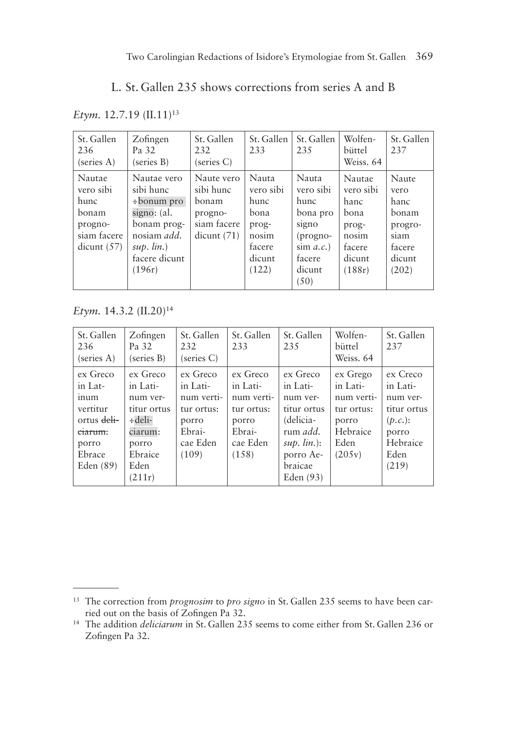## L. St. Gallen 235 shows corrections from series A and B

*Etym.* 12.7.19 (II.11)<sup>13</sup>

| St. Gallen<br>236<br>(series A)                                              | Zofingen<br>Pa 32<br>(series B)                                                                                                          | St. Gallen<br>232<br>(series C)                                          | St. Gallen<br>233                                                                 | St. Gallen<br>235                                                                                              | Wolfen-<br>büttel<br>Weiss. 64                                                      | St. Gallen<br>237                                                              |
|------------------------------------------------------------------------------|------------------------------------------------------------------------------------------------------------------------------------------|--------------------------------------------------------------------------|-----------------------------------------------------------------------------------|----------------------------------------------------------------------------------------------------------------|-------------------------------------------------------------------------------------|--------------------------------------------------------------------------------|
| Nautae<br>vero sibi<br>hunc<br>bonam<br>progno-<br>siam facere<br>dicunt(57) | Nautae vero<br>sibi hunc<br>÷bonum pro<br>signo: (al.<br>bonam prog-<br>nosiam <i>add</i> .<br>$sup.$ $lin.)$<br>facere dicunt<br>(196r) | Naute vero<br>sibi hunc<br>bonam<br>progno-<br>siam facere<br>dicunt(71) | Nauta<br>vero sibi<br>hunc<br>bona<br>prog-<br>nosim<br>facere<br>dicunt<br>(122) | Nauta<br>vero sibi<br>hunc<br>bona pro<br>signo<br>$(\text{prop} -$<br>$\sin a.c.$<br>facere<br>dicunt<br>(50) | Nautae<br>vero sibi<br>hanc<br>bona<br>prog-<br>nosim<br>facere<br>dicunt<br>(188r) | Naute<br>vero<br>hanc<br>bonam<br>progro-<br>siam<br>facere<br>dicunt<br>(202) |

*Etym.* 14.3.2 (II.20)<sup>14</sup>

| St. Gallen<br>236<br>(series A)                                                                   | Zofingen<br>Pa 32<br>(series B)                                                                                  | St. Gallen<br>232<br>(series C)                                                          | St. Gallen<br>233                                                                        | St. Gallen<br>235                                                                                                                 | Wolfen-<br>büttel<br>Weiss, 64                                                          | St. Gallen<br>237                                                                                |
|---------------------------------------------------------------------------------------------------|------------------------------------------------------------------------------------------------------------------|------------------------------------------------------------------------------------------|------------------------------------------------------------------------------------------|-----------------------------------------------------------------------------------------------------------------------------------|-----------------------------------------------------------------------------------------|--------------------------------------------------------------------------------------------------|
| ex Greco<br>in Lat-<br>inum<br>vertitur<br>ortus deli-<br>ciarum:<br>porro<br>Ebrace<br>Eden (89) | ex Greco<br>in Lati-<br>num ver-<br>titur ortus<br>$\div$ deli-<br>ciarum:<br>porro<br>Ebraice<br>Eden<br>(211r) | ex Greco<br>in Lati-<br>num verti-<br>tur ortus:<br>porro<br>Ebrai-<br>cae Eden<br>(109) | ex Greco<br>in Lati-<br>num verti-<br>tur ortus:<br>porro<br>Ebrai-<br>cae Eden<br>(158) | ex Greco<br>in Lati-<br>num ver-<br>titur ortus<br>(delicia-<br>rum add.<br>$sup.$ $lin.$ ):<br>porro Ae-<br>braicae<br>Eden (93) | ex Grego<br>in Lati-<br>num verti-<br>tur ortus:<br>porro<br>Hebraice<br>Eden<br>(205v) | ex Creco<br>in Lati-<br>num ver-<br>titur ortus<br>(p.c.):<br>porro<br>Hebraice<br>Eden<br>(219) |

<sup>13</sup> The correction from *prognosim* to *pro signo* in St. Gallen 235 seems to have been carried out on the basis of Zofingen Pa 32.

<sup>&</sup>lt;sup>14</sup> The addition *deliciarum* in St. Gallen 235 seems to come either from St. Gallen 236 or Zofingen Pa 32.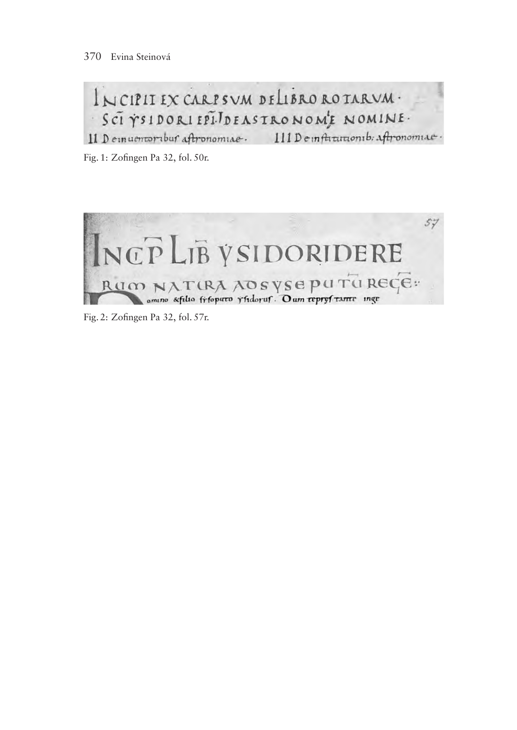## INCIPITEX CARPSVM DELIBRO ROTARVM. SCI VSIDORI EPIJDEASTRONOME NOMINE.

Il Demuentoribur aftronomiae. Ill Demfatutionib. Aftronomiae.

Fig. 1: Zofingen Pa 32, fol. 50r.



Fig. 2: Zofingen Pa 32, fol. 57r.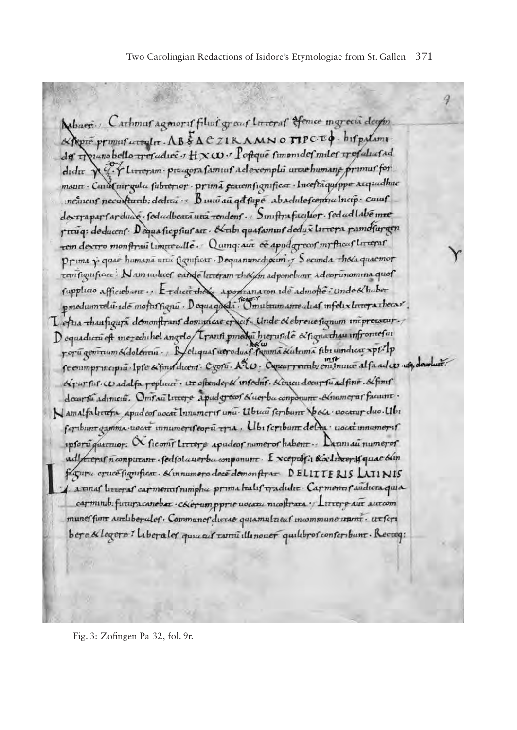Mobaer. Carhmus agency of filius great Inveras of Conce morecia despin Appro promot correlar. AB & ACZIKAMNO TIPCED bifpalame der Tounobello tresudiec .: HXW. Poftque simonides miles tresultad didit & C. Tlineram przegora famius adexemple areae humane primus for maur Cana uur gala fubrerior prima geacemfignificar Incesta quippe arquedhuc neturns necurtumb: dedica .: Bunu au get fupe abadule fcentra Incip. causf dextrapartarduas. fedudbeata una tendent. Simftrafacilior. fedudlabé mee praiq: deducent. Dequasicpsius art. Anbi quasamus dedux livrera pamofurgen rem dextro monftrau Limite alle. Quinq: aut ee apudgrecof inrfticaf litterar Prima y quae humana una Camficar. Dequanunchosim y Secunda thola quaemor tem figuficut: Nam sudices earde htteram the adponetions adeopunomina quof fupplicio afficiebant .. E rdicit the apoptanation ide admone : unde & huber pmedumrolu-ide mofustignu-Dequageda Comutam ame alias infelix livrey a thecas L'estua thaufiquia démonstrant domineur et est. Unde & ebreue fignum intepreneur. Dequadiculeft mezechihel angelo Transi pmedi hieruside exportative infromefui rorū gentrum Adolentui. Reliquas aeroduas sama Kultuma fibi undica xpf/p recommermeipiu. Ipre si finis dicent. Egotu. ALU. Concurrente en iniunce al fa ad co. aquadamente: Krurfus. Wadalfa replacer. ur oftenderté insedns. Kinzen decursu adfine. &finis deur fu adimeiu. Omrau Lirere apudgrewi &uerba conponum. Amamerai facum Namalfaltetera apudeos wocat Innumeris unu. Ubuai seribunt Socia wocatur duo. Ubi feribunt gamma-useat innumerifeoru tra. Ubi feribunt dela useat innumerif ipforu quartuor. N ficoni littere apudeof numerof habent .. Dannau numerof adfree of n conputant . fedfol averba conponunt. I xceptof: Kx librer Mquae blin fagura cruce figuificar. & innumero dece demonstrar. DELITTERIS LATINIS A a unas litteras carments nimpha prima halis tradidit. Carments sudicta quia carminub: futura canebat . Cherum pprie uocatu mcoftrata : Littere aut autom munes funt authberules. Communes divide quiamultieus incommune unini. ut feri bere & legere? Liberaler quice at tami illinouer quilibros conserbunt. Recreq: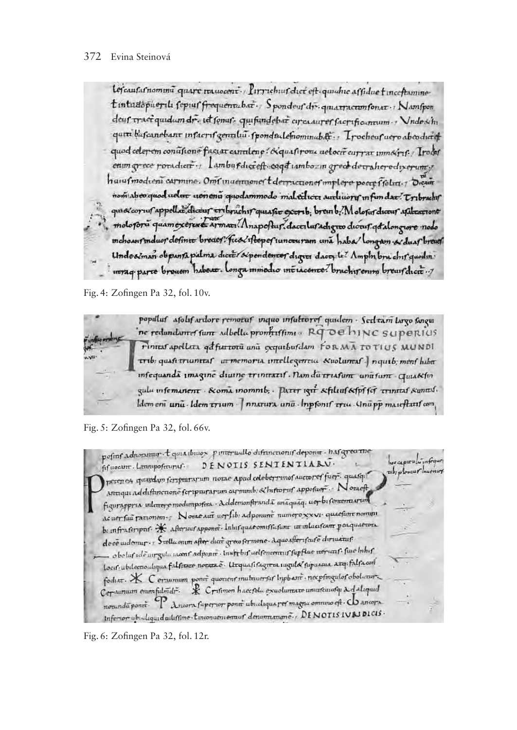Lefcaufarnomina quare transcent . Pirrichus diet eft quiche affidue tinceftamine tintudopuerili fepiuf frequencibat. Spondeuf dr. quiarracumfonar : Namfpon deur traciquidam dr. it fonus. quifundebat circa aurer facrificamum : Vndesi'hi quin bassanebant insurus genului spondsalemominabat : Trocheus uero abeoduiet quod celepem conuficine factat cantilene? Aquafirone uelocit currat immainf. Irolat enun grece roradien-, Lambufdiereft-eaget tambozin greck derraheredixerum; hanufmodieni carmine. Omfinuenuoner t derricuoner implere poete ffolia. 1 Dienie nom aborquod uelut uenena quodammodo mal telucti authuori in fundat Tribrachi quist corrus appellar dictur erabrachis quastive exerib; brein b. Molosus diceus asalizarione molopora quamexerente arman! Anapoftur. dacer laradigno diverti qual anguste nodo mchoansmduor definite breaes. fico/iftepersuncturam una haba/longam es duas breus Undesiman obpanza palma diccer sipendencer digrer dacer le Amphibra chir quodin intrage parte brower habear. Longa minedio interacement brachirening brews their of

Fig. 4: Zofingen Pa 32, fol. 10v.



populuf afolif ardore remotaf inquo infultoref quidem · Secleam largo fangu ne redundanter funt adbella promftiffime RG OB hiNC Supervius Finnas apellara qa furtoru una exquibusdam FORMA TOTIUS MUNDI trib: quasi triuntas ut memoria intellegentia &uolumeas.] nquib; mens habet infequanda imagine diuine trinitatif. Nam du triafum una fum - Quiakfin gula infemanent · & oma inommb; · Parer ign & filiuf &fpf fcf rrinttaf suntof. ldemeni unu Idem trium | nnatura una Inpfonif triu Unapp maieftatif com

Fig. 5: Zofingen Pa 32, fol. 66v.

pofinf adnotation t quia thisos piragraullo diffunctionif depont . has greatine hos capirulum foque DENOTIS SENTENTIARV. fif uocum. Lammpofmunuf. rib; ploniur muonu perenos quardon feriprariorum norae apud celeberrimof auctoref fuer. quasqu' Aringu addiffuncione feripairarum espmmb, & hiftopuf appofuer. Notaeft figurappria inlettere modumpotea. Addemonftrundã unãquãq: uer bi fermenta arum acuer fui parionem y Norae aut ver fib: adponunt numero xxvi quaefunt nommi b. infruteripar \* Aboricut appoint. Inhirguationistication in inlusted perquation dece audoraur - , S rella enum after ducc greco fermone - Aqua after if cure diriustur oboluf ide urgula woont adjoint. Instruct aelfementur fugflue wervanf. fue Inhif locis ubilecnouliqua falsizare novara e Urquasisagrea ingula supuscua arq: falsacon fodut. \* Certurnum pont quotent multiverful Inphant . necpfingulat obolizar Corannum oumfulmdr. \* Critimon haecfolu exuolumate uniuscuata 2 daliquid nounda pont P Ancora fuperior pont ubudiqua ref magna omnino eft . Co ancora Inferior ubidigard aduffine tinconcentenauf denomaname. DENOTISIV&JDICIS.

Fig. 6: Zofingen Pa 32, fol. 12r.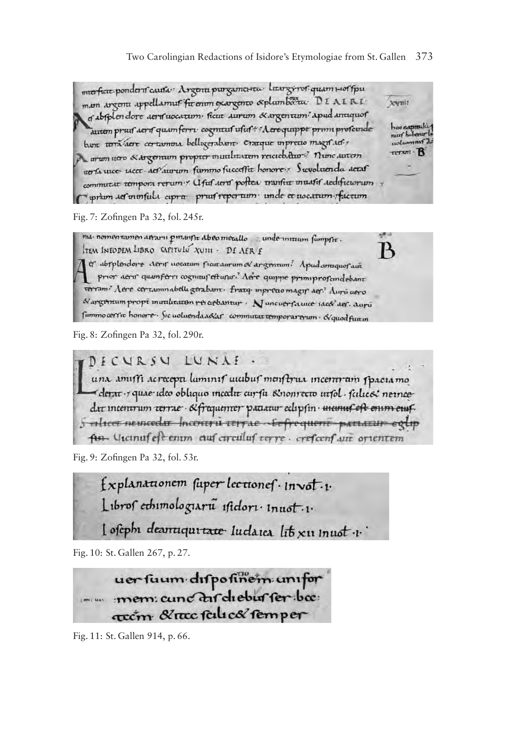Two Carolingian Redactions of Isidore's Etymologiae from St. Gallen 373

merficit ponderi causa: Argenti purgametrea litargiros quam Hoffpu man argent appellamus firenun exargence & plumboru. DEAERI. **XWHIT** of absplendore aeros uocatum ficut aurum & argentum' apud antiquof has expressive autem prus aerif quam ferri cognitus usus Aere quippe primi proseinde bant terra sere certamona belligerabant. Cratque inpretio magifaciuolumini 2 rerum - B A arum ucro & argentum proprer mutilitatem reicieb. aur 7 nunc autem up la uice ucce aet aurum fummo fucceffit honore - > Suvoluenda aetaf commutat tempora rerum y Clfuf aeru pottea transfer muasis aechfictorum prium ser ininfuli cupra pruit repertum unde et uocatum factum

Fig. 7: Zofingen Pa 32, fol. 245r.

ma nomen tamen atraru pmanta abeo metallo a unde untuum fampta. B TEM INFODEM LIBRO CAPITULY XUIII - DE AER E er abrplendore Aerir uocatam ficataurum of argentum? Apudamiquofacti prior aerir quanferri cognitur efturur. Aere quippe primiprofandebant terram" Aere certaminabelli gerabant. fratq. inpretao magin aer" Auru uero Nargemum propt munhraten rei arbantur · Nancuerfaunce iaceV def. darú fummo cerric honore. Sic uoluenda adar commutat temporarerum · d'quod fut in

Fig. 8: Zofingen Pa 32, fol. 290r.

DECURSU LUNAE

una amiffi acrecepti luminif uiubuf menftrua incertiram fpaciamo derat + quae ideo obliquo mealit cur fu sinonrecto infol · falacoi nernee dir incentrum retrae · & fraquenter padatur eclipsin · incunit eft enim euf. 5 elicer neincedir Incentru terrae . Sefrequent partatur eglip fun. Cicinuf est enim auf circuluf regre. crefcenf aut orientem

Fig. 9: Zofingen Pa 32, fol. 53r.

Explanationem fuper lectionef . invol.1. Libros ethimologiaru isidori inuoti.

l osephi dearraquitate Indarca lib x11 innot i.

Fig. 10: St. Gallen 267, p. 27.

uer fuum dispositiem unifor mem: cunc dir diebur fer boc: recom & rece false& femper

Fig. 11: St. Gallen 914, p. 66.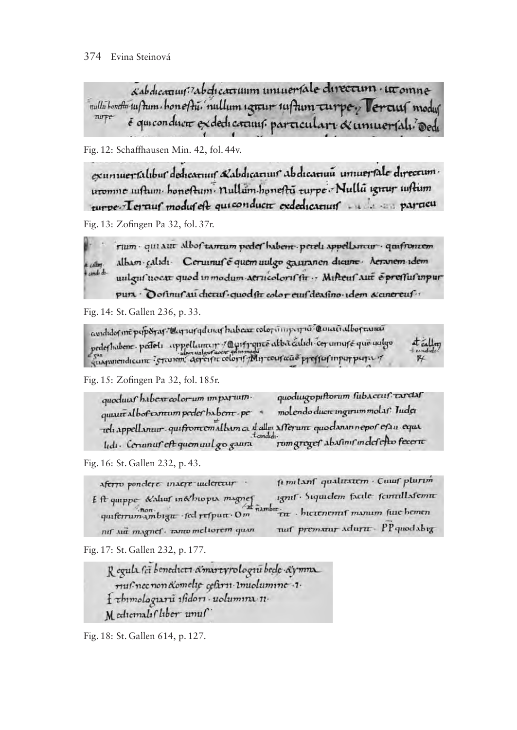sabdicarium zabdicarruum uniueriale directum · ut omne nullubonthu tu/hum bonefhu. nullum ignur tufhum curpey Vercust modus zurpe é qui conducte ex dedicating. particular & universali dedi

Fig. 12: Schaffhausen Min. 42, fol. 44v.

exumuerfalibur dedicaruuf Kabdicaruur abdicaruu umuerfale directum. uromne iuftum honeftum nullum honeftu turpe Nullu igitur iuftum 

Fig. 13: Zofingen Pa 32, fol. 37r.

rum - qui aut albof tantum pedet habem - peteli appellantur - quiftontem albam calidi Cerumuf é quem uulgo gauranen dicum Aeranem idem candi diuulgus nocat quod in modum aerucoloris fit : Mifteus aut Spressus unpur pura · O ofinus au cherus · quod fit color eus den fino · idem & canereus ··

Fig. 14: St. Gallen 236, p. 33.

avididos int puporas " darras galanas habear colorinne para Canañalbostana pederhabene. pedet: appellameur / Quifronce alba caladi cer umufé que autgo at calley

Fig. 15: Zofingen Pa 32, fol. 185r.

quoduugopiftorum fubactuf tarda quoduus haben color-um imparuimmolendo ducre ingirum molas? Juda quaritaboftamum peder babent.pe reli appellantur qui from emalbam ca talla afferunt quodanan nepor erau equa rumgreger abasims indefetto fecern lidi. Ceranuf eft quemuul go gaura

Fig. 16: St. Gallen 232, p. 43.

fi milanf qualitation . Cutuf plurim Aferro pondere inaere inderetur . 19mf · Siquidem facile formllafemm E A quippe & aluer in&hiopia magner  $\pi$ *n*<sub>n</sub> quiferrum Ambigut fed refputt Om TIT . bictenemif manum fuie bemen nuf prematur adurut - PP quodabig nif sur magnef. ranco meltorem quan

Fig. 17: St. Gallen 232, p. 177.

Regula sci benedicti amartyrologiu bede aymna musinec non Komelie cefarii imiolumine .1. { thimologiaru isidori · uolumina 11. Medicinals (liber unuf

Fig. 18: St. Gallen 614, p. 127.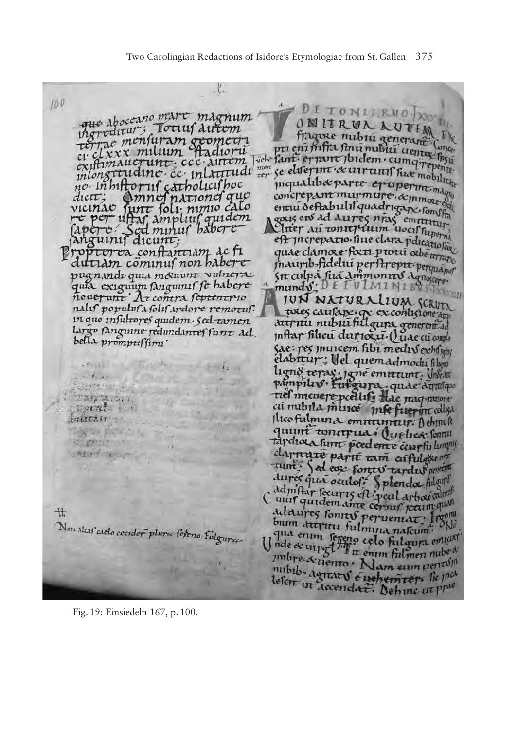$\cdot \mathcal{C}$ 

100 que aboccano marc magnum que *Aboccam* Totius Autom thereditars needle allient existimaucrunt; ccc. autem no inhiftorul catholicishoc dicit; Amnof national que Capero Sed minus babere fanguinis dicunt; Proptor va conflantiam ac fi dutiam cominus non babere pugnandi quia mouum vulnera.

quia exiguum sanguinis se habere nalif populuf a folif ardore removaf. in que infuttores quidem. Sed tamen largo sanguine redundances sunt ad. bella prompussions'

人民の

**TELEX** 

7月27年 317

Spenda 10

Sy car Day and La

ballezii ...

passion on in

 $\mathcal{L} = \sqrt{2\pi\hbar^2 + \sigma^2}$ 

廿

Non Alias caelo cecider plura sereno Fulgura

Fig. 19: Einsiedeln 167, p. 100.

DE TONITRED DONN OMITRUNAUTIM Fragose nubru generana Ch pri en indexe hubiu generana Conce<br>pri en infra finu nubiu uenta byu pti ent intra tenu nubu uenta conce exiftimaucrunt.ccc.autem vere jan. er and joidem.cumqirepent. neusef the centruity have mobility concrepant murmure. & mmond concrepant muriniare. acinmou. entu oertabuur quaarigan committee<br>gaus ein de dures neas emptetum<br>Cliter au tonit puiden woul hyperme enter au tonneruum woei rupormi<br>en increpatio sine clara pencational quae clamore forti provi abetencia maurib-fidelui perstrepit perquanor Sit culpa siza Ammonitos donoscre munds: DETULMINIBUST **JUN NATURALIUM SCRUTA** toxes causage. que excontisione du surnu nubuī filgura generent de Inftar filicu durioxa. Quae cu compo Sae: res murcem fibi medis exhibitual elabitur: Vel quemadmodu film ligno teras: jane emettint. Undeat pampiliv futgura quae dinalquo tiel micuere pcellif. Hac naqquiont cu nubila muito mfe fueron collisa Hico fulmina emininguy. Achinch quunt tonirrua (uelica fontu tardioza sunt poedente canpiu lumpis clarente parti tam carfulgeem tunt: Sed ease forces tardis penetral dures qui oculos: Splenda fulgul dd m'ftar securis est: peut arboe admit C mul quidem aine cernal arbaecant ddaures sonnes peruentar from bum arryitu fulmina nascum: SNi Unde evening the religion and cum mbre & tienno. Nam cum uentis nubib, agreat & appements lie med lesert ut decendat. Define ut prac